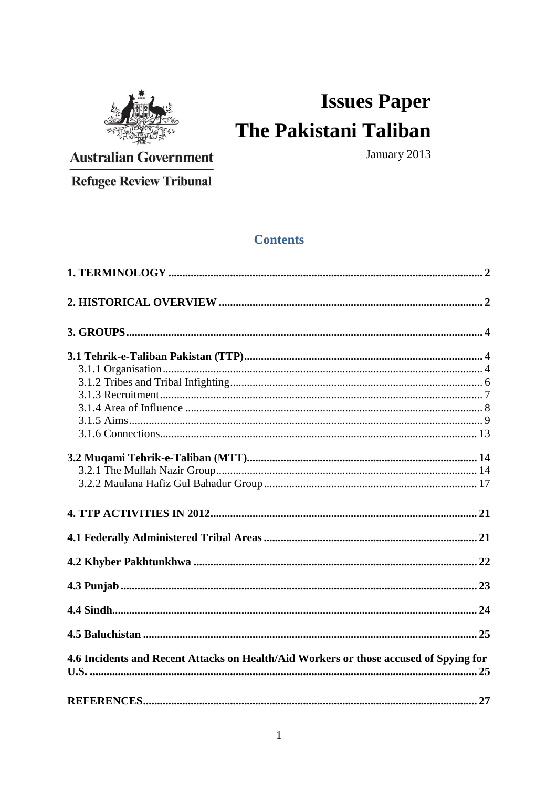

# **Issues Paper** The Pakistani Taliban

**Australian Government** 

January 2013

**Refugee Review Tribunal** 

## **Contents**

| 4.6 Incidents and Recent Attacks on Health/Aid Workers or those accused of Spying for |    |
|---------------------------------------------------------------------------------------|----|
| REFERENCES                                                                            | 27 |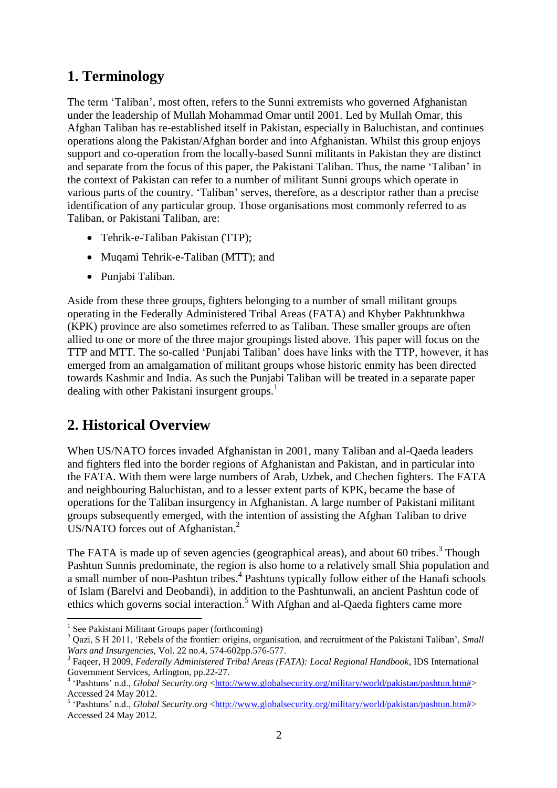# <span id="page-1-0"></span>**1. Terminology**

The term "Taliban", most often, refers to the Sunni extremists who governed Afghanistan under the leadership of Mullah Mohammad Omar until 2001. Led by Mullah Omar, this Afghan Taliban has re-established itself in Pakistan, especially in Baluchistan, and continues operations along the Pakistan/Afghan border and into Afghanistan. Whilst this group enjoys support and co-operation from the locally-based Sunni militants in Pakistan they are distinct and separate from the focus of this paper, the Pakistani Taliban. Thus, the name "Taliban" in the context of Pakistan can refer to a number of militant Sunni groups which operate in various parts of the country. "Taliban" serves, therefore, as a descriptor rather than a precise identification of any particular group. Those organisations most commonly referred to as Taliban, or Pakistani Taliban, are:

- Tehrik-e-Taliban Pakistan (TTP):
- Muqami Tehrik-e-Taliban (MTT); and
- Punjabi Taliban.

Aside from these three groups, fighters belonging to a number of small militant groups operating in the Federally Administered Tribal Areas (FATA) and Khyber Pakhtunkhwa (KPK) province are also sometimes referred to as Taliban. These smaller groups are often allied to one or more of the three major groupings listed above. This paper will focus on the TTP and MTT. The so-called "Punjabi Taliban" does have links with the TTP, however, it has emerged from an amalgamation of militant groups whose historic enmity has been directed towards Kashmir and India. As such the Punjabi Taliban will be treated in a separate paper dealing with other Pakistani insurgent groups.<sup>1</sup>

# <span id="page-1-1"></span>**2. Historical Overview**

When US/NATO forces invaded Afghanistan in 2001, many Taliban and al-Qaeda leaders and fighters fled into the border regions of Afghanistan and Pakistan, and in particular into the FATA. With them were large numbers of Arab, Uzbek, and Chechen fighters. The FATA and neighbouring Baluchistan, and to a lesser extent parts of KPK, became the base of operations for the Taliban insurgency in Afghanistan. A large number of Pakistani militant groups subsequently emerged, with the intention of assisting the Afghan Taliban to drive US/NATO forces out of Afghanistan.<sup>2</sup>

The FATA is made up of seven agencies (geographical areas), and about 60 tribes.<sup>3</sup> Though Pashtun Sunnis predominate, the region is also home to a relatively small Shia population and a small number of non-Pashtun tribes.<sup>4</sup> Pashtuns typically follow either of the Hanafi schools of Islam (Barelvi and Deobandi), in addition to the Pashtunwali, an ancient Pashtun code of ethics which governs social interaction.<sup>5</sup> With Afghan and al-Qaeda fighters came more

<u>.</u>

<sup>&</sup>lt;sup>1</sup> See Pakistani Militant Groups paper (forthcoming)

<sup>&</sup>lt;sup>2</sup> Oazi, S H 2011, 'Rebels of the frontier: origins, organisation, and recruitment of the Pakistani Taliban', *Small Wars and Insurgencies*, Vol. 22 no.4, 574-602pp.576-577.

<sup>3</sup> Faqeer, H 2009, *Federally Administered Tribal Areas (FATA): Local Regional Handbook*, IDS International Government Services, Arlington, pp.22-27.

<sup>&</sup>lt;sup>4</sup> 'Pashtuns' n.d., *Global Security.org* [<http://www.globalsecurity.org/military/world/pakistan/pashtun.htm#>](http://www.globalsecurity.org/military/world/pakistan/pashtun.htm) Accessed 24 May 2012.

<sup>&</sup>lt;sup>5</sup> 'Pashtuns' n.d., *Global Security.org* [<http://www.globalsecurity.org/military/world/pakistan/pashtun.htm#>](http://www.globalsecurity.org/military/world/pakistan/pashtun.htm) Accessed 24 May 2012.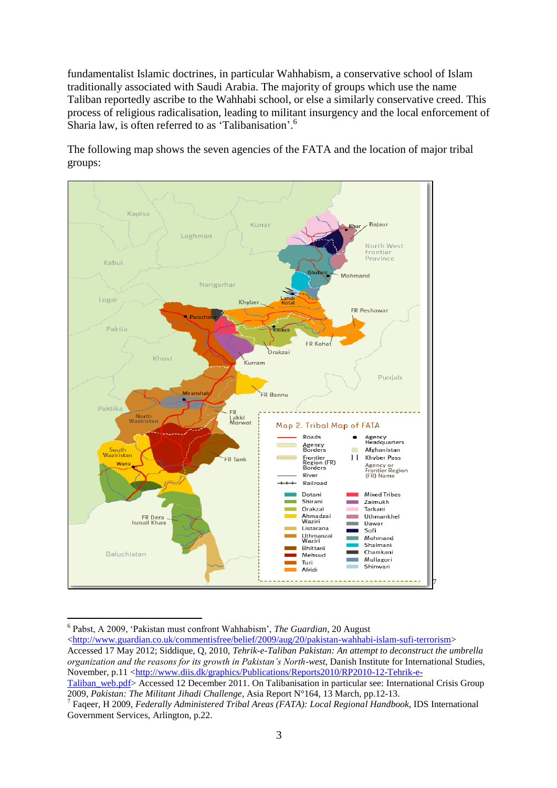fundamentalist Islamic doctrines, in particular Wahhabism, a conservative school of Islam traditionally associated with Saudi Arabia. The majority of groups which use the name Taliban reportedly ascribe to the Wahhabi school, or else a similarly conservative creed. This process of religious radicalisation, leading to militant insurgency and the local enforcement of Sharia law, is often referred to as 'Talibanisation'.<sup>6</sup>



The following map shows the seven agencies of the FATA and the location of major tribal groups:

<sup>&</sup>lt;u>.</u> 6 Pabst, A 2009, "Pakistan must confront Wahhabism", *The Guardian*, 20 August

[<sup>&</sup>lt;http://www.guardian.co.uk/commentisfree/belief/2009/aug/20/pakistan-wahhabi-islam-sufi-terrorism>](http://www.guardian.co.uk/commentisfree/belief/2009/aug/20/pakistan-wahhabi-islam-sufi-terrorism) Accessed 17 May 2012; Siddique, Q, 2010, *Tehrik-e-Taliban Pakistan: An attempt to deconstruct the umbrella organization and the reasons for its growth in Pakistan's North-west*, Danish Institute for International Studies, November, p.11 [<http://www.diis.dk/graphics/Publications/Reports2010/RP2010-12-Tehrik-e-](http://www.diis.dk/graphics/Publications/Reports2010/RP2010-12-Tehrik-e-Taliban_web.pdf)

[Taliban\\_web.pdf>](http://www.diis.dk/graphics/Publications/Reports2010/RP2010-12-Tehrik-e-Taliban_web.pdf) Accessed 12 December 2011. On Talibanisation in particular see: International Crisis Group 2009, *Pakistan: The Militant Jihadi Challenge*, Asia Report N°164, 13 March, pp.12-13.

<sup>7</sup> Faqeer, H 2009, *Federally Administered Tribal Areas (FATA): Local Regional Handbook*, IDS International Government Services, Arlington, p.22.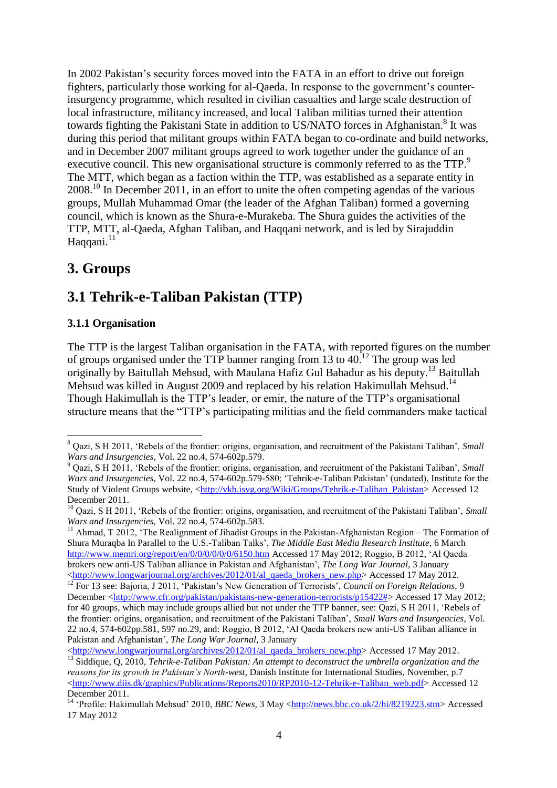In 2002 Pakistan"s security forces moved into the FATA in an effort to drive out foreign fighters, particularly those working for al-Qaeda. In response to the government's counterinsurgency programme, which resulted in civilian casualties and large scale destruction of local infrastructure, militancy increased, and local Taliban militias turned their attention towards fighting the Pakistani State in addition to US/NATO forces in Afghanistan.<sup>8</sup> It was during this period that militant groups within FATA began to co-ordinate and build networks, and in December 2007 militant groups agreed to work together under the guidance of an executive council. This new organisational structure is commonly referred to as the TTP.<sup>9</sup> The MTT, which began as a faction within the TTP, was established as a separate entity in 2008.<sup>10</sup> In December 2011, in an effort to unite the often competing agendas of the various groups, Mullah Muhammad Omar (the leader of the Afghan Taliban) formed a governing council, which is known as the Shura-e-Murakeba. The Shura guides the activities of the TTP, MTT, al-Qaeda, Afghan Taliban, and Haqqani network, and is led by Sirajuddin Haqqani. $11$ 

## <span id="page-3-0"></span>**3. Groups**

1

# <span id="page-3-1"></span>**3.1 Tehrik-e-Taliban Pakistan (TTP)**

## <span id="page-3-2"></span>**3.1.1 Organisation**

The TTP is the largest Taliban organisation in the FATA, with reported figures on the number of groups organised under the TTP banner ranging from 13 to 40.<sup>12</sup> The group was led originally by Baitullah Mehsud, with Maulana Hafiz Gul Bahadur as his deputy.<sup>13</sup> Baitullah Mehsud was killed in August 2009 and replaced by his relation Hakimullah Mehsud.<sup>14</sup> Though Hakimullah is the TTP"s leader, or emir, the nature of the TTP"s organisational structure means that the "TTP"s participating militias and the field commanders make tactical

<sup>11</sup> Ahmad, T 2012, 'The Realignment of Jihadist Groups in the Pakistan-Afghanistan Region – The Formation of Shura Muraqba In Parallel to the U.S.-Taliban Talks", *The Middle East Media Research Institute*, 6 March <http://www.memri.org/report/en/0/0/0/0/0/0/6150.htm> Accessed 17 May 2012; Roggio, B 2012, "Al Qaeda brokers new anti-US Taliban alliance in Pakistan and Afghanistan", *The Long War Journal*, 3 January [<http://www.longwarjournal.org/archives/2012/01/al\\_qaeda\\_brokers\\_new.php>](http://www.longwarjournal.org/archives/2012/01/al_qaeda_brokers_new.php) Accessed 17 May 2012.

<sup>8</sup> Qazi, S H 2011, "Rebels of the frontier: origins, organisation, and recruitment of the Pakistani Taliban", *Small Wars and Insurgencies*, Vol. 22 no.4, 574-602p.579.

<sup>9</sup> Qazi, S H 2011, "Rebels of the frontier: origins, organisation, and recruitment of the Pakistani Taliban", *Small Wars and Insurgencies*, Vol. 22 no.4, 574-602p.579-580; "Tehrik-e-Taliban Pakistan" (undated), Institute for the Study of Violent Groups website, [<http://vkb.isvg.org/Wiki/Groups/Tehrik-e-Taliban\\_Pakistan>](http://vkb.isvg.org/Wiki/Groups/Tehrik-e-Taliban_Pakistan) Accessed 12 December 2011.

<sup>&</sup>lt;sup>10</sup> Oazi, S H 2011, 'Rebels of the frontier: origins, organisation, and recruitment of the Pakistani Taliban', *Small Wars and Insurgencies*, Vol. 22 no.4, 574-602p.583.

<sup>&</sup>lt;sup>12</sup> For 13 see: Bajoria, J 2011, 'Pakistan's New Generation of Terrorists', *Council on Foreign Relations*, 9 December [<http://www.cfr.org/pakistan/pakistans-new-generation-terrorists/p15422#>](http://www.cfr.org/pakistan/pakistans-new-generation-terrorists/p15422) Accessed 17 May 2012; for 40 groups, which may include groups allied but not under the TTP banner, see: Qazi, S H 2011, "Rebels of the frontier: origins, organisation, and recruitment of the Pakistani Taliban", *Small Wars and Insurgencies*, Vol. 22 no.4, 574-602pp.581, 597 no.29, and: Roggio, B 2012, "Al Qaeda brokers new anti-US Taliban alliance in Pakistan and Afghanistan", *The Long War Journal*, 3 January

[<sup>&</sup>lt;http://www.longwarjournal.org/archives/2012/01/al\\_qaeda\\_brokers\\_new.php>](http://www.longwarjournal.org/archives/2012/01/al_qaeda_brokers_new.php) Accessed 17 May 2012. <sup>13</sup> Siddique, Q, 2010, *Tehrik-e-Taliban Pakistan: An attempt to deconstruct the umbrella organization and the reasons for its growth in Pakistan's North-west*, Danish Institute for International Studies, November, p.7 [<http://www.diis.dk/graphics/Publications/Reports2010/RP2010-12-Tehrik-e-Taliban\\_web.pdf>](http://www.diis.dk/graphics/Publications/Reports2010/RP2010-12-Tehrik-e-Taliban_web.pdf) Accessed 12 December 2011.

<sup>14</sup> "Profile: Hakimullah Mehsud" 2010, *BBC News*, 3 May [<http://news.bbc.co.uk/2/hi/8219223.stm>](http://news.bbc.co.uk/2/hi/8219223.stm) Accessed 17 May 2012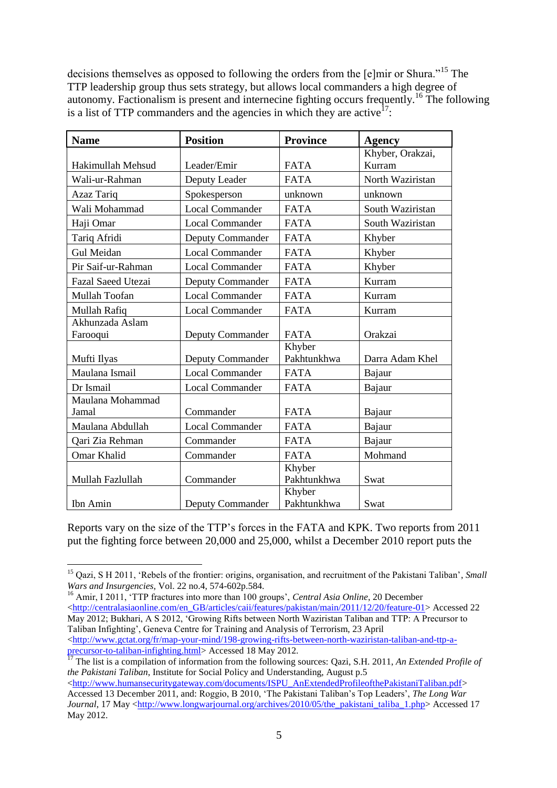decisions themselves as opposed to following the orders from the [e]mir or Shura."<sup>15</sup> The TTP leadership group thus sets strategy, but allows local commanders a high degree of autonomy. Factionalism is present and internecine fighting occurs frequently.<sup>16</sup> The following is a list of TTP commanders and the agencies in which they are active<sup>17</sup>:

| <b>Name</b>               | <b>Position</b>         | <b>Province</b> | <b>Agency</b>    |
|---------------------------|-------------------------|-----------------|------------------|
|                           |                         |                 | Khyber, Orakzai, |
| Hakimullah Mehsud         | Leader/Emir             | <b>FATA</b>     | Kurram           |
| Wali-ur-Rahman            | Deputy Leader           | <b>FATA</b>     | North Waziristan |
| Azaz Tariq                | Spokesperson            | unknown         | unknown          |
| Wali Mohammad             | <b>Local Commander</b>  | <b>FATA</b>     | South Waziristan |
| Haji Omar                 | <b>Local Commander</b>  | <b>FATA</b>     | South Waziristan |
| Tariq Afridi              | <b>Deputy Commander</b> | <b>FATA</b>     | Khyber           |
| Gul Meidan                | <b>Local Commander</b>  | <b>FATA</b>     | Khyber           |
| Pir Saif-ur-Rahman        | <b>Local Commander</b>  | <b>FATA</b>     | Khyber           |
| <b>Fazal Saeed Utezai</b> | Deputy Commander        | <b>FATA</b>     | Kurram           |
| Mullah Toofan             | <b>Local Commander</b>  | <b>FATA</b>     | Kurram           |
| Mullah Rafiq              | <b>Local Commander</b>  | <b>FATA</b>     | Kurram           |
| Akhunzada Aslam           |                         |                 |                  |
| Farooqui                  | Deputy Commander        | <b>FATA</b>     | Orakzai          |
|                           |                         | Khyber          |                  |
| Mufti Ilyas               | <b>Deputy Commander</b> | Pakhtunkhwa     | Darra Adam Khel  |
| Maulana Ismail            | <b>Local Commander</b>  | <b>FATA</b>     | Bajaur           |
| Dr Ismail                 | <b>Local Commander</b>  | <b>FATA</b>     | Bajaur           |
| Maulana Mohammad          |                         |                 |                  |
| Jamal                     | Commander               | <b>FATA</b>     | Bajaur           |
| Maulana Abdullah          | <b>Local Commander</b>  | <b>FATA</b>     | Bajaur           |
| Oari Zia Rehman           | Commander               | <b>FATA</b>     | Bajaur           |
| Omar Khalid               | Commander               | <b>FATA</b>     | Mohmand          |
|                           |                         | Khyber          |                  |
| Mullah Fazlullah          | Commander               | Pakhtunkhwa     | Swat             |
|                           |                         | Khyber          |                  |
| Ibn Amin                  | <b>Deputy Commander</b> | Pakhtunkhwa     | Swat             |

Reports vary on the size of the TTP"s forces in the FATA and KPK. Two reports from 2011 put the fighting force between 20,000 and 25,000, whilst a December 2010 report puts the

1

<sup>&</sup>lt;sup>15</sup> Qazi, S H 2011, 'Rebels of the frontier: origins, organisation, and recruitment of the Pakistani Taliban', *Small Wars and Insurgencies*, Vol. 22 no.4, 574-602p.584.

<sup>&</sup>lt;sup>16</sup> Amir, I 2011, 'TTP fractures into more than 100 groups', *Central Asia Online*, 20 December  $\text{tdt}$ thtp://centralasiaonline.com/en\_GB/articles/caii/features/pakistan/main/2011/12/20/feature-01> Accessed 22 May 2012; Bukhari, A S 2012, "Growing Rifts between North Waziristan Taliban and TTP: A Precursor to Taliban Infighting", Geneva Centre for Training and Analysis of Terrorism, 23 April [<http://www.gctat.org/fr/map-your-mind/198-growing-rifts-between-north-waziristan-taliban-and-ttp-a](http://www.gctat.org/fr/map-your-mind/198-growing-rifts-between-north-waziristan-taliban-and-ttp-a-precursor-to-taliban-infighting.html)[precursor-to-taliban-infighting.html>](http://www.gctat.org/fr/map-your-mind/198-growing-rifts-between-north-waziristan-taliban-and-ttp-a-precursor-to-taliban-infighting.html) Accessed 18 May 2012.

<sup>&</sup>lt;sup>17</sup> The list is a compilation of information from the following sources: Qazi, S.H. 2011, *An Extended Profile of the Pakistani Taliban*, Institute for Social Policy and Understanding, August p.5

[<sup>&</sup>lt;http://www.humansecuritygateway.com/documents/ISPU\\_AnExtendedProfileofthePakistaniTaliban.pdf>](http://www.humansecuritygateway.com/documents/ISPU_AnExtendedProfileofthePakistaniTaliban.pdf) Accessed 13 December 2011, and: Roggio, B 2010, "The Pakistani Taliban"s Top Leaders", *The Long War Journal*, 17 May [<http://www.longwarjournal.org/archives/2010/05/the\\_pakistani\\_taliba\\_1.php>](http://www.longwarjournal.org/archives/2010/05/the_pakistani_taliba_1.php) Accessed 17 May 2012.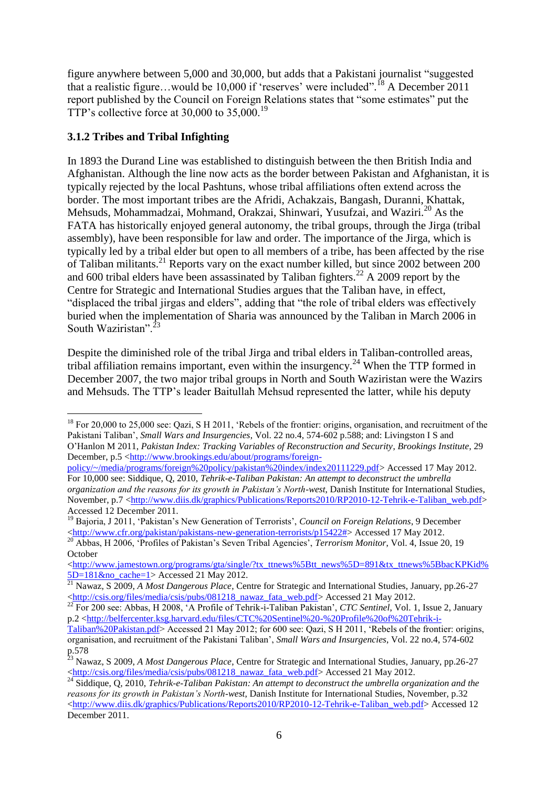figure anywhere between 5,000 and 30,000, but adds that a Pakistani journalist "suggested that a realistic figure...would be 10,000 if 'reserves' were included".<sup>18</sup> A December 2011 report published by the Council on Foreign Relations states that "some estimates" put the TTP's collective force at 30,000 to  $35,000$ .<sup>19</sup>

## <span id="page-5-0"></span>**3.1.2 Tribes and Tribal Infighting**

1

In 1893 the Durand Line was established to distinguish between the then British India and Afghanistan. Although the line now acts as the border between Pakistan and Afghanistan, it is typically rejected by the local Pashtuns, whose tribal affiliations often extend across the border. The most important tribes are the Afridi, Achakzais, Bangash, Duranni, Khattak, Mehsuds, Mohammadzai, Mohmand, Orakzai, Shinwari, Yusufzai, and Waziri.<sup>20</sup> As the FATA has historically enjoyed general autonomy, the tribal groups, through the Jirga (tribal assembly), have been responsible for law and order. The importance of the Jirga, which is typically led by a tribal elder but open to all members of a tribe, has been affected by the rise of Taliban militants.<sup>21</sup> Reports vary on the exact number killed, but since 2002 between 200 and 600 tribal elders have been assassinated by Taliban fighters.<sup>22</sup> A 2009 report by the Centre for Strategic and International Studies argues that the Taliban have, in effect, "displaced the tribal jirgas and elders", adding that "the role of tribal elders was effectively buried when the implementation of Sharia was announced by the Taliban in March 2006 in South Waziristan"<sup>2</sup>

Despite the diminished role of the tribal Jirga and tribal elders in Taliban-controlled areas, tribal affiliation remains important, even within the insurgency.<sup>24</sup> When the TTP formed in December 2007, the two major tribal groups in North and South Waziristan were the Wazirs and Mehsuds. The TTP"s leader Baitullah Mehsud represented the latter, while his deputy

<sup>&</sup>lt;sup>18</sup> For 20,000 to 25,000 see: Qazi, S H 2011, 'Rebels of the frontier: origins, organisation, and recruitment of the Pakistani Taliban", *Small Wars and Insurgencies*, Vol. 22 no.4, 574-602 p.588; and: Livingston I S and O"Hanlon M 2011, *Pakistan Index: Tracking Variables of Reconstruction and Security*, *Brookings Institute*, 29 December, p.5 [<http://www.brookings.edu/about/programs/foreign-](http://www.brookings.edu/about/programs/foreign-policy/~/media/programs/foreign%20policy/pakistan%20index/index20111229.pdf)

[policy/~/media/programs/foreign%20policy/pakistan%20index/index20111229.pdf>](http://www.brookings.edu/about/programs/foreign-policy/~/media/programs/foreign%20policy/pakistan%20index/index20111229.pdf) Accessed 17 May 2012. For 10,000 see: Siddique, Q, 2010, *Tehrik-e-Taliban Pakistan: An attempt to deconstruct the umbrella organization and the reasons for its growth in Pakistan's North-west*, Danish Institute for International Studies, November, p.7 [<http://www.diis.dk/graphics/Publications/Reports2010/RP2010-12-Tehrik-e-Taliban\\_web.pdf>](http://www.diis.dk/graphics/Publications/Reports2010/RP2010-12-Tehrik-e-Taliban_web.pdf) Accessed 12 December 2011.

<sup>19</sup> Bajoria, J 2011, "Pakistan"s New Generation of Terrorists", *Council on Foreign Relations*, 9 December [<http://www.cfr.org/pakistan/pakistans-new-generation-terrorists/p15422#>](http://www.cfr.org/pakistan/pakistans-new-generation-terrorists/p15422) Accessed 17 May 2012.

<sup>&</sup>lt;sup>20</sup> Abbas, H 2006, 'Profiles of Pakistan's Seven Tribal Agencies', *Terrorism Monitor*, Vol. 4, Issue 20, 19 October

 $\lt$ http://www.jamestown.org/programs/gta/single/?tx\_ttnews%5Btt\_news%5D=891&tx\_ttnews%5BbacKPKid%  $5D=181$ &no cache=1> Accessed 21 May 2012.

<sup>21</sup> Nawaz, S 2009, *A Most Dangerous Place*, Centre for Strategic and International Studies, January, pp.26-27 [<http://csis.org/files/media/csis/pubs/081218\\_nawaz\\_fata\\_web.pdf>](http://csis.org/files/media/csis/pubs/081218_nawaz_fata_web.pdf) Accessed 21 May 2012.

<sup>&</sup>lt;sup>22</sup> For 200 see: Abbas, H 2008, 'A Profile of Tehrik-i-Taliban Pakistan', *CTC Sentinel*, Vol. 1, Issue 2, January p.2 [<http://belfercenter.ksg.harvard.edu/files/CTC%20Sentinel%20-%20Profile%20of%20Tehrik-i-](http://belfercenter.ksg.harvard.edu/files/CTC%20Sentinel%20-%20Profile%20of%20Tehrik-i-Taliban%20Pakistan.pdf)

[Taliban%20Pakistan.pdf>](http://belfercenter.ksg.harvard.edu/files/CTC%20Sentinel%20-%20Profile%20of%20Tehrik-i-Taliban%20Pakistan.pdf) Accessed 21 May 2012; for 600 see: Qazi, S H 2011, "Rebels of the frontier: origins, organisation, and recruitment of the Pakistani Taliban", *Small Wars and Insurgencies*, Vol. 22 no.4, 574-602 p.578

<sup>23</sup> Nawaz, S 2009, *A Most Dangerous Place*, Centre for Strategic and International Studies, January, pp.26-27  $\langle$ http://csis.org/files/media/csis/pubs/081218\_nawaz\_fata\_web.pdf> Accessed 21 May 2012.

<sup>&</sup>lt;sup>24</sup> Siddique, Q, 2010, *Tehrik-e-Taliban Pakistan: An attempt to deconstruct the umbrella organization and the reasons for its growth in Pakistan's North-west*, Danish Institute for International Studies, November, p.32 [<http://www.diis.dk/graphics/Publications/Reports2010/RP2010-12-Tehrik-e-Taliban\\_web.pdf>](http://www.diis.dk/graphics/Publications/Reports2010/RP2010-12-Tehrik-e-Taliban_web.pdf) Accessed 12 December 2011.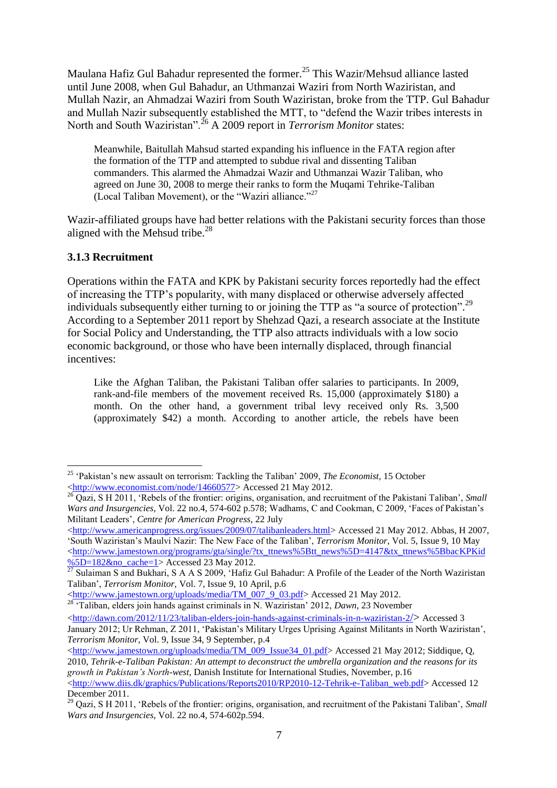Maulana Hafiz Gul Bahadur represented the former.<sup>25</sup> This Wazir/Mehsud alliance lasted until June 2008, when Gul Bahadur, an Uthmanzai Waziri from North Waziristan, and Mullah Nazir, an Ahmadzai Waziri from South Waziristan, broke from the TTP. Gul Bahadur and Mullah Nazir subsequently established the MTT, to "defend the Wazir tribes interests in North and South Waziristan".<sup>26</sup> A 2009 report in *Terrorism Monitor* states:

Meanwhile, Baitullah Mahsud started expanding his influence in the FATA region after the formation of the TTP and attempted to subdue rival and dissenting Taliban commanders. This alarmed the Ahmadzai Wazir and Uthmanzai Wazir Taliban, who agreed on June 30, 2008 to merge their ranks to form the Muqami Tehrike-Taliban (Local Taliban Movement), or the "Waziri alliance."<sup>27</sup>

Wazir-affiliated groups have had better relations with the Pakistani security forces than those aligned with the Mehsud tribe.<sup>28</sup>

#### <span id="page-6-0"></span>**3.1.3 Recruitment**

1

Operations within the FATA and KPK by Pakistani security forces reportedly had the effect of increasing the TTP"s popularity, with many displaced or otherwise adversely affected individuals subsequently either turning to or joining the TTP as "a source of protection".<sup>29</sup> According to a September 2011 report by Shehzad Qazi, a research associate at the Institute for Social Policy and Understanding, the TTP also attracts individuals with a low socio economic background, or those who have been internally displaced, through financial incentives:

Like the Afghan Taliban, the Pakistani Taliban offer salaries to participants. In 2009, rank-and-file members of the movement received Rs. 15,000 (approximately \$180) a month. On the other hand, a government tribal levy received only Rs. 3,500 (approximately \$42) a month. According to another article, the rebels have been

[<http://www.jamestown.org/uploads/media/TM\\_007\\_9\\_03.pdf>](http://www.jamestown.org/uploads/media/TM_007_9_03.pdf) Accessed 21 May 2012.

[<http://www.jamestown.org/uploads/media/TM\\_009\\_Issue34\\_01.pdf>](http://www.jamestown.org/uploads/media/TM_009_Issue34_01.pdf) Accessed 21 May 2012; Siddique, Q, 2010, *Tehrik-e-Taliban Pakistan: An attempt to deconstruct the umbrella organization and the reasons for its growth in Pakistan's North-west*, Danish Institute for International Studies, November, p.16

<sup>&</sup>lt;sup>25</sup> 'Pakistan's new assault on terrorism: Tackling the Taliban' 2009, *The Economist*, 15 October [<http://www.economist.com/node/14660577>](http://www.economist.com/node/14660577) Accessed 21 May 2012.

<sup>26</sup> Qazi, S H 2011, 'Rebels of the frontier: origins, organisation, and recruitment of the Pakistani Taliban', *Small Wars and Insurgencies*, Vol. 22 no.4, 574-602 p.578; Wadhams, C and Cookman, C 2009, "Faces of Pakistan"s Militant Leaders", *Centre for American Progress*, 22 July

[<sup>&</sup>lt;http://www.americanprogress.org/issues/2009/07/talibanleaders.html>](http://www.americanprogress.org/issues/2009/07/talibanleaders.html) Accessed 21 May 2012. Abbas, H 2007, "South Waziristan"s Maulvi Nazir: The New Face of the Taliban", *Terrorism Monitor*, Vol. 5, Issue 9, 10 May  $\lt$ http://www.jamestown.org/programs/gta/single/?tx\_ttnews%5Btt\_news%5D=4147&tx\_ttnews%5BbacKPKid  $\frac{\%5D=182\&no\text{ cache}=1}$  Accessed 23 May 2012.

<sup>&</sup>lt;sup>27</sup> Sulaiman S and Bukhari, S A A S 2009, 'Hafiz Gul Bahadur: A Profile of the Leader of the North Waziristan Taliban", *Terrorism Monitor*, Vol. 7, Issue 9, 10 April, p.6

<sup>28</sup> "Taliban, elders join hands against criminals in N. Waziristan" 2012, *Dawn*, 23 November  $\lt$ http://dawn.com/2012/11/23/taliban-elders-join-hands-against-criminals-in-n-waziristan-2/> Accessed 3

January 2012; Ur Rehman, Z 2011, "Pakistan"s Military Urges Uprising Against Militants in North Waziristan", *Terrorism Monitor*, Vol. 9, Issue 34, 9 September, p.4

[<sup>&</sup>lt;http://www.diis.dk/graphics/Publications/Reports2010/RP2010-12-Tehrik-e-Taliban\\_web.pdf>](http://www.diis.dk/graphics/Publications/Reports2010/RP2010-12-Tehrik-e-Taliban_web.pdf) Accessed 12 December 2011.

<sup>&</sup>lt;sup>29</sup> Oazi, S H 2011, 'Rebels of the frontier: origins, organisation, and recruitment of the Pakistani Taliban', *Small Wars and Insurgencies*, Vol. 22 no.4, 574-602p.594.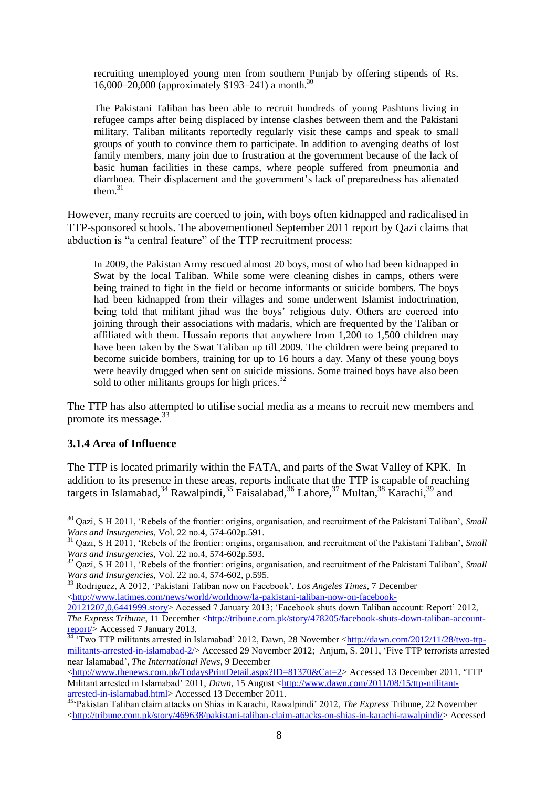recruiting unemployed young men from southern Punjab by offering stipends of Rs. 16,000–20,000 (approximately \$193–241) a month.<sup>30</sup>

The Pakistani Taliban has been able to recruit hundreds of young Pashtuns living in refugee camps after being displaced by intense clashes between them and the Pakistani military. Taliban militants reportedly regularly visit these camps and speak to small groups of youth to convince them to participate. In addition to avenging deaths of lost family members, many join due to frustration at the government because of the lack of basic human facilities in these camps, where people suffered from pneumonia and diarrhoea. Their displacement and the government"s lack of preparedness has alienated them. $31$ 

However, many recruits are coerced to join, with boys often kidnapped and radicalised in TTP-sponsored schools. The abovementioned September 2011 report by Qazi claims that abduction is "a central feature" of the TTP recruitment process:

In 2009, the Pakistan Army rescued almost 20 boys, most of who had been kidnapped in Swat by the local Taliban. While some were cleaning dishes in camps, others were being trained to fight in the field or become informants or suicide bombers. The boys had been kidnapped from their villages and some underwent Islamist indoctrination, being told that militant jihad was the boys' religious duty. Others are coerced into joining through their associations with madaris, which are frequented by the Taliban or affiliated with them. Hussain reports that anywhere from 1,200 to 1,500 children may have been taken by the Swat Taliban up till 2009. The children were being prepared to become suicide bombers, training for up to 16 hours a day. Many of these young boys were heavily drugged when sent on suicide missions. Some trained boys have also been sold to other militants groups for high prices.<sup>32</sup>

The TTP has also attempted to utilise social media as a means to recruit new members and promote its message.<sup>33</sup>

#### <span id="page-7-0"></span>**3.1.4 Area of Influence**

1

The TTP is located primarily within the FATA, and parts of the Swat Valley of KPK. In addition to its presence in these areas, reports indicate that the TTP is capable of reaching targets in Islamabad,<sup>34</sup> Rawalpindi,<sup>35</sup> Faisalabad,<sup>36</sup> Lahore,<sup>37</sup> Multan,<sup>38</sup> Karachi,<sup>39</sup> and

<sup>30</sup> Qazi, S H 2011, "Rebels of the frontier: origins, organisation, and recruitment of the Pakistani Taliban", *Small Wars and Insurgencies*, Vol. 22 no.4, 574-602p.591.

<sup>&</sup>lt;sup>31</sup> Oazi, S H 2011, 'Rebels of the frontier: origins, organisation, and recruitment of the Pakistani Taliban', *Small Wars and Insurgencies*, Vol. 22 no.4, 574-602p.593.

<sup>&</sup>lt;sup>32</sup> Oazi, S H 2011, 'Rebels of the frontier: origins, organisation, and recruitment of the Pakistani Taliban', *Small Wars and Insurgencies*, Vol. 22 no.4, 574-602, p.595.

<sup>33</sup> Rodriguez, A 2012, "Pakistani Taliban now on Facebook", *Los Angeles Times*, 7 December [<http://www.latimes.com/news/world/worldnow/la-pakistani-taliban-now-on-facebook-](http://www.latimes.com/news/world/worldnow/la-pakistani-taliban-now-on-facebook-20121207,0,6441999.story)

[<sup>20121207,0,6441999.</sup>story>](http://www.latimes.com/news/world/worldnow/la-pakistani-taliban-now-on-facebook-20121207,0,6441999.story) Accessed 7 January 2013; "Facebook shuts down Taliban account: Report" 2012, *The Express Tribune*, 11 December [<http://tribune.com.pk/story/478205/facebook-shuts-down-taliban-account](http://tribune.com.pk/story/478205/facebook-shuts-down-taliban-account-report/)[report/>](http://tribune.com.pk/story/478205/facebook-shuts-down-taliban-account-report/) Accessed 7 January 2013.

<sup>&</sup>lt;sup>34 "</sup>Two TTP militants arrested in Islamabad' 2012, Dawn, 28 November [<http://dawn.com/2012/11/28/two-ttp](http://dawn.com/2012/11/28/two-ttp-militants-arrested-in-islamabad-2/)[militants-arrested-in-islamabad-2/>](http://dawn.com/2012/11/28/two-ttp-militants-arrested-in-islamabad-2/) Accessed 29 November 2012; Anjum, S. 2011, "Five TTP terrorists arrested near Islamabad", *The International News*, 9 December

[<sup>&</sup>lt;http://www.thenews.com.pk/TodaysPrintDetail.aspx?ID=81370&Cat=2>](http://www.thenews.com.pk/TodaysPrintDetail.aspx?ID=81370&Cat=2) Accessed 13 December 2011. "TTP Militant arrested in Islamabad' 2011, *Dawn*, 15 August [<http://www.dawn.com/2011/08/15/ttp-militant](http://www.dawn.com/2011/08/15/ttp-militant-arrested-in-islamabad.html)[arrested-in-islamabad.html>](http://www.dawn.com/2011/08/15/ttp-militant-arrested-in-islamabad.html) Accessed 13 December 2011.

<sup>35</sup>"Pakistan Taliban claim attacks on Shias in Karachi, Rawalpindi" 2012, *The Express* Tribune, 22 November [<http://tribune.com.pk/story/469638/pakistani-taliban-claim-attacks-on-shias-in-karachi-rawalpindi/>](http://tribune.com.pk/story/469638/pakistani-taliban-claim-attacks-on-shias-in-karachi-rawalpindi/) Accessed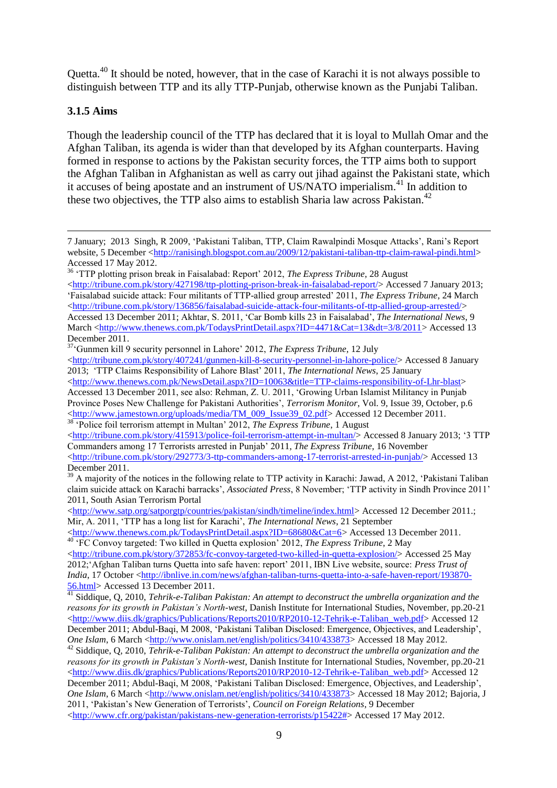Quetta.<sup>40</sup> It should be noted, however, that in the case of Karachi it is not always possible to distinguish between TTP and its ally TTP-Punjab, otherwise known as the Punjabi Taliban.

### <span id="page-8-0"></span>**3.1.5 Aims**

1

Though the leadership council of the TTP has declared that it is loyal to Mullah Omar and the Afghan Taliban, its agenda is wider than that developed by its Afghan counterparts. Having formed in response to actions by the Pakistan security forces, the TTP aims both to support the Afghan Taliban in Afghanistan as well as carry out jihad against the Pakistani state, which it accuses of being apostate and an instrument of US/NATO imperialism.<sup>41</sup> In addition to these two objectives, the TTP also aims to establish Sharia law across Pakistan.<sup>42</sup>

[<http://tribune.com.pk/story/415913/police-foil-terrorism-attempt-in-multan/>](http://tribune.com.pk/story/415913/police-foil-terrorism-attempt-in-multan/) Accessed 8 January 2013; '3 TTP Commanders among 17 Terrorists arrested in Punjab" 2011, *The Express Tribune*, 16 November [<http://tribune.com.pk/story/292773/3-ttp-commanders-among-17-terrorist-arrested-in-punjab/>](http://tribune.com.pk/story/292773/3-ttp-commanders-among-17-terrorist-arrested-in-punjab/) Accessed 13 December 2011.

<sup>7</sup> January; 2013 Singh, R 2009, "Pakistani Taliban, TTP, Claim Rawalpindi Mosque Attacks", Rani"s Report website. 5 December [<http://ranisingh.blogspot.com.au/2009/12/pakistani-taliban-ttp-claim-rawal-pindi.html>](http://ranisingh.blogspot.com.au/2009/12/pakistani-taliban-ttp-claim-rawal-pindi.html) Accessed 17 May 2012.

<sup>36</sup> "TTP plotting prison break in Faisalabad: Report" 2012, *The Express Tribune*, 28 August [<http://tribune.com.pk/story/427198/ttp-plotting-prison-break-in-faisalabad-report/>](http://tribune.com.pk/story/427198/ttp-plotting-prison-break-in-faisalabad-report/) Accessed 7 January 2013; "Faisalabad suicide attack: Four militants of TTP-allied group arrested" 2011, *The Express Tribune*, 24 March [<http://tribune.com.pk/story/136856/faisalabad-suicide-attack-four-militants-of-ttp-allied-group-arrested/>](http://tribune.com.pk/story/136856/faisalabad-suicide-attack-four-militants-of-ttp-allied-group-arrested/) Accessed 13 December 2011; Akhtar, S. 2011, "Car Bomb kills 23 in Faisalabad", *The International News*, 9

March [<http://www.thenews.com.pk/TodaysPrintDetail.aspx?ID=4471&Cat=13&dt=3/8/2011>](http://www.thenews.com.pk/TodaysPrintDetail.aspx?ID=4471&Cat=13&dt=3/8/2011) Accessed 13 December 2011.

<sup>&</sup>lt;sup>37</sup>'Gunmen kill 9 security personnel in Lahore' 2012, *The Express Tribune*, 12 July

 $\text{th}(t)$ ://tribune.com.pk/story/407241/gunmen-kill-8-security-personnel-in-lahore-police/> Accessed 8 January 2013; "TTP Claims Responsibility of Lahore Blast" 2011, *The International News*, 25 January

 $\langle$ http://www.thenews.com.pk/NewsDetail.aspx?ID=10063&title=TTP-claims-responsibility-of-Lhr-blast> Accessed 13 December 2011, see also: Rehman, Z. U. 2011, "Growing Urban Islamist Militancy in Punjab Province Poses New Challenge for Pakistani Authorities", *Terrorism Monitor*, Vol. 9, Issue 39, October, p.6 [<http://www.jamestown.org/uploads/media/TM\\_009\\_Issue39\\_02.pdf>](http://www.jamestown.org/uploads/media/TM_009_Issue39_02.pdf) Accessed 12 December 2011. <sup>38</sup> Police foil terrorism attempt in Multan' 2012, *The Express Tribune*, 1 August

 $39$  A majority of the notices in the following relate to TTP activity in Karachi: Jawad, A 2012, 'Pakistani Taliban claim suicide attack on Karachi barracks", *Associated Press*, 8 November; "TTP activity in Sindh Province 2011" 2011, South Asian Terrorism Portal

[<sup>&</sup>lt;http://www.satp.org/satporgtp/countries/pakistan/sindh/timeline/index.html>](http://www.satp.org/satporgtp/countries/pakistan/sindh/timeline/index.html) Accessed 12 December 2011.; Mir, A. 2011, "TTP has a long list for Karachi", *The International News*, 21 September

[<sup>&</sup>lt;http://www.thenews.com.pk/TodaysPrintDetail.aspx?ID=68680&Cat=6>](http://www.thenews.com.pk/TodaysPrintDetail.aspx?ID=68680&Cat=6) Accessed 13 December 2011. <sup>40</sup> "FC Convoy targeted: Two killed in Quetta explosion" 2012, *The Express Tribune*, 2 May

 $\langle$ http://tribune.com.pk/story/372853/fc-convoy-targeted-two-killed-in-quetta-explosion/> Accessed 25 May 2012;"Afghan Taliban turns Quetta into safe haven: report" 2011, IBN Live website, source: *Press Trust of India*, 17 October [<http://ibnlive.in.com/news/afghan-taliban-turns-quetta-into-a-safe-haven-report/193870-](http://ibnlive.in.com/news/afghan-taliban-turns-quetta-into-a-safe-haven-report/193870-56.html) [56.html>](http://ibnlive.in.com/news/afghan-taliban-turns-quetta-into-a-safe-haven-report/193870-56.html) Accessed 13 December 2011.

<sup>&</sup>lt;sup>41</sup> Siddique, Q, 2010, *Tehrik-e-Taliban Pakistan: An attempt to deconstruct the umbrella organization and the reasons for its growth in Pakistan's North-west*, Danish Institute for International Studies, November, pp.20-21 [<http://www.diis.dk/graphics/Publications/Reports2010/RP2010-12-Tehrik-e-Taliban\\_web.pdf>](http://www.diis.dk/graphics/Publications/Reports2010/RP2010-12-Tehrik-e-Taliban_web.pdf) Accessed 12 December 2011; Abdul-Baqi, M 2008, 'Pakistani Taliban Disclosed: Emergence, Objectives, and Leadership', *One Islam*, 6 March [<http://www.onislam.net/english/politics/3410/433873>](http://www.onislam.net/english/politics/3410/433873) Accessed 18 May 2012.

<sup>42</sup> Siddique, Q, 2010, *Tehrik-e-Taliban Pakistan: An attempt to deconstruct the umbrella organization and the reasons for its growth in Pakistan's North-west*, Danish Institute for International Studies, November, pp.20-21 [<http://www.diis.dk/graphics/Publications/Reports2010/RP2010-12-Tehrik-e-Taliban\\_web.pdf>](http://www.diis.dk/graphics/Publications/Reports2010/RP2010-12-Tehrik-e-Taliban_web.pdf) Accessed 12 December 2011; Abdul-Baqi, M 2008, "Pakistani Taliban Disclosed: Emergence, Objectives, and Leadership", *One Islam*, 6 March [<http://www.onislam.net/english/politics/3410/433873>](http://www.onislam.net/english/politics/3410/433873) Accessed 18 May 2012; Bajoria, J 2011, "Pakistan"s New Generation of Terrorists", *Council on Foreign Relations*, 9 December [<http://www.cfr.org/pakistan/pakistans-new-generation-terrorists/p15422#>](http://www.cfr.org/pakistan/pakistans-new-generation-terrorists/p15422) Accessed 17 May 2012.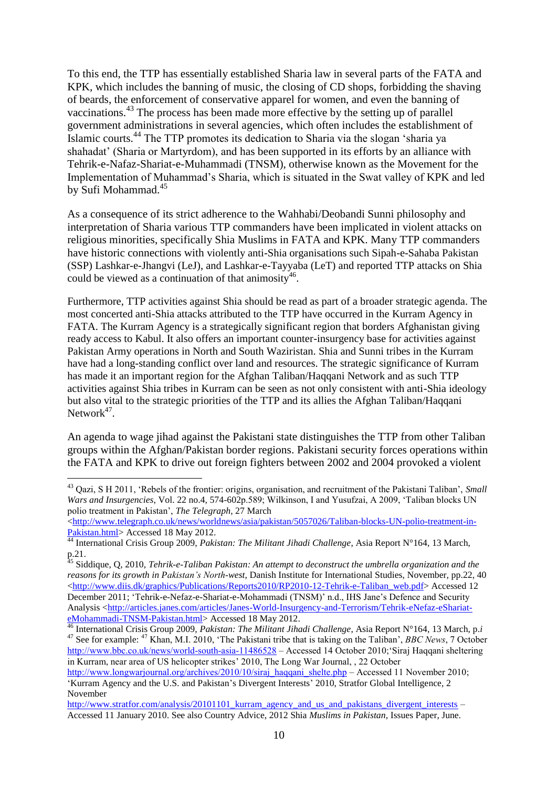To this end, the TTP has essentially established Sharia law in several parts of the FATA and KPK, which includes the banning of music, the closing of CD shops, forbidding the shaving of beards, the enforcement of conservative apparel for women, and even the banning of vaccinations.<sup>43</sup> The process has been made more effective by the setting up of parallel government administrations in several agencies, which often includes the establishment of Islamic courts. <sup>44</sup> The TTP promotes its dedication to Sharia via the slogan "sharia ya shahadat" (Sharia or Martyrdom), and has been supported in its efforts by an alliance with Tehrik-e-Nafaz-Shariat-e-Muhammadi (TNSM), otherwise known as the Movement for the Implementation of Muhammad"s Sharia, which is situated in the Swat valley of KPK and led by Sufi Mohammad. 45

As a consequence of its strict adherence to the Wahhabi/Deobandi Sunni philosophy and interpretation of Sharia various TTP commanders have been implicated in violent attacks on religious minorities, specifically Shia Muslims in FATA and KPK. Many TTP commanders have historic connections with violently anti-Shia organisations such Sipah-e-Sahaba Pakistan (SSP) Lashkar-e-Jhangvi (LeJ), and Lashkar-e-Tayyaba (LeT) and reported TTP attacks on Shia could be viewed as a continuation of that animosity<sup>46</sup>.

Furthermore, TTP activities against Shia should be read as part of a broader strategic agenda. The most concerted anti-Shia attacks attributed to the TTP have occurred in the Kurram Agency in FATA. The Kurram Agency is a strategically significant region that borders Afghanistan giving ready access to Kabul. It also offers an important counter-insurgency base for activities against Pakistan Army operations in North and South Waziristan. Shia and Sunni tribes in the Kurram have had a long-standing conflict over land and resources. The strategic significance of Kurram has made it an important region for the Afghan Taliban/Haqqani Network and as such TTP activities against Shia tribes in Kurram can be seen as not only consistent with anti-Shia ideology but also vital to the strategic priorities of the TTP and its allies the Afghan Taliban/Haqqani Network $47$ .

An agenda to wage jihad against the Pakistani state distinguishes the TTP from other Taliban groups within the Afghan/Pakistan border regions. Pakistani security forces operations within the FATA and KPK to drive out foreign fighters between 2002 and 2004 provoked a violent

1

<sup>43</sup> Qazi, S H 2011, "Rebels of the frontier: origins, organisation, and recruitment of the Pakistani Taliban", *Small Wars and Insurgencies*, Vol. 22 no.4, 574-602p.589; Wilkinson, I and Yusufzai, A 2009, "Taliban blocks UN polio treatment in Pakistan", *The Telegraph*, 27 March

[<sup>&</sup>lt;http://www.telegraph.co.uk/news/worldnews/asia/pakistan/5057026/Taliban-blocks-UN-polio-treatment-in-](http://www.telegraph.co.uk/news/worldnews/asia/pakistan/5057026/Taliban-blocks-UN-polio-treatment-in-Pakistan.html)[Pakistan.html>](http://www.telegraph.co.uk/news/worldnews/asia/pakistan/5057026/Taliban-blocks-UN-polio-treatment-in-Pakistan.html) Accessed 18 May 2012.

<sup>44</sup> International Crisis Group 2009, *Pakistan: The Militant Jihadi Challenge*, Asia Report N°164, 13 March, p.21.

<sup>45</sup> Siddique, Q, 2010, *Tehrik-e-Taliban Pakistan: An attempt to deconstruct the umbrella organization and the reasons for its growth in Pakistan's North-west*, Danish Institute for International Studies, November, pp.22, 40 [<http://www.diis.dk/graphics/Publications/Reports2010/RP2010-12-Tehrik-e-Taliban\\_web.pdf>](http://www.diis.dk/graphics/Publications/Reports2010/RP2010-12-Tehrik-e-Taliban_web.pdf) Accessed 12 December 2011; "Tehrik-e-Nefaz-e-Shariat-e-Mohammadi (TNSM)" n.d., IHS Jane"s Defence and Security Analysis [<http://articles.janes.com/articles/Janes-World-Insurgency-and-Terrorism/Tehrik-eNefaz-eShariat](http://articles.janes.com/articles/Janes-World-Insurgency-and-Terrorism/Tehrik-eNefaz-eShariat-eMohammadi-TNSM-Pakistan.html)[eMohammadi-TNSM-Pakistan.html>](http://articles.janes.com/articles/Janes-World-Insurgency-and-Terrorism/Tehrik-eNefaz-eShariat-eMohammadi-TNSM-Pakistan.html) Accessed 18 May 2012.

<sup>46</sup> International Crisis Group 2009, *Pakistan: The Militant Jihadi Challenge*, Asia Report N°164, 13 March, p.*i* <sup>47</sup> See for example: <sup>47</sup> Khan, M.I. 2010, 'The Pakistani tribe that is taking on the Taliban', *BBC News*, 7 October <http://www.bbc.co.uk/news/world-south-asia-11486528> – Accessed 14 October 2010; Siraj Haqqani sheltering in Kurram, near area of US helicopter strikes' 2010, The Long War Journal, , 22 October

[http://www.longwarjournal.org/archives/2010/10/siraj\\_haqqani\\_shelte.php](http://www.longwarjournal.org/archives/2010/10/siraj_haqqani_shelte.php) – Accessed 11 November 2010; "Kurram Agency and the U.S. and Pakistan"s Divergent Interests" 2010, Stratfor Global Intelligence, 2 November

[http://www.stratfor.com/analysis/20101101\\_kurram\\_agency\\_and\\_us\\_and\\_pakistans\\_divergent\\_interests](http://www.stratfor.com/analysis/20101101_kurram_agency_and_us_and_pakistans_divergent_interests) – Accessed 11 January 2010. See also Country Advice, 2012 Shia *Muslims in Pakistan*, Issues Paper, June.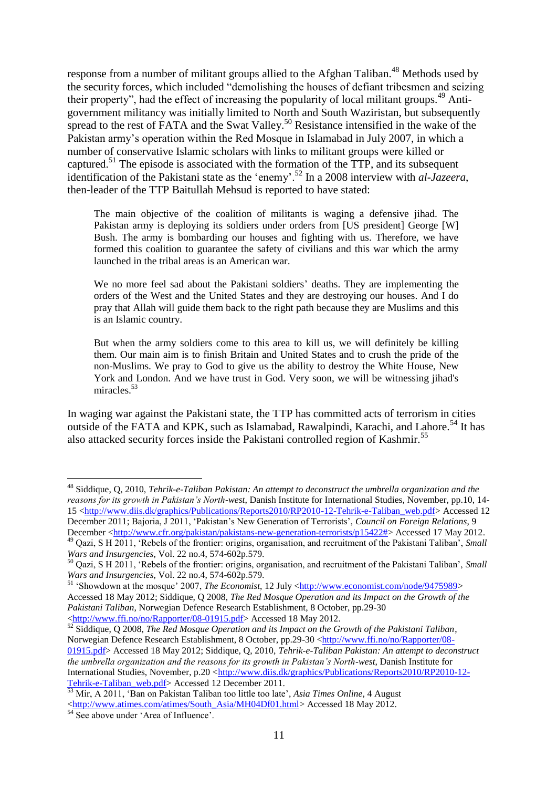response from a number of militant groups allied to the Afghan Taliban.<sup>48</sup> Methods used by the security forces, which included "demolishing the houses of defiant tribesmen and seizing their property", had the effect of increasing the popularity of local militant groups. <sup>49</sup> Antigovernment militancy was initially limited to North and South Waziristan, but subsequently spread to the rest of FATA and the Swat Valley.<sup>50</sup> Resistance intensified in the wake of the Pakistan army"s operation within the Red Mosque in Islamabad in July 2007, in which a number of conservative Islamic scholars with links to militant groups were killed or captured.<sup>51</sup> The episode is associated with the formation of the TTP, and its subsequent identification of the Pakistani state as the "enemy".<sup>52</sup> In a 2008 interview with *al-Jazeera*, then-leader of the TTP Baitullah Mehsud is reported to have stated:

The main objective of the coalition of militants is waging a defensive jihad. The Pakistan army is deploying its soldiers under orders from [US president] George [W] Bush. The army is bombarding our houses and fighting with us. Therefore, we have formed this coalition to guarantee the safety of civilians and this war which the army launched in the tribal areas is an American war.

We no more feel sad about the Pakistani soldiers' deaths. They are implementing the orders of the West and the United States and they are destroying our houses. And I do pray that Allah will guide them back to the right path because they are Muslims and this is an Islamic country.

But when the army soldiers come to this area to kill us, we will definitely be killing them. Our main aim is to finish Britain and United States and to crush the pride of the non-Muslims. We pray to God to give us the ability to destroy the White House, New York and London. And we have trust in God. Very soon, we will be witnessing jihad's miracles<sup>53</sup>

In waging war against the Pakistani state, the TTP has committed acts of terrorism in cities outside of the FATA and KPK, such as Islamabad, Rawalpindi, Karachi, and Lahore.<sup>54</sup> It has also attacked security forces inside the Pakistani controlled region of Kashmir.<sup>55</sup>

1

<sup>48</sup> Siddique, Q, 2010, *Tehrik-e-Taliban Pakistan: An attempt to deconstruct the umbrella organization and the reasons for its growth in Pakistan's North-west*, Danish Institute for International Studies, November, pp.10, 14- 15 [<http://www.diis.dk/graphics/Publications/Reports2010/RP2010-12-Tehrik-e-Taliban\\_web.pdf>](http://www.diis.dk/graphics/Publications/Reports2010/RP2010-12-Tehrik-e-Taliban_web.pdf) Accessed 12 December 2011; Bajoria, J 2011, "Pakistan"s New Generation of Terrorists", *Council on Foreign Relations*, 9 December [<http://www.cfr.org/pakistan/pakistans-new-generation-terrorists/p15422#>](http://www.cfr.org/pakistan/pakistans-new-generation-terrorists/p15422) Accessed 17 May 2012.

<sup>49</sup> Qazi, S H 2011, "Rebels of the frontier: origins, organisation, and recruitment of the Pakistani Taliban", *Small Wars and Insurgencies*, Vol. 22 no.4, 574-602p.579.

<sup>50</sup> Qazi, S H 2011, "Rebels of the frontier: origins, organisation, and recruitment of the Pakistani Taliban", *Small Wars and Insurgencies*, Vol. 22 no.4, 574-602p.579.

<sup>&</sup>lt;sup>51</sup> 'Showdown at the mosque' 2007, *The Economist*, 12 July [<http://www.economist.com/node/9475989>](http://www.economist.com/node/9475989) Accessed 18 May 2012; Siddique, Q 2008, *The Red Mosque Operation and its Impact on the Growth of the Pakistani Taliban*, Norwegian Defence Research Establishment, 8 October, pp.29-30 [<http://www.ffi.no/no/Rapporter/08-01915.pdf>](http://www.ffi.no/no/Rapporter/08-01915.pdf) Accessed 18 May 2012.

<sup>52</sup> Siddique, Q 2008, *The Red Mosque Operation and its Impact on the Growth of the Pakistani Taliban*, Norwegian Defence Research Establishment, 8 October, pp.29-30 [<http://www.ffi.no/no/Rapporter/08-](http://www.ffi.no/no/Rapporter/08-01915.pdf) [01915.pdf>](http://www.ffi.no/no/Rapporter/08-01915.pdf) Accessed 18 May 2012; Siddique, Q, 2010, *Tehrik-e-Taliban Pakistan: An attempt to deconstruct the umbrella organization and the reasons for its growth in Pakistan's North-west*, Danish Institute for International Studies, November, p.20 [<http://www.diis.dk/graphics/Publications/Reports2010/RP2010-12-](http://www.diis.dk/graphics/Publications/Reports2010/RP2010-12-Tehrik-e-Taliban_web.pdf) [Tehrik-e-Taliban\\_web.pdf>](http://www.diis.dk/graphics/Publications/Reports2010/RP2010-12-Tehrik-e-Taliban_web.pdf) Accessed 12 December 2011.

<sup>53</sup> Mir, A 2011, "Ban on Pakistan Taliban too little too late", *Asia Times Online*, 4 August [<http://www.atimes.com/atimes/South\\_Asia/MH04Df01.html>](http://www.atimes.com/atimes/South_Asia/MH04Df01.html) Accessed 18 May 2012.

 $54$  See above under 'Area of Influence'.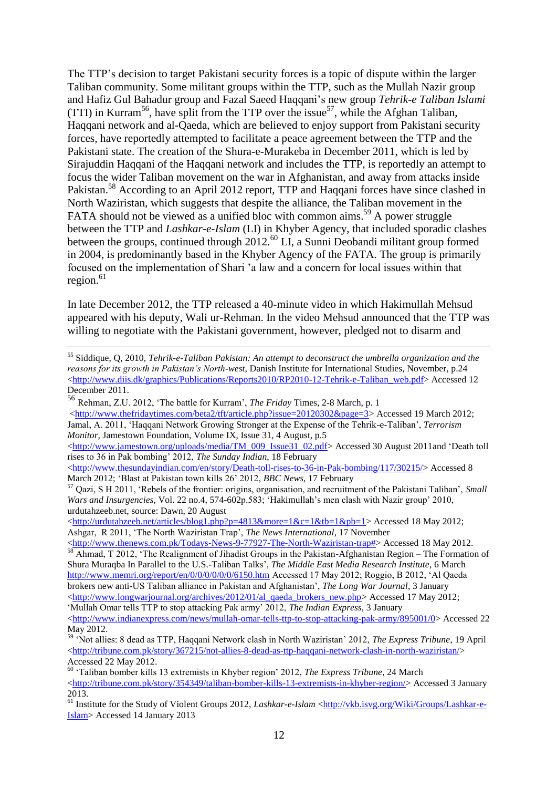The TTP"s decision to target Pakistani security forces is a topic of dispute within the larger Taliban community. Some militant groups within the TTP, such as the Mullah Nazir group and Hafiz Gul Bahadur group and Fazal Saeed Haqqani"s new group *Tehrik-e Taliban Islami* (TTI) in Kurram<sup>56</sup>, have split from the TTP over the issue<sup>57</sup>, while the Afghan Taliban, Haqqani network and al-Qaeda, which are believed to enjoy support from Pakistani security forces, have reportedly attempted to facilitate a peace agreement between the TTP and the Pakistani state. The creation of the Shura-e-Murakeba in December 2011, which is led by Sirajuddin Haqqani of the Haqqani network and includes the TTP, is reportedly an attempt to focus the wider Taliban movement on the war in Afghanistan, and away from attacks inside Pakistan.<sup>58</sup> According to an April 2012 report, TTP and Haqqani forces have since clashed in North Waziristan, which suggests that despite the alliance, the Taliban movement in the FATA should not be viewed as a unified bloc with common aims.<sup>59</sup> A power struggle between the TTP and *Lashkar-e-Islam* (LI) in Khyber Agency, that included sporadic clashes between the groups, continued through 2012.<sup>60</sup> LI, a Sunni Deobandi militant group formed in 2004, is predominantly based in the Khyber Agency of the FATA. The group is primarily focused on the implementation of Shari "a law and a concern for local issues within that region. $61$ 

In late December 2012, the TTP released a 40-minute video in which Hakimullah Mehsud appeared with his deputy, Wali ur-Rehman. In the video Mehsud announced that the TTP was willing to negotiate with the Pakistani government, however, pledged not to disarm and

<u>.</u>

[<http://www.thefridaytimes.com/beta2/tft/article.php?issue=20120302&page=3>](http://www.thefridaytimes.com/beta2/tft/article.php?issue=20120302&page=3) Accessed 19 March 2012; Jamal, A. 2011, "Haqqani Network Growing Stronger at the Expense of the Tehrik-e-Taliban", *Terrorism Monitor*, Jamestown Foundation, Volume IX, Issue 31, 4 August, p.5

[<http://www.jamestown.org/uploads/media/TM\\_009\\_Issue31\\_02.pdf>](http://www.jamestown.org/uploads/media/TM_009_Issue31_02.pdf) Accessed 30 August 2011and 'Death toll rises to 36 in Pak bombing" 2012, *The Sunday Indian*, 18 February

[<http://www.thesundayindian.com/en/story/Death-toll-rises-to-36-in-Pak-bombing/117/30215/>](http://www.thesundayindian.com/en/story/Death-toll-rises-to-36-in-Pak-bombing/117/30215/) Accessed 8 March 2012; "Blast at Pakistan town kills 26" 2012, *BBC News*, 17 February

[<http://www.thenews.com.pk/Todays-News-9-77927-The-North-Waziristan-trap#>](http://www.thenews.com.pk/Todays-News-9-77927-The-North-Waziristan-trap) Accessed 18 May 2012. <sup>58</sup> Ahmad, T 2012, 'The Realignment of Jihadist Groups in the Pakistan-Afghanistan Region – The Formation of Shura Muraqba In Parallel to the U.S.-Taliban Talks", *The Middle East Media Research Institute*, 6 March <http://www.memri.org/report/en/0/0/0/0/0/0/6150.htm> Accessed 17 May 2012; Roggio, B 2012, "Al Qaeda brokers new anti-US Taliban alliance in Pakistan and Afghanistan", *The Long War Journal*, 3 January  $\lt$ http://www.longwarjournal.org/archives/2012/01/al qaeda brokers\_new.php> Accessed 17 May 2012;

<sup>55</sup> Siddique, Q, 2010, *Tehrik-e-Taliban Pakistan: An attempt to deconstruct the umbrella organization and the reasons for its growth in Pakistan's North-west*, Danish Institute for International Studies, November, p.24 [<http://www.diis.dk/graphics/Publications/Reports2010/RP2010-12-Tehrik-e-Taliban\\_web.pdf>](http://www.diis.dk/graphics/Publications/Reports2010/RP2010-12-Tehrik-e-Taliban_web.pdf) Accessed 12 December 2011.

<sup>56</sup> Rehman, Z.U. 2012, "The battle for Kurram", *The Friday* Times, 2-8 March, p. 1

<sup>57</sup> Qazi, S H 2011, "Rebels of the frontier: origins, organisation, and recruitment of the Pakistani Taliban", *Small Wars and Insurgencies*, Vol. 22 no.4, 574-602p.583; "Hakimullah"s men clash with Nazir group" 2010, urdutahzeeb.net, source: Dawn, 20 August

[<sup>&</sup>lt;http://urdutahzeeb.net/articles/blog1.php?p=4813&more=1&c=1&tb=1&pb=1>](http://urdutahzeeb.net/articles/blog1.php?p=4813&more=1&c=1&tb=1&pb=1)Accessed 18 May 2012; Ashgar, R 2011, "The North Waziristan Trap", *The News International*, 17 November

<sup>&</sup>quot;Mullah Omar tells TTP to stop attacking Pak army" 2012, *The Indian Express*, 3 January [<http://www.indianexpress.com/news/mullah-omar-tells-ttp-to-stop-attacking-pak-army/895001/0>](http://www.indianexpress.com/news/mullah-omar-tells-ttp-to-stop-attacking-pak-army/895001/0) Accessed 22 May 2012.

<sup>59</sup> "Not allies: 8 dead as TTP, Haqqani Network clash in North Waziristan" 2012, *The Express Tribune*, 19 April [<http://tribune.com.pk/story/367215/not-allies-8-dead-as-ttp-haqqani-network-clash-in-north-waziristan/>](http://tribune.com.pk/story/367215/not-allies-8-dead-as-ttp-haqqani-network-clash-in-north-waziristan/) Accessed 22 May 2012.

<sup>60</sup> "Taliban bomber kills 13 extremists in Khyber region" 2012, *The Express Tribune*, 24 March [<http://tribune.com.pk/story/354349/taliban-bomber-kills-13-extremists-in-khyber-region/>](http://tribune.com.pk/story/354349/taliban-bomber-kills-13-extremists-in-khyber-region/) Accessed 3 January 2013.

<sup>61</sup> Institute for the Study of Violent Groups 2012, *Lashkar-e-Islam* [<http://vkb.isvg.org/Wiki/Groups/Lashkar-e-](http://vkb.isvg.org/Wiki/Groups/Lashkar-e-Islam)[Islam>](http://vkb.isvg.org/Wiki/Groups/Lashkar-e-Islam) Accessed 14 January 2013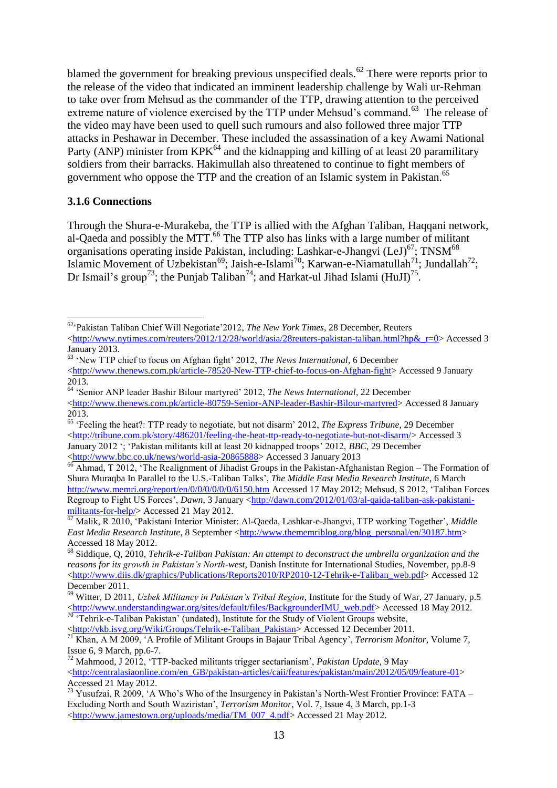blamed the government for breaking previous unspecified deals.<sup>62</sup> There were reports prior to the release of the video that indicated an imminent leadership challenge by Wali ur-Rehman to take over from Mehsud as the commander of the TTP, drawing attention to the perceived extreme nature of violence exercised by the TTP under Mehsud's command.<sup>63</sup> The release of the video may have been used to quell such rumours and also followed three major TTP attacks in Peshawar in December. These included the assassination of a key Awami National Party (ANP) minister from  $KPK^{64}$  and the kidnapping and killing of at least 20 paramilitary soldiers from their barracks. Hakimullah also threatened to continue to fight members of government who oppose the TTP and the creation of an Islamic system in Pakistan.<sup>65</sup>

#### <span id="page-12-0"></span>**3.1.6 Connections**

<u>.</u>

Through the Shura-e-Murakeba, the TTP is allied with the Afghan Taliban, Haqqani network, al-Qaeda and possibly the MTT.<sup>66</sup> The TTP also has links with a large number of militant organisations operating inside Pakistan, including: Lashkar-e-Jhangvi (LeJ)<sup>67</sup>; TNSM<sup>68</sup> Islamic Movement of Uzbekistan<sup>69</sup>; Jaish-e-Islami<sup>70</sup>; Karwan-e-Niamatullah<sup>71</sup>; Jundallah<sup>72</sup>; Dr Ismail's group<sup>73</sup>; the Punjab Taliban<sup>74</sup>; and Harkat-ul Jihad Islami (HuJI)<sup>75</sup>.

<sup>70</sup> 'Tehrik-e-Taliban Pakistan' (undated), Institute for the Study of Violent Groups website, [<http://vkb.isvg.org/Wiki/Groups/Tehrik-e-Taliban\\_Pakistan>](http://vkb.isvg.org/Wiki/Groups/Tehrik-e-Taliban_Pakistan) Accessed 12 December 2011.

<sup>62</sup>"Pakistan Taliban Chief Will Negotiate"2012, *The New York Times*, 28 December, Reuters [<http://www.nytimes.com/reuters/2012/12/28/world/asia/28reuters-pakistan-taliban.html?hp&\\_r=0>](http://www.nytimes.com/reuters/2012/12/28/world/asia/28reuters-pakistan-taliban.html?hp&_r=0) Accessed 3 January 2013.

<sup>&</sup>lt;sup>63</sup> 'New TTP chief to focus on Afghan fight' 2012, *The News International*, 6 December [<http://www.thenews.com.pk/article-78520-New-TTP-chief-to-focus-on-Afghan-fight>](http://www.thenews.com.pk/article-78520-New-TTP-chief-to-focus-on-Afghan-fight) Accessed 9 January 2013.

<sup>64</sup> "Senior ANP leader Bashir Bilour martyred" 2012, *The News International*, 22 December [<http://www.thenews.com.pk/article-80759-Senior-ANP-leader-Bashir-Bilour-martyred>](http://www.thenews.com.pk/article-80759-Senior-ANP-leader-Bashir-Bilour-martyred) Accessed 8 January 2013.

<sup>&</sup>lt;sup>65</sup> 'Feeling the heat?: TTP ready to negotiate, but not disarm' 2012, *The Express Tribune*, 29 December [<http://tribune.com.pk/story/486201/feeling-the-heat-ttp-ready-to-negotiate-but-not-disarm/>](http://tribune.com.pk/story/486201/feeling-the-heat-ttp-ready-to-negotiate-but-not-disarm/) Accessed 3 January 2012 "; "Pakistan militants kill at least 20 kidnapped troops" 2012, *BBC*, 29 December [<http://www.bbc.co.uk/news/world-asia-20865888>](http://www.bbc.co.uk/news/world-asia-20865888) Accessed 3 January 2013

<sup>&</sup>lt;sup>66</sup> Ahmad, T 2012, 'The Realignment of Jihadist Groups in the Pakistan-Afghanistan Region – The Formation of Shura Muraqba In Parallel to the U.S.-Taliban Talks", *The Middle East Media Research Institute*, 6 March <http://www.memri.org/report/en/0/0/0/0/0/0/6150.htm> Accessed 17 May 2012; Mehsud, S 2012, "Taliban Forces Regroup to Fight US Forces", *Dawn*, 3 January [<http://dawn.com/2012/01/03/al-qaida-taliban-ask-pakistani](http://dawn.com/2012/01/03/al-qaida-taliban-ask-pakistani-militants-for-help/)[militants-for-help/>](http://dawn.com/2012/01/03/al-qaida-taliban-ask-pakistani-militants-for-help/) Accessed 21 May 2012.

<sup>67</sup> Malik, R 2010, "Pakistani Interior Minister: Al-Qaeda, Lashkar-e-Jhangvi, TTP working Together", *Middle East Media Research Institute*, 8 September [<http://www.thememriblog.org/blog\\_personal/en/30187.htm>](http://www.thememriblog.org/blog_personal/en/30187.htm) Accessed 18 May 2012.

<sup>68</sup> Siddique, Q, 2010, *Tehrik-e-Taliban Pakistan: An attempt to deconstruct the umbrella organization and the reasons for its growth in Pakistan's North-west*, Danish Institute for International Studies, November, pp.8-9 [<http://www.diis.dk/graphics/Publications/Reports2010/RP2010-12-Tehrik-e-Taliban\\_web.pdf>](http://www.diis.dk/graphics/Publications/Reports2010/RP2010-12-Tehrik-e-Taliban_web.pdf) Accessed 12 December 2011.

<sup>69</sup> Witter, D 2011, *Uzbek Militancy in Pakistan's Tribal Region*, Institute for the Study of War, 27 January, p.5 [<http://www.understandingwar.org/sites/default/files/BackgrounderIMU\\_web.pdf>](http://www.understandingwar.org/sites/default/files/BackgrounderIMU_web.pdf) Accessed 18 May 2012.

<sup>71</sup> Khan, A M 2009, "A Profile of Militant Groups in Bajaur Tribal Agency", *Terrorism Monitor*, Volume 7, Issue 6, 9 March, pp.6-7.

<sup>72</sup> Mahmood, J 2012, "TTP-backed militants trigger sectarianism", *Pakistan Update*, 9 May  $\langle$ http://centralasiaonline.com/en\_GB/pakistan-articles/caii/features/pakistan/main/2012/05/09/feature-01> Accessed 21 May 2012.

<sup>&</sup>lt;sup>73</sup> Yusufzai, R 2009, 'A Who's Who of the Insurgency in Pakistan's North-West Frontier Province: FATA – Excluding North and South Waziristan", *Terrorism Monitor*, Vol. 7, Issue 4, 3 March, pp.1-3 [<http://www.jamestown.org/uploads/media/TM\\_007\\_4.pdf>](http://www.jamestown.org/uploads/media/TM_007_4.pdf) Accessed 21 May 2012.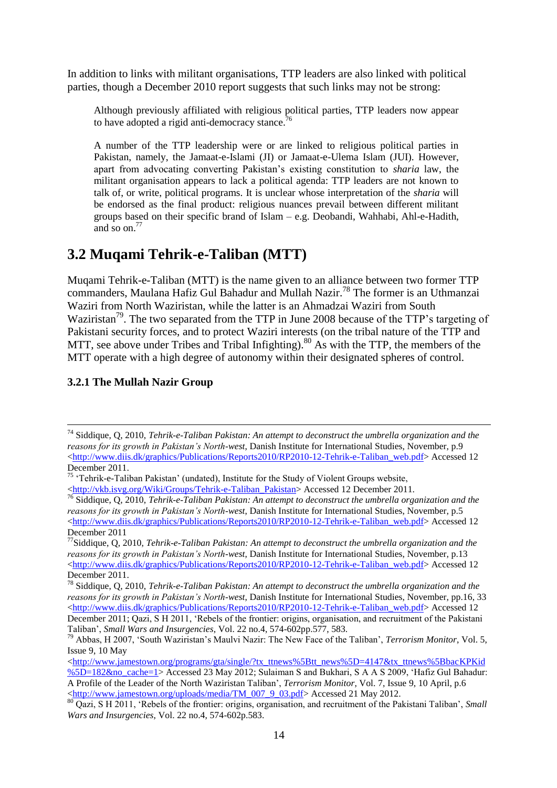In addition to links with militant organisations, TTP leaders are also linked with political parties, though a December 2010 report suggests that such links may not be strong:

Although previously affiliated with religious political parties, TTP leaders now appear to have adopted a rigid anti-democracy stance.

A number of the TTP leadership were or are linked to religious political parties in Pakistan, namely, the Jamaat-e-Islami (JI) or Jamaat-e-Ulema Islam (JUI). However, apart from advocating converting Pakistan"s existing constitution to *sharia* law, the militant organisation appears to lack a political agenda: TTP leaders are not known to talk of, or write, political programs. It is unclear whose interpretation of the *sharia* will be endorsed as the final product: religious nuances prevail between different militant groups based on their specific brand of Islam – e.g. Deobandi, Wahhabi, Ahl-e-Hadith, and so on. $77$ 

## <span id="page-13-0"></span>**3.2 Muqami Tehrik-e-Taliban (MTT)**

Muqami Tehrik-e-Taliban (MTT) is the name given to an alliance between two former TTP commanders, Maulana Hafiz Gul Bahadur and Mullah Nazir.<sup>78</sup> The former is an Uthmanzai Waziri from North Waziristan, while the latter is an Ahmadzai Waziri from South Waziristan<sup>79</sup>. The two separated from the TTP in June 2008 because of the TTP's targeting of Pakistani security forces, and to protect Waziri interests (on the tribal nature of the TTP and MTT, see above under Tribes and Tribal Infighting).<sup>80</sup> As with the TTP, the members of the MTT operate with a high degree of autonomy within their designated spheres of control.

## <span id="page-13-1"></span>**3.2.1 The Mullah Nazir Group**

<u>.</u>

<sup>74</sup> Siddique, Q, 2010, *Tehrik-e-Taliban Pakistan: An attempt to deconstruct the umbrella organization and the reasons for its growth in Pakistan's North-west*, Danish Institute for International Studies, November, p.9 [<http://www.diis.dk/graphics/Publications/Reports2010/RP2010-12-Tehrik-e-Taliban\\_web.pdf>](http://www.diis.dk/graphics/Publications/Reports2010/RP2010-12-Tehrik-e-Taliban_web.pdf) Accessed 12 December 2011.

 $75$  "Tehrik-e-Taliban Pakistan" (undated), Institute for the Study of Violent Groups website,

[<sup>&</sup>lt;http://vkb.isvg.org/Wiki/Groups/Tehrik-e-Taliban\\_Pakistan>](http://vkb.isvg.org/Wiki/Groups/Tehrik-e-Taliban_Pakistan) Accessed 12 December 2011.

<sup>76</sup> Siddique, Q, 2010, *Tehrik-e-Taliban Pakistan: An attempt to deconstruct the umbrella organization and the reasons for its growth in Pakistan's North-west*, Danish Institute for International Studies, November, p.5 [<http://www.diis.dk/graphics/Publications/Reports2010/RP2010-12-Tehrik-e-Taliban\\_web.pdf>](http://www.diis.dk/graphics/Publications/Reports2010/RP2010-12-Tehrik-e-Taliban_web.pdf) Accessed 12 December 2011

<sup>77</sup>Siddique, Q, 2010, *Tehrik-e-Taliban Pakistan: An attempt to deconstruct the umbrella organization and the reasons for its growth in Pakistan's North-west*, Danish Institute for International Studies, November, p.13 [<http://www.diis.dk/graphics/Publications/Reports2010/RP2010-12-Tehrik-e-Taliban\\_web.pdf>](http://www.diis.dk/graphics/Publications/Reports2010/RP2010-12-Tehrik-e-Taliban_web.pdf) Accessed 12 December 2011.

<sup>78</sup> Siddique, Q, 2010, *Tehrik-e-Taliban Pakistan: An attempt to deconstruct the umbrella organization and the reasons for its growth in Pakistan's North-west*, Danish Institute for International Studies, November, pp.16, 33 [<http://www.diis.dk/graphics/Publications/Reports2010/RP2010-12-Tehrik-e-Taliban\\_web.pdf>](http://www.diis.dk/graphics/Publications/Reports2010/RP2010-12-Tehrik-e-Taliban_web.pdf) Accessed 12 December 2011; Qazi, S H 2011, "Rebels of the frontier: origins, organisation, and recruitment of the Pakistani Taliban", *Small Wars and Insurgencies*, Vol. 22 no.4, 574-602pp.577, 583.

<sup>79</sup> Abbas, H 2007, "South Waziristan"s Maulvi Nazir: The New Face of the Taliban", *Terrorism Monitor*, Vol. 5, Issue 9, 10 May

 $\langle$ http://www.jamestown.org/programs/gta/single/?tx\_ttnews%5Btt\_news%5D=4147&tx\_ttnews%5BbacKPKid [%5D=182&no\\_cache=1>](http://www.jamestown.org/programs/gta/single/?tx_ttnews%5Btt_news%5D=4147&tx_ttnews%5BbackPid%5D=182&no_cache=1) Accessed 23 May 2012; Sulaiman S and Bukhari, S A A S 2009, "Hafiz Gul Bahadur: A Profile of the Leader of the North Waziristan Taliban", *Terrorism Monitor*, Vol. 7, Issue 9, 10 April, p.6 [<http://www.jamestown.org/uploads/media/TM\\_007\\_9\\_03.pdf>](http://www.jamestown.org/uploads/media/TM_007_9_03.pdf) Accessed 21 May 2012.

<sup>80</sup> Qazi, S H 2011, 'Rebels of the frontier: origins, organisation, and recruitment of the Pakistani Taliban', *Small Wars and Insurgencies*, Vol. 22 no.4, 574-602p.583.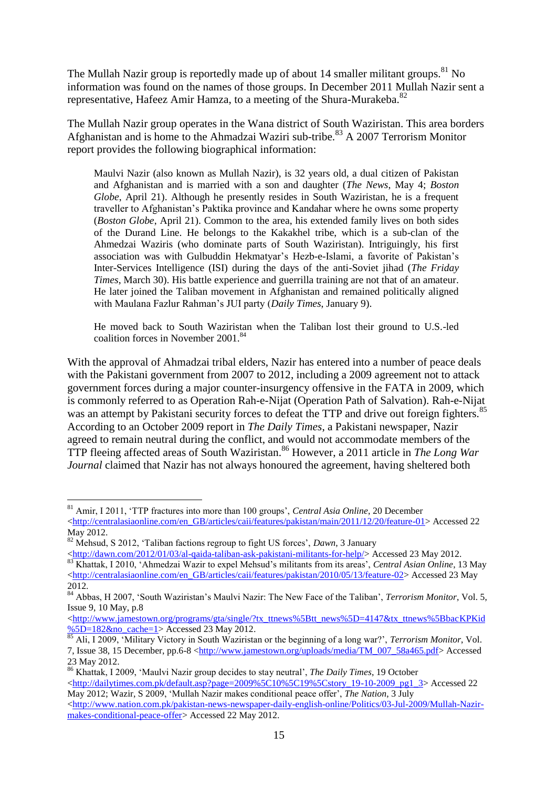The Mullah Nazir group is reportedly made up of about 14 smaller militant groups.  $81$  No information was found on the names of those groups. In December 2011 Mullah Nazir sent a representative, Hafeez Amir Hamza, to a meeting of the Shura-Murakeba.<sup>82</sup>

The Mullah Nazir group operates in the Wana district of South Waziristan. This area borders Afghanistan and is home to the Ahmadzai Waziri sub-tribe. <sup>83</sup> A 2007 Terrorism Monitor report provides the following biographical information:

Maulvi Nazir (also known as Mullah Nazir), is 32 years old, a dual citizen of Pakistan and Afghanistan and is married with a son and daughter (*The News*, May 4; *Boston Globe*, April 21). Although he presently resides in South Waziristan, he is a frequent traveller to Afghanistan"s Paktika province and Kandahar where he owns some property (*Boston Globe*, April 21). Common to the area, his extended family lives on both sides of the Durand Line. He belongs to the Kakakhel tribe, which is a sub-clan of the Ahmedzai Waziris (who dominate parts of South Waziristan). Intriguingly, his first association was with Gulbuddin Hekmatyar"s Hezb-e-Islami, a favorite of Pakistan"s Inter-Services Intelligence (ISI) during the days of the anti-Soviet jihad (*The Friday Times*, March 30). His battle experience and guerrilla training are not that of an amateur. He later joined the Taliban movement in Afghanistan and remained politically aligned with Maulana Fazlur Rahman"s JUI party (*Daily Times*, January 9).

He moved back to South Waziristan when the Taliban lost their ground to U.S.-led coalition forces in November 2001.<sup>84</sup>

With the approval of Ahmadzai tribal elders, Nazir has entered into a number of peace deals with the Pakistani government from 2007 to 2012, including a 2009 agreement not to attack government forces during a major counter-insurgency offensive in the FATA in 2009, which is commonly referred to as Operation Rah-e-Nijat (Operation Path of Salvation). Rah-e-Nijat was an attempt by Pakistani security forces to defeat the TTP and drive out foreign fighters.<sup>85</sup> According to an October 2009 report in *The Daily Times*, a Pakistani newspaper, Nazir agreed to remain neutral during the conflict, and would not accommodate members of the TTP fleeing affected areas of South Waziristan.<sup>86</sup> However, a 2011 article in *The Long War Journal* claimed that Nazir has not always honoured the agreement, having sheltered both

1

<sup>81</sup> Amir, I 2011, "TTP fractures into more than 100 groups", *Central Asia Online*, 20 December [<http://centralasiaonline.com/en\\_GB/articles/caii/features/pakistan/main/2011/12/20/feature-01>](http://centralasiaonline.com/en_GB/articles/caii/features/pakistan/main/2011/12/20/feature-01) Accessed 22 May 2012.

<sup>82</sup> Mehsud, S 2012, "Taliban factions regroup to fight US forces", *Dawn*, 3 January

[<sup>&</sup>lt;http://dawn.com/2012/01/03/al-qaida-taliban-ask-pakistani-militants-for-help/>](http://dawn.com/2012/01/03/al-qaida-taliban-ask-pakistani-militants-for-help/)Accessed 23 May 2012. 83 Khattak, I 2010, 'Ahmedzai Wazir to expel Mehsud's militants from its areas', *Central Asian Online*, 13 May  $\text{thtn:}}/$ centralasiaonline.com/en\_GB/articles/caii/features/pakistan/2010/05/13/feature-02> Accessed 23 May 2012.

<sup>84</sup> Abbas, H 2007, "South Waziristan"s Maulvi Nazir: The New Face of the Taliban", *Terrorism Monitor*, Vol. 5, Issue 9, 10 May, p.8

[<sup>&</sup>lt;http://www.jamestown.org/programs/gta/single/?tx\\_ttnews%5Btt\\_news%5D=4147&tx\\_ttnews%5BbacKPKid](http://www.jamestown.org/programs/gta/single/?tx_ttnews%5Btt_news%5D=4147&tx_ttnews%5BbackPid%5D=182&no_cache=1) [%5D=182&no\\_cache=1>](http://www.jamestown.org/programs/gta/single/?tx_ttnews%5Btt_news%5D=4147&tx_ttnews%5BbackPid%5D=182&no_cache=1) Accessed 23 May 2012.

<sup>85</sup> Ali, I 2009, "Military Victory in South Waziristan or the beginning of a long war?", *Terrorism Monitor*, Vol. 7, Issue 38, 15 December, pp.6-8 [<http://www.jamestown.org/uploads/media/TM\\_007\\_58a465.pdf>](http://www.jamestown.org/uploads/media/TM_007_58a465.pdf) Accessed 23 May 2012.

<sup>86</sup> Khattak, I 2009, "Maulvi Nazir group decides to stay neutral", *The Daily Times*, 19 October

 $\text{thtn:}}/$ dailytimes.com.pk/default.asp?page=2009%5C10%5C19%5Cstory\_19-10-2009\_pg1\_3> Accessed 22 May 2012; Wazir, S 2009, "Mullah Nazir makes conditional peace offer", *The Nation*, 3 July

 $\lt$ http://www.nation.com.pk/pakistan-news-newspaper-daily-english-online/Politics/03-Jul-2009/Mullah-Nazir[makes-conditional-peace-offer>](http://www.nation.com.pk/pakistan-news-newspaper-daily-english-online/Politics/03-Jul-2009/Mullah-Nazir-makes-conditional-peace-offer) Accessed 22 May 2012.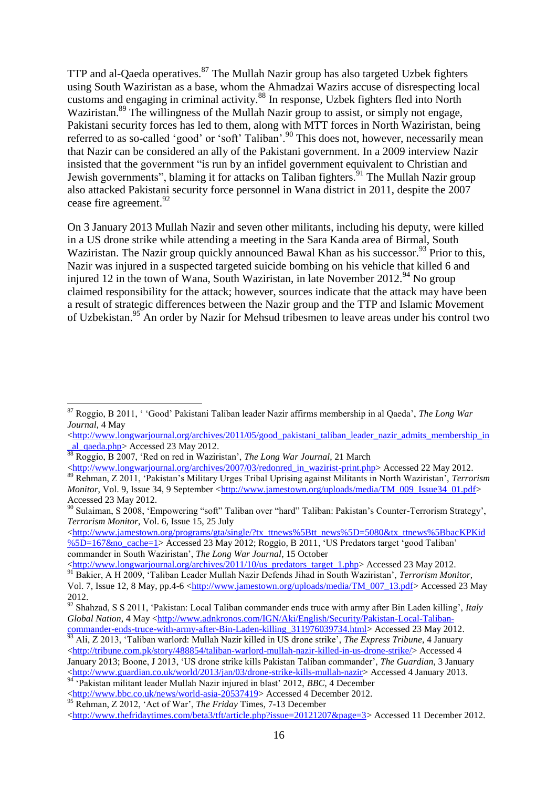TTP and al-Qaeda operatives. $87$  The Mullah Nazir group has also targeted Uzbek fighters using South Waziristan as a base, whom the Ahmadzai Wazirs accuse of disrespecting local customs and engaging in criminal activity. <sup>88</sup> In response, Uzbek fighters fled into North Waziristan.<sup>89</sup> The willingness of the Mullah Nazir group to assist, or simply not engage, Pakistani security forces has led to them, along with MTT forces in North Waziristan, being referred to as so-called 'good' or 'soft' Taliban'.<sup>90</sup> This does not, however, necessarily mean that Nazir can be considered an ally of the Pakistani government. In a 2009 interview Nazir insisted that the government "is run by an infidel government equivalent to Christian and Jewish governments", blaming it for attacks on Taliban fighters.<sup>91</sup> The Mullah Nazir group also attacked Pakistani security force personnel in Wana district in 2011, despite the 2007 cease fire agreement. 92

On 3 January 2013 Mullah Nazir and seven other militants, including his deputy, were killed in a US drone strike while attending a meeting in the Sara Kanda area of Birmal, South Waziristan. The Nazir group quickly announced Bawal Khan as his successor.<sup>93</sup> Prior to this, Nazir was injured in a suspected targeted suicide bombing on his vehicle that killed 6 and injured 12 in the town of Wana, South Waziristan, in late November 2012.<sup>94</sup> No group claimed responsibility for the attack; however, sources indicate that the attack may have been a result of strategic differences between the Nazir group and the TTP and Islamic Movement of Uzbekistan.<sup>95</sup> An order by Nazir for Mehsud tribesmen to leave areas under his control two

1

[<http://www.jamestown.org/programs/gta/single/?tx\\_ttnews%5Btt\\_news%5D=5080&tx\\_ttnews%5BbacKPKid](http://www.jamestown.org/programs/gta/single/?tx_ttnews%5Btt_news%5D=5080&tx_ttnews%5BbackPid%5D=167&no_cache=1) [%5D=167&no\\_cache=1>](http://www.jamestown.org/programs/gta/single/?tx_ttnews%5Btt_news%5D=5080&tx_ttnews%5BbackPid%5D=167&no_cache=1) Accessed 23 May 2012; Roggio, B 2011, "US Predators target "good Taliban" commander in South Waziristan", *The Long War Journal*, 15 October

[<http://www.longwarjournal.org/archives/2011/10/us\\_predators\\_target\\_1.php>](http://www.longwarjournal.org/archives/2011/10/us_predators_target_1.php) Accessed 23 May 2012. <sup>91</sup> Bakier, A H 2009, "Taliban Leader Mullah Nazir Defends Jihad in South Waziristan", *Terrorism Monitor*, Vol. 7, Issue 12, 8 May, pp.4-6 [<http://www.jamestown.org/uploads/media/TM\\_007\\_13.pdf>](http://www.jamestown.org/uploads/media/TM_007_13.pdf) Accessed 23 May 2012.

<sup>87</sup> Roggio, B 2011, " "Good" Pakistani Taliban leader Nazir affirms membership in al Qaeda", *The Long War Journal*, 4 May

[<sup>&</sup>lt;http://www.longwarjournal.org/archives/2011/05/good\\_pakistani\\_taliban\\_leader\\_nazir\\_admits\\_membership\\_in](http://www.longwarjournal.org/archives/2011/05/good_pakistani_taliban_leader_nazir_admits_membership_in_al_qaeda.php) [\\_al\\_qaeda.php>](http://www.longwarjournal.org/archives/2011/05/good_pakistani_taliban_leader_nazir_admits_membership_in_al_qaeda.php) Accessed 23 May 2012.

<sup>88</sup> Roggio, B 2007, "Red on red in Waziristan", *The Long War Journal*, 21 March

[<sup>&</sup>lt;http://www.longwarjournal.org/archives/2007/03/redonred\\_in\\_wazirist-print.php>](http://www.longwarjournal.org/archives/2007/03/redonred_in_wazirist-print.php) Accessed 22 May 2012. <sup>89</sup> Rehman, Z 2011, "Pakistan"s Military Urges Tribal Uprising against Militants in North Waziristan", *Terrorism Monitor*, Vol. 9, Issue 34, 9 September [<http://www.jamestown.org/uploads/media/TM\\_009\\_Issue34\\_01.pdf>](http://www.jamestown.org/uploads/media/TM_009_Issue34_01.pdf) Accessed 23 May 2012.

<sup>&</sup>lt;sup>90</sup> Sulaiman, S 2008, 'Empowering "soft" Taliban over "hard" Taliban: Pakistan's Counter-Terrorism Strategy', *Terrorism Monitor*, Vol. 6, Issue 15, 25 July

<sup>92</sup> Shahzad, S S 2011, "Pakistan: Local Taliban commander ends truce with army after Bin Laden killing", *Italy Global Nation*, 4 May [<http://www.adnkronos.com/IGN/Aki/English/Security/Pakistan-Local-Taliban](http://www.adnkronos.com/IGN/Aki/English/Security/Pakistan-Local-Taliban-commander-ends-truce-with-army-after-Bin-Laden-killing_311976039734.html)commander-ends-truce-with-army-after-Bin-Laden-killing 311976039734.html> Accessed 23 May 2012.

<sup>93</sup> Ali, Z 2013, "Taliban warlord: Mullah Nazir killed in US drone strike", *The Express Tribune*, 4 January [<http://tribune.com.pk/story/488854/taliban-warlord-mullah-nazir-killed-in-us-drone-strike/>](http://tribune.com.pk/story/488854/taliban-warlord-mullah-nazir-killed-in-us-drone-strike/) Accessed 4 January 2013; Boone, J 2013, "US drone strike kills Pakistan Taliban commander", *The Guardian*, 3 January [<http://www.guardian.co.uk/world/2013/jan/03/drone-strike-kills-mullah-nazir>](http://www.guardian.co.uk/world/2013/jan/03/drone-strike-kills-mullah-nazir) Accessed 4 January 2013. <sup>94</sup> 'Pakistan militant leader Mullah Nazir injured in blast' 2012, *BBC*, 4 December

[<sup>&</sup>lt;http://www.bbc.co.uk/news/world-asia-20537419>](http://www.bbc.co.uk/news/world-asia-20537419) Accessed 4 December 2012.

<sup>&</sup>lt;sup>95</sup> Rehman, Z 2012, 'Act of War', *The Friday* Times, 7-13 December

[<sup>&</sup>lt;http://www.thefridaytimes.com/beta3/tft/article.php?issue=20121207&page=3>](http://www.thefridaytimes.com/beta3/tft/article.php?issue=20121207&page=3) Accessed 11 December 2012.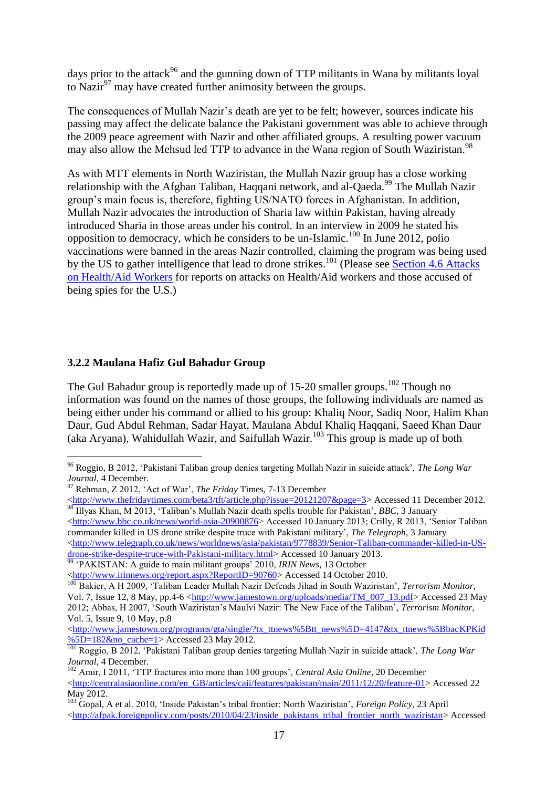days prior to the attack<sup>96</sup> and the gunning down of TTP militants in Wana by militants loval to Nazir $^{97}$  may have created further animosity between the groups.

The consequences of Mullah Nazir's death are yet to be felt; however, sources indicate his passing may affect the delicate balance the Pakistani government was able to achieve through the 2009 peace agreement with Nazir and other affiliated groups. A resulting power vacuum may also allow the Mehsud led TTP to advance in the Wana region of South Waziristan.<sup>98</sup>

As with MTT elements in North Waziristan, the Mullah Nazir group has a close working relationship with the Afghan Taliban, Haqqani network, and al-Qaeda.<sup>99</sup> The Mullah Nazir group"s main focus is, therefore, fighting US/NATO forces in Afghanistan. In addition, Mullah Nazir advocates the introduction of Sharia law within Pakistan, having already introduced Sharia in those areas under his control. In an interview in 2009 he stated his opposition to democracy, which he considers to be un-Islamic.<sup>100</sup> In June 2012, polio vaccinations were banned in the areas Nazir controlled, claiming the program was being used by the US to gather intelligence that lead to drone strikes.<sup>101</sup> (Please see Section 4.6 Attacks) on Health/Aid Workers for reports on attacks on Health/Aid workers and those accused of being spies for the U.S.)

#### <span id="page-16-0"></span>**3.2.2 Maulana Hafiz Gul Bahadur Group**

<u>.</u>

The Gul Bahadur group is reportedly made up of  $15{\text -}20$  smaller groups.<sup>102</sup> Though no information was found on the names of those groups, the following individuals are named as being either under his command or allied to his group: Khaliq Noor, Sadiq Noor, Halim Khan Daur, Gud Abdul Rehman, Sadar Havat, Maulana Abdul Khaliq Haqqani, Saeed Khan Daur (aka Aryana), Wahidullah Wazir, and Saifullah Wazir.<sup>103</sup> This group is made up of both

[<http://www.bbc.co.uk/news/world-asia-20900876>](http://www.bbc.co.uk/news/world-asia-20900876) Accessed 10 January 2013; Crilly, R 2013, 'Senior Taliban commander killed in US drone strike despite truce with Pakistani military", *The Telegraph*, 3 January [<http://www.telegraph.co.uk/news/worldnews/asia/pakistan/9778839/Senior-Taliban-commander-killed-in-US-](http://www.telegraph.co.uk/news/worldnews/asia/pakistan/9778839/Senior-Taliban-commander-killed-in-US-drone-strike-despite-truce-with-Pakistani-military.html)

[drone-strike-despite-truce-with-Pakistani-military.html>](http://www.telegraph.co.uk/news/worldnews/asia/pakistan/9778839/Senior-Taliban-commander-killed-in-US-drone-strike-despite-truce-with-Pakistani-military.html) Accessed 10 January 2013. <sup>99</sup> 'PAKISTAN: A guide to main militant groups' 2010, *IRIN News*, 13 October

[<http://www.irinnews.org/report.aspx?ReportID=90760>](http://www.irinnews.org/report.aspx?ReportID=90760) Accessed 14 October 2010.

[<http://www.jamestown.org/programs/gta/single/?tx\\_ttnews%5Btt\\_news%5D=4147&tx\\_ttnews%5BbacKPKid](http://www.jamestown.org/programs/gta/single/?tx_ttnews%5Btt_news%5D=4147&tx_ttnews%5BbackPid%5D=182&no_cache=1) [%5D=182&no\\_cache=1>](http://www.jamestown.org/programs/gta/single/?tx_ttnews%5Btt_news%5D=4147&tx_ttnews%5BbackPid%5D=182&no_cache=1) Accessed 23 May 2012.

<sup>96</sup> Roggio, B 2012, "Pakistani Taliban group denies targeting Mullah Nazir in suicide attack", *The Long War Journal*, 4 December.

<sup>97</sup> Rehman, Z 2012, "Act of War", *The Friday* Times, 7-13 December

[<sup>&</sup>lt;http://www.thefridaytimes.com/beta3/tft/article.php?issue=20121207&page=3>](http://www.thefridaytimes.com/beta3/tft/article.php?issue=20121207&page=3) Accessed 11 December 2012. <sup>98</sup> Illyas Khan, M 2013, "Taliban"s Mullah Nazir death spells trouble for Pakistan", *BBC*, 3 January

<sup>100</sup> Bakier, A H 2009, "Taliban Leader Mullah Nazir Defends Jihad in South Waziristan", *Terrorism Monitor*, Vol. 7, Issue 12, 8 May, pp.4-6 [<http://www.jamestown.org/uploads/media/TM\\_007\\_13.pdf>](http://www.jamestown.org/uploads/media/TM_007_13.pdf) Accessed 23 May 2012; Abbas, H 2007, "South Waziristan"s Maulvi Nazir: The New Face of the Taliban", *Terrorism Monitor*, Vol. 5, Issue 9, 10 May, p.8

<sup>101</sup> Roggio, B 2012, "Pakistani Taliban group denies targeting Mullah Nazir in suicide attack", *The Long War Journal*, 4 December.

<sup>&</sup>lt;sup>102</sup> Amir, I 2011, 'TTP fractures into more than 100 groups', *Central Asia Online*, 20 December [<http://centralasiaonline.com/en\\_GB/articles/caii/features/pakistan/main/2011/12/20/feature-01>](http://centralasiaonline.com/en_GB/articles/caii/features/pakistan/main/2011/12/20/feature-01) Accessed 22 May 2012.

<sup>103</sup> Gopal, A et al. 2010, "Inside Pakistan"s tribal frontier: North Waziristan", *Foreign Policy*, 23 April [<http://afpak.foreignpolicy.com/posts/2010/04/23/inside\\_pakistans\\_tribal\\_frontier\\_north\\_waziristan>](http://afpak.foreignpolicy.com/posts/2010/04/23/inside_pakistans_tribal_frontier_north_waziristan) Accessed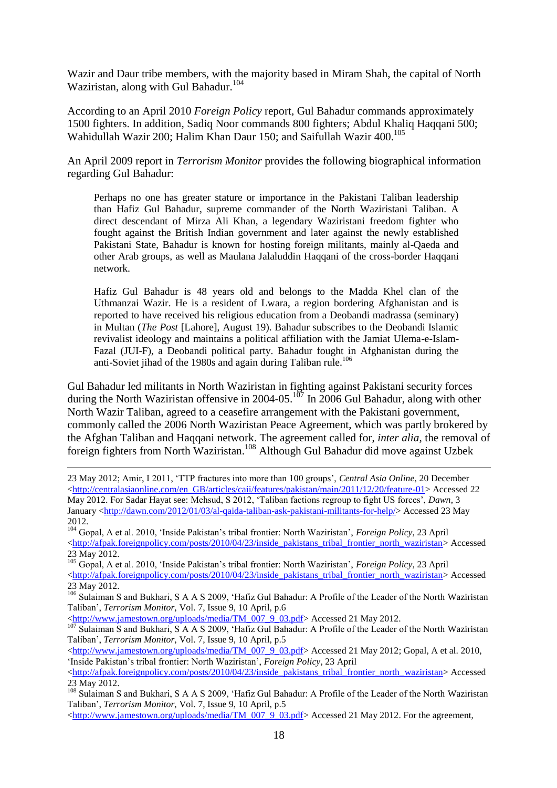Wazir and Daur tribe members, with the majority based in Miram Shah, the capital of North Waziristan, along with Gul Bahadur. 104

According to an April 2010 *Foreign Policy* report, Gul Bahadur commands approximately 1500 fighters. In addition, Sadiq Noor commands 800 fighters; Abdul Khaliq Haqqani 500; Wahidullah Wazir 200; Halim Khan Daur 150; and Saifullah Wazir 400. 105

An April 2009 report in *Terrorism Monitor* provides the following biographical information regarding Gul Bahadur:

Perhaps no one has greater stature or importance in the Pakistani Taliban leadership than Hafiz Gul Bahadur, supreme commander of the North Waziristani Taliban. A direct descendant of Mirza Ali Khan, a legendary Waziristani freedom fighter who fought against the British Indian government and later against the newly established Pakistani State, Bahadur is known for hosting foreign militants, mainly al-Qaeda and other Arab groups, as well as Maulana Jalaluddin Haqqani of the cross-border Haqqani network.

Hafiz Gul Bahadur is 48 years old and belongs to the Madda Khel clan of the Uthmanzai Wazir. He is a resident of Lwara, a region bordering Afghanistan and is reported to have received his religious education from a Deobandi madrassa (seminary) in Multan (*The Post* [Lahore], August 19). Bahadur subscribes to the Deobandi Islamic revivalist ideology and maintains a political affiliation with the Jamiat Ulema-e-Islam-Fazal (JUI-F), a Deobandi political party. Bahadur fought in Afghanistan during the anti-Soviet jihad of the 1980s and again during Taliban rule.<sup>106</sup>

Gul Bahadur led militants in North Waziristan in fighting against Pakistani security forces during the North Waziristan offensive in 2004-05.<sup>107</sup> In 2006 Gul Bahadur, along with other North Wazir Taliban, agreed to a ceasefire arrangement with the Pakistani government, commonly called the 2006 North Waziristan Peace Agreement, which was partly brokered by the Afghan Taliban and Haqqani network. The agreement called for, *inter alia*, the removal of foreign fighters from North Waziristan.<sup>108</sup> Although Gul Bahadur did move against Uzbek

23 May 2012; Amir, I 2011, "TTP fractures into more than 100 groups", *Central Asia Online*, 20 December [<http://centralasiaonline.com/en\\_GB/articles/caii/features/pakistan/main/2011/12/20/feature-01>](http://centralasiaonline.com/en_GB/articles/caii/features/pakistan/main/2011/12/20/feature-01) Accessed 22 May 2012. For Sadar Hayat see: Mehsud, S 2012, "Taliban factions regroup to fight US forces", *Dawn*, 3 January [<http://dawn.com/2012/01/03/al-qaida-taliban-ask-pakistani-militants-for-help/>](http://dawn.com/2012/01/03/al-qaida-taliban-ask-pakistani-militants-for-help/) Accessed 23 May 2012.

<sup>104</sup> Gopal, A et al. 2010, "Inside Pakistan"s tribal frontier: North Waziristan", *Foreign Policy*, 23 April [<http://afpak.foreignpolicy.com/posts/2010/04/23/inside\\_pakistans\\_tribal\\_frontier\\_north\\_waziristan>](http://afpak.foreignpolicy.com/posts/2010/04/23/inside_pakistans_tribal_frontier_north_waziristan) Accessed 23 May 2012.

<sup>105</sup> Gopal, A et al. 2010, "Inside Pakistan"s tribal frontier: North Waziristan", *Foreign Policy*, 23 April  $\text{6}$ kttp://afpak.foreignpolicy.com/posts/2010/04/23/inside\_pakistans\_tribal\_frontier\_north\_waziristan> Accessed 23 May 2012.

<sup>106</sup> Sulaiman S and Bukhari, S A A S 2009, 'Hafiz Gul Bahadur: A Profile of the Leader of the North Waziristan Taliban", *Terrorism Monitor*, Vol. 7, Issue 9, 10 April, p.6

 $\frac{\text{http://www.jamestown.org/uploads/medianTM 007-9-03.pdf}}{\text{http://www.jamestown.org/uploads/medianTM 007-9-03.pdf}}$  Accessed 21 May 2012.

1

Sulaiman S and Bukhari, S A A S 2009, 'Hafiz Gul Bahadur: A Profile of the Leader of the North Waziristan Taliban", *Terrorism Monitor*, Vol. 7, Issue 9, 10 April, p.5

[<http://www.jamestown.org/uploads/media/TM\\_007\\_9\\_03.pdf>](http://www.jamestown.org/uploads/media/TM_007_9_03.pdf) Accessed 21 May 2012; Gopal, A et al. 2010, "Inside Pakistan"s tribal frontier: North Waziristan", *Foreign Policy*, 23 April

 $\text{6}$ khttp://afpak.foreignpolicy.com/posts/2010/04/23/inside\_pakistans\_tribal\_frontier\_north\_waziristan> Accessed 23 May 2012.

<sup>108</sup> Sulaiman S and Bukhari, S A A S 2009, 'Hafiz Gul Bahadur: A Profile of the Leader of the North Waziristan Taliban", *Terrorism Monitor*, Vol. 7, Issue 9, 10 April, p.5

 $\lt$ http://www.jamestown.org/uploads/media/TM\_007\_9\_03.pdf> Accessed 21 May 2012. For the agreement,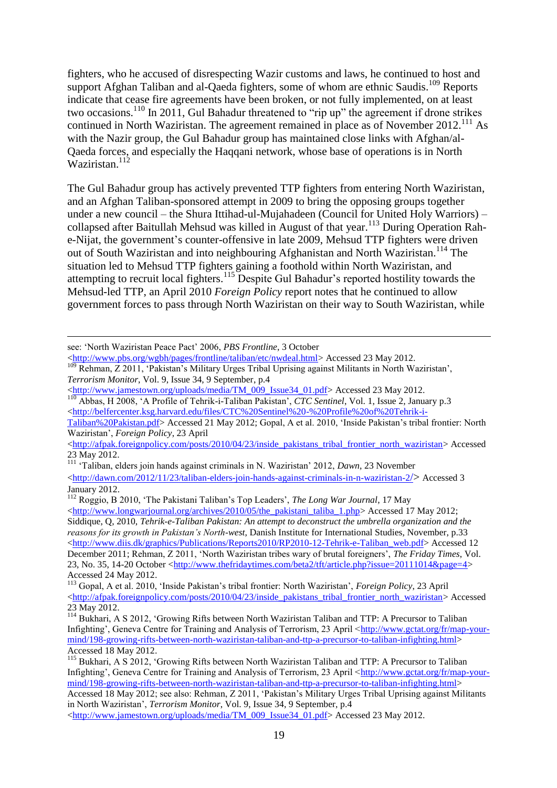fighters, who he accused of disrespecting Wazir customs and laws, he continued to host and support Afghan Taliban and al-Qaeda fighters, some of whom are ethnic Saudis.<sup>109</sup> Reports indicate that cease fire agreements have been broken, or not fully implemented, on at least two occasions.<sup>110</sup> In 2011, Gul Bahadur threatened to "rip up" the agreement if drone strikes continued in North Waziristan. The agreement remained in place as of November 2012.<sup>111</sup> As with the Nazir group, the Gul Bahadur group has maintained close links with Afghan/al-Qaeda forces, and especially the Haqqani network, whose base of operations is in North Waziristan.<sup>112</sup>

The Gul Bahadur group has actively prevented TTP fighters from entering North Waziristan, and an Afghan Taliban-sponsored attempt in 2009 to bring the opposing groups together under a new council – the Shura Ittihad-ul-Mujahadeen (Council for United Holy Warriors) – collapsed after Baitullah Mehsud was killed in August of that year.<sup>113</sup> During Operation Rahe-Nijat, the government's counter-offensive in late 2009, Mehsud TTP fighters were driven out of South Waziristan and into neighbouring Afghanistan and North Waziristan.<sup>114</sup> The situation led to Mehsud TTP fighters gaining a foothold within North Waziristan, and attempting to recruit local fighters.<sup>115</sup> Despite Gul Bahadur's reported hostility towards the Mehsud-led TTP, an April 2010 *Foreign Policy* report notes that he continued to allow government forces to pass through North Waziristan on their way to South Waziristan, while

1

[Taliban%20Pakistan.pdf>](http://belfercenter.ksg.harvard.edu/files/CTC%20Sentinel%20-%20Profile%20of%20Tehrik-i-Taliban%20Pakistan.pdf) Accessed 21 May 2012; Gopal, A et al. 2010, "Inside Pakistan"s tribal frontier: North Waziristan", *Foreign Policy*, 23 April

 $\text{thtn:}}/a\text{fpak}.$ foreignpolicy.com/posts/2010/04/23/inside\_pakistans\_tribal\_frontier\_north\_waziristan> Accessed 23 May 2012.

<sup>111</sup> "Taliban, elders join hands against criminals in N. Waziristan" 2012, *Dawn*, 23 November

<sup>112</sup> Roggio, B 2010, 'The Pakistani Taliban's Top Leaders', *The Long War Journal*, 17 May [<http://www.longwarjournal.org/archives/2010/05/the\\_pakistani\\_taliba\\_1.php>](http://www.longwarjournal.org/archives/2010/05/the_pakistani_taliba_1.php) Accessed 17 May 2012; Siddique, Q, 2010, *Tehrik-e-Taliban Pakistan: An attempt to deconstruct the umbrella organization and the reasons for its growth in Pakistan's North-west*, Danish Institute for International Studies, November, p.33 [<http://www.diis.dk/graphics/Publications/Reports2010/RP2010-12-Tehrik-e-Taliban\\_web.pdf>](http://www.diis.dk/graphics/Publications/Reports2010/RP2010-12-Tehrik-e-Taliban_web.pdf) Accessed 12 December 2011; Rehman, Z 2011, "North Waziristan tribes wary of brutal foreigners", *The Friday Times*, Vol. 23, No. 35, 14-20 October [<http://www.thefridaytimes.com/beta2/tft/article.php?issue=20111014&page=4>](http://www.thefridaytimes.com/beta2/tft/article.php?issue=20111014&page=4) Accessed 24 May 2012.

<sup>113</sup> Gopal, A et al. 2010, "Inside Pakistan"s tribal frontier: North Waziristan", *Foreign Policy*, 23 April [<http://afpak.foreignpolicy.com/posts/2010/04/23/inside\\_pakistans\\_tribal\\_frontier\\_north\\_waziristan>](http://afpak.foreignpolicy.com/posts/2010/04/23/inside_pakistans_tribal_frontier_north_waziristan) Accessed 23 May 2012.

see: "North Waziristan Peace Pact" 2006, *PBS Frontline*, 3 October

[<sup>&</sup>lt;http://www.pbs.org/wgbh/pages/frontline/taliban/etc/nwdeal.html>](http://www.pbs.org/wgbh/pages/frontline/taliban/etc/nwdeal.html)Accessed 23 May 2012.

<sup>&</sup>lt;sup>109</sup> Rehman, Z 2011, "Pakistan's Military Urges Tribal Uprising against Militants in North Waziristan', *Terrorism Monitor*, Vol. 9, Issue 34, 9 September, p.4

[<sup>&</sup>lt;http://www.jamestown.org/uploads/media/TM\\_009\\_Issue34\\_01.pdf>](http://www.jamestown.org/uploads/media/TM_009_Issue34_01.pdf) Accessed 23 May 2012.

<sup>&</sup>lt;sup>110</sup> Abbas, H 2008, 'A Profile of Tehrik-i-Taliban Pakistan', *CTC Sentinel*, Vol. 1, Issue 2, January p.3 [<http://belfercenter.ksg.harvard.edu/files/CTC%20Sentinel%20-%20Profile%20of%20Tehrik-i-](http://belfercenter.ksg.harvard.edu/files/CTC%20Sentinel%20-%20Profile%20of%20Tehrik-i-Taliban%20Pakistan.pdf)

 $\lt$ http://dawn.com/2012/11/23/taliban-elders-join-hands-against-criminals-in-n-waziristan-2/ $>$ Accessed 3 January 2012.

<sup>114</sup> Bukhari, A S 2012, "Growing Rifts between North Waziristan Taliban and TTP: A Precursor to Taliban Infighting', Geneva Centre for Training and Analysis of Terrorism, 23 April [<http://www.gctat.org/fr/map-your](http://www.gctat.org/fr/map-your-mind/198-growing-rifts-between-north-waziristan-taliban-and-ttp-a-precursor-to-taliban-infighting.html)[mind/198-growing-rifts-between-north-waziristan-taliban-and-ttp-a-precursor-to-taliban-infighting.html>](http://www.gctat.org/fr/map-your-mind/198-growing-rifts-between-north-waziristan-taliban-and-ttp-a-precursor-to-taliban-infighting.html) Accessed 18 May 2012.

<sup>&</sup>lt;sup>115</sup> Bukhari, A S 2012, 'Growing Rifts between North Waziristan Taliban and TTP: A Precursor to Taliban Infighting', Geneva Centre for Training and Analysis of Terrorism, 23 April [<http://www.gctat.org/fr/map-your](http://www.gctat.org/fr/map-your-mind/198-growing-rifts-between-north-waziristan-taliban-and-ttp-a-precursor-to-taliban-infighting.html)[mind/198-growing-rifts-between-north-waziristan-taliban-and-ttp-a-precursor-to-taliban-infighting.html>](http://www.gctat.org/fr/map-your-mind/198-growing-rifts-between-north-waziristan-taliban-and-ttp-a-precursor-to-taliban-infighting.html) Accessed 18 May 2012; see also: Rehman, Z 2011, "Pakistan"s Military Urges Tribal Uprising against Militants in North Waziristan", *Terrorism Monitor*, Vol. 9, Issue 34, 9 September, p.4 [<http://www.jamestown.org/uploads/media/TM\\_009\\_Issue34\\_01.pdf>](http://www.jamestown.org/uploads/media/TM_009_Issue34_01.pdf) Accessed 23 May 2012.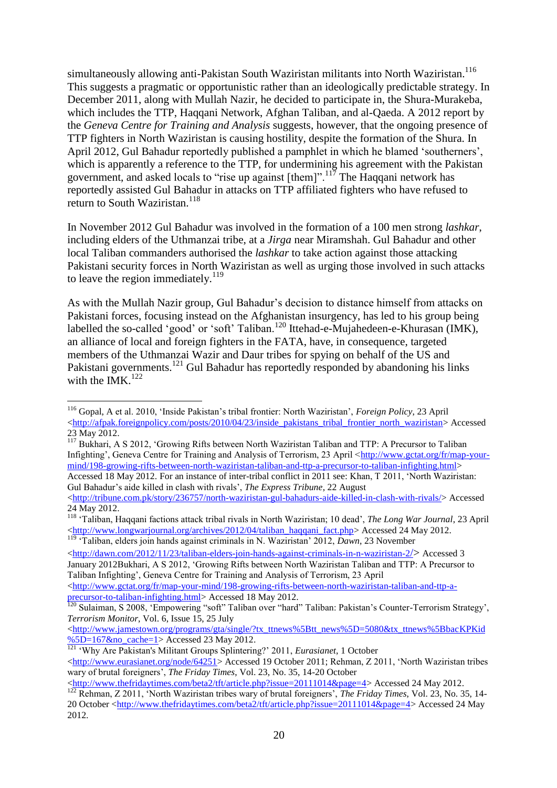simultaneously allowing anti-Pakistan South Waziristan militants into North Waziristan.<sup>116</sup> This suggests a pragmatic or opportunistic rather than an ideologically predictable strategy. In December 2011, along with Mullah Nazir, he decided to participate in, the Shura-Murakeba, which includes the TTP, Haqqani Network, Afghan Taliban, and al-Qaeda. A 2012 report by the *Geneva Centre for Training and Analysis* suggests, however, that the ongoing presence of TTP fighters in North Waziristan is causing hostility, despite the formation of the Shura. In April 2012, Gul Bahadur reportedly published a pamphlet in which he blamed "southerners", which is apparently a reference to the TTP, for undermining his agreement with the Pakistan government, and asked locals to "rise up against [them]".<sup>117</sup> The Haqqani network has reportedly assisted Gul Bahadur in attacks on TTP affiliated fighters who have refused to return to South Waziristan.<sup>118</sup>

In November 2012 Gul Bahadur was involved in the formation of a 100 men strong *lashkar*, including elders of the Uthmanzai tribe, at a *Jirga* near Miramshah. Gul Bahadur and other local Taliban commanders authorised the *lashkar* to take action against those attacking Pakistani security forces in North Waziristan as well as urging those involved in such attacks to leave the region immediately.<sup>119</sup>

As with the Mullah Nazir group, Gul Bahadur"s decision to distance himself from attacks on Pakistani forces, focusing instead on the Afghanistan insurgency, has led to his group being labelled the so-called 'good' or 'soft' Taliban.<sup>120</sup> Ittehad-e-Mujahedeen-e-Khurasan (IMK), an alliance of local and foreign fighters in the FATA, have, in consequence, targeted members of the Uthmanzai Wazir and Daur tribes for spying on behalf of the US and Pakistani governments.<sup>121</sup> Gul Bahadur has reportedly responded by abandoning his links with the IMK. $^{122}$ 

1

Gul Bahadur"s aide killed in clash with rivals", *The Express Tribune*, 22 August

[<http://dawn.com/2012/11/23/taliban-elders-join-hands-against-criminals-in-n-waziristan-2](http://dawn.com/2012/11/23/taliban-elders-join-hands-against-criminals-in-n-waziristan-2/)/> Accessed 3 January 2012Bukhari, A S 2012, "Growing Rifts between North Waziristan Taliban and TTP: A Precursor to Taliban Infighting", Geneva Centre for Training and Analysis of Terrorism, 23 April  $\langle$ http://www.gctat.org/fr/map-your-mind/198-growing-rifts-between-north-waziristan-taliban-and-ttp-a[precursor-to-taliban-infighting.html>](http://www.gctat.org/fr/map-your-mind/198-growing-rifts-between-north-waziristan-taliban-and-ttp-a-precursor-to-taliban-infighting.html) Accessed 18 May 2012.

[<http://www.jamestown.org/programs/gta/single/?tx\\_ttnews%5Btt\\_news%5D=5080&tx\\_ttnews%5BbacKPKid](http://www.jamestown.org/programs/gta/single/?tx_ttnews%5Btt_news%5D=5080&tx_ttnews%5BbackPid%5D=167&no_cache=1)  $\%5D=167$ &no\_cache=1> Accessed 23 May 2012.

<sup>121</sup> "Why Are Pakistan's Militant Groups Splintering?" 2011, *Eurasianet*, 1 October [<http://www.eurasianet.org/node/64251>](http://www.eurasianet.org/node/64251) Accessed 19 October 2011; Rehman, Z 2011, "North Waziristan tribes wary of brutal foreigners", *The Friday Times*, Vol. 23, No. 35, 14-20 October

<sup>116</sup> Gopal, A et al. 2010, "Inside Pakistan"s tribal frontier: North Waziristan", *Foreign Policy*, 23 April [<http://afpak.foreignpolicy.com/posts/2010/04/23/inside\\_pakistans\\_tribal\\_frontier\\_north\\_waziristan>](http://afpak.foreignpolicy.com/posts/2010/04/23/inside_pakistans_tribal_frontier_north_waziristan) Accessed 23 May 2012.

<sup>&</sup>lt;sup>117</sup> Bukhari, A S 2012, 'Growing Rifts between North Waziristan Taliban and TTP: A Precursor to Taliban Infighting', Geneva Centre for Training and Analysis of Terrorism, 23 April [<http://www.gctat.org/fr/map-your](http://www.gctat.org/fr/map-your-mind/198-growing-rifts-between-north-waziristan-taliban-and-ttp-a-precursor-to-taliban-infighting.html)[mind/198-growing-rifts-between-north-waziristan-taliban-and-ttp-a-precursor-to-taliban-infighting.html>](http://www.gctat.org/fr/map-your-mind/198-growing-rifts-between-north-waziristan-taliban-and-ttp-a-precursor-to-taliban-infighting.html) Accessed 18 May 2012. For an instance of inter-tribal conflict in 2011 see: Khan, T 2011, "North Waziristan:

[<sup>&</sup>lt;http://tribune.com.pk/story/236757/north-waziristan-gul-bahadurs-aide-killed-in-clash-with-rivals/>](http://tribune.com.pk/story/236757/north-waziristan-gul-bahadurs-aide-killed-in-clash-with-rivals/) Accessed 24 May 2012.

<sup>118</sup> "Taliban, Haqqani factions attack tribal rivals in North Waziristan; 10 dead", *The Long War Journal*, 23 April [<http://www.longwarjournal.org/archives/2012/04/taliban\\_haqqani\\_fact.php>](http://www.longwarjournal.org/archives/2012/04/taliban_haqqani_fact.php) Accessed 24 May 2012. <sup>119</sup> Taliban, elders join hands against criminals in N. Waziristan' 2012, *Dawn*, 23 November

<sup>&</sup>lt;sup>120</sup> Sulaiman, S 2008, 'Empowering "soft" Taliban over "hard" Taliban: Pakistan's Counter-Terrorism Strategy', *Terrorism Monitor*, Vol. 6, Issue 15, 25 July

[<sup>&</sup>lt;http://www.thefridaytimes.com/beta2/tft/article.php?issue=20111014&page=4>](http://www.thefridaytimes.com/beta2/tft/article.php?issue=20111014&page=4) Accessed 24 May 2012. <sup>122</sup> Rehman, Z 2011, "North Waziristan tribes wary of brutal foreigners", *The Friday Times*, Vol. 23, No. 35, 14- 20 October [<http://www.thefridaytimes.com/beta2/tft/article.php?issue=20111014&page=4>](http://www.thefridaytimes.com/beta2/tft/article.php?issue=20111014&page=4) Accessed 24 May 2012.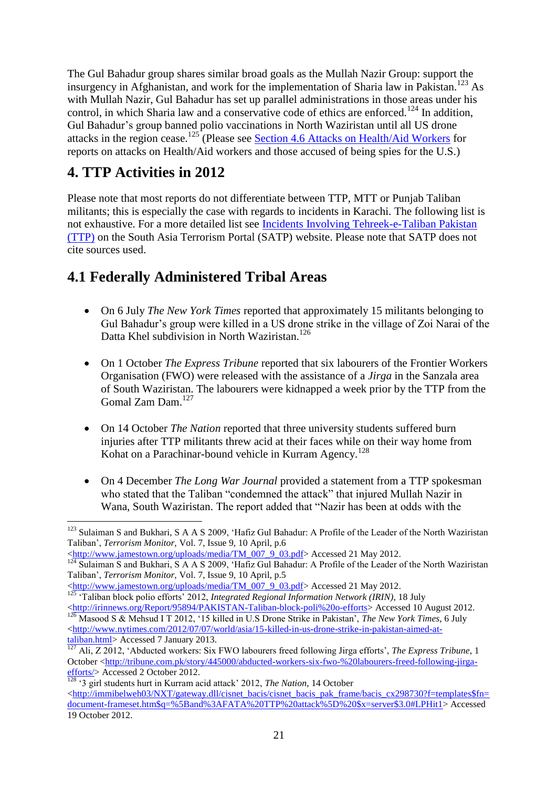The Gul Bahadur group shares similar broad goals as the Mullah Nazir Group: support the insurgency in Afghanistan, and work for the implementation of Sharia law in Pakistan.<sup>123</sup> As with Mullah Nazir, Gul Bahadur has set up parallel administrations in those areas under his control, in which Sharia law and a conservative code of ethics are enforced.<sup>124</sup> In addition, Gul Bahadur"s group banned polio vaccinations in North Waziristan until all US drone attacks in the region cease.<sup>125</sup> (Please see Section 4.6 Attacks on Health/Aid Workers for reports on attacks on Health/Aid workers and those accused of being spies for the U.S.)

# <span id="page-20-0"></span>**4. TTP Activities in 2012**

<u>.</u>

Please note that most reports do not differentiate between TTP, MTT or Punjab Taliban militants; this is especially the case with regards to incidents in Karachi. The following list is not exhaustive. For a more detailed list see [Incidents Involving Tehreek-e-Taliban Pakistan](http://www.satp.org/satporgtp/countries/pakistan/terroristoutfits/ttp_tl.htm)  [\(TTP\)](http://www.satp.org/satporgtp/countries/pakistan/terroristoutfits/ttp_tl.htm) on the South Asia Terrorism Portal (SATP) website. Please note that SATP does not cite sources used.

# <span id="page-20-1"></span>**4.1 Federally Administered Tribal Areas**

- On 6 July *The New York Times* reported that approximately 15 militants belonging to Gul Bahadur"s group were killed in a US drone strike in the village of Zoi Narai of the Datta Khel subdivision in North Waziristan.<sup>126</sup>
- On 1 October *The Express Tribune* reported that six labourers of the Frontier Workers Organisation (FWO) were released with the assistance of a *Jirga* in the Sanzala area of South Waziristan. The labourers were kidnapped a week prior by the TTP from the Gomal Zam Dam.<sup>127</sup>
- On 14 October *The Nation* reported that three university students suffered burn injuries after TTP militants threw acid at their faces while on their way home from Kohat on a Parachinar-bound vehicle in Kurram Agency.<sup>128</sup>
- On 4 December *The Long War Journal* provided a statement from a TTP spokesman who stated that the Taliban "condemned the attack" that injured Mullah Nazir in Wana, South Waziristan. The report added that "Nazir has been at odds with the

[<http://www.jamestown.org/uploads/media/TM\\_007\\_9\\_03.pdf>](http://www.jamestown.org/uploads/media/TM_007_9_03.pdf) Accessed 21 May 2012.

<sup>&</sup>lt;sup>123</sup> Sulaiman S and Bukhari, S A A S 2009, 'Hafiz Gul Bahadur: A Profile of the Leader of the North Waziristan Taliban", *Terrorism Monitor*, Vol. 7, Issue 9, 10 April, p.6

<sup>&</sup>lt;sup>124</sup> Sulaiman S and Bukhari, S A A S 2009, 'Hafiz Gul Bahadur: A Profile of the Leader of the North Waziristan Taliban", *Terrorism Monitor*, Vol. 7, Issue 9, 10 April, p.5

[<sup>&</sup>lt;http://www.jamestown.org/uploads/media/TM\\_007\\_9\\_03.pdf>](http://www.jamestown.org/uploads/media/TM_007_9_03.pdf) Accessed 21 May 2012.

<sup>&</sup>lt;sup>125</sup> 'Taliban block polio efforts' 2012, *Integrated Regional Information Network (IRIN)*, 18 July [<http://irinnews.org/Report/95894/PAKISTAN-Taliban-block-poli%20o-efforts>](http://irinnews.org/Report/95894/PAKISTAN-Taliban-block-poli%20o-efforts) Accessed 10 August 2012. <sup>126</sup> Masood S & Mehsud I T 2012, '15 killed in U.S Drone Strike in Pakistan', *The New York Times*, 6 July

[<sup>&</sup>lt;http://www.nytimes.com/2012/07/07/world/asia/15-killed-in-us-drone-strike-in-pakistan-aimed-at](http://www.nytimes.com/2012/07/07/world/asia/15-killed-in-us-drone-strike-in-pakistan-aimed-at-taliban.html)[taliban.html>](http://www.nytimes.com/2012/07/07/world/asia/15-killed-in-us-drone-strike-in-pakistan-aimed-at-taliban.html) Accessed 7 January 2013.

<sup>&</sup>lt;sup>127</sup> Ali, Z 2012, 'Abducted workers: Six FWO labourers freed following Jirga efforts', *The Express Tribune*, 1 October [<http://tribune.com.pk/story/445000/abducted-workers-six-fwo-%20labourers-freed-following-jirga](http://tribune.com.pk/story/445000/abducted-workers-six-fwo-%20labourers-freed-following-jirga-efforts/)[efforts/>](http://tribune.com.pk/story/445000/abducted-workers-six-fwo-%20labourers-freed-following-jirga-efforts/) Accessed 2 October 2012.

<sup>&</sup>lt;sup>128</sup> <sup>128</sup> (3 girl students hurt in Kurram acid attack' 2012, *The Nation*, 14 October [<http://immibelweh03/NXT/gateway.dll/cisnet\\_bacis/cisnet\\_bacis\\_pak\\_frame/bacis\\_cx298730?f=templates\\$fn=](http://immibelweh03/NXT/gateway.dll/cisnet_bacis/cisnet_bacis_pak_frame/bacis_cx298730?f=templates$fn=document-frameset.htm$q=%5Band%3AFATA%20TTP%20attack%5D%20$x=server$3.0#LPHit1) [document-frameset.htm\\$q=%5Band%3AFATA%20TTP%20attack%5D%20\\$x=server\\$3.0#LPHit1>](http://immibelweh03/NXT/gateway.dll/cisnet_bacis/cisnet_bacis_pak_frame/bacis_cx298730?f=templates$fn=document-frameset.htm$q=%5Band%3AFATA%20TTP%20attack%5D%20$x=server$3.0#LPHit1) Accessed 19 October 2012.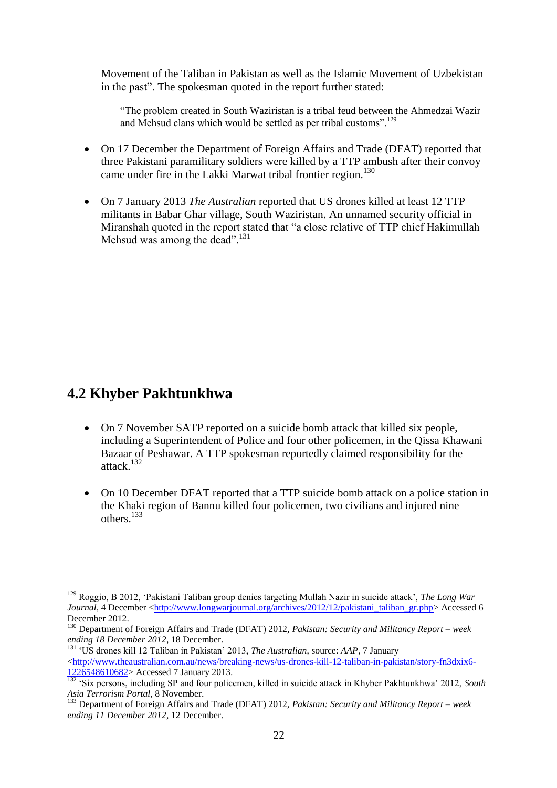Movement of the Taliban in Pakistan as well as the Islamic Movement of Uzbekistan in the past". The spokesman quoted in the report further stated:

"The problem created in South Waziristan is a tribal feud between the Ahmedzai Wazir and Mehsud clans which would be settled as per tribal customs".<sup>129</sup>

- On 17 December the Department of Foreign Affairs and Trade (DFAT) reported that three Pakistani paramilitary soldiers were killed by a TTP ambush after their convoy came under fire in the Lakki Marwat tribal frontier region.<sup>130</sup>
- <span id="page-21-0"></span> On 7 January 2013 *The Australian* reported that US drones killed at least 12 TTP militants in Babar Ghar village, South Waziristan. An unnamed security official in Miranshah quoted in the report stated that "a close relative of TTP chief Hakimullah Mehsud was among the dead".<sup>131</sup>

# **4.2 Khyber Pakhtunkhwa**

<u>.</u>

- On 7 November SATP reported on a suicide bomb attack that killed six people, including a Superintendent of Police and four other policemen, in the Qissa Khawani Bazaar of Peshawar. A TTP spokesman reportedly claimed responsibility for the attack.<sup>132</sup>
- On 10 December DFAT reported that a TTP suicide bomb attack on a police station in the Khaki region of Bannu killed four policemen, two civilians and injured nine others.<sup>133</sup>

<sup>131</sup> "US drones kill 12 Taliban in Pakistan" 2013, *The Australian*, source: *AAP*, 7 January [<http://www.theaustralian.com.au/news/breaking-news/us-drones-kill-12-taliban-in-pakistan/story-fn3dxix6-](http://www.theaustralian.com.au/news/breaking-news/us-drones-kill-12-taliban-in-pakistan/story-fn3dxix6-1226548610682) [1226548610682>](http://www.theaustralian.com.au/news/breaking-news/us-drones-kill-12-taliban-in-pakistan/story-fn3dxix6-1226548610682) Accessed 7 January 2013.

<sup>129</sup> Roggio, B 2012, "Pakistani Taliban group denies targeting Mullah Nazir in suicide attack", *The Long War Journal*, 4 December [<http://www.longwarjournal.org/archives/2012/12/pakistani\\_taliban\\_gr.php>](http://www.longwarjournal.org/archives/2012/12/pakistani_taliban_gr.php) Accessed 6 December 2012.

<sup>130</sup> Department of Foreign Affairs and Trade (DFAT) 2012, *Pakistan: Security and Militancy Report – week ending 18 December 2012*, 18 December.

<sup>&</sup>lt;sup>132</sup> 'Six persons, including SP and four policemen, killed in suicide attack in Khyber Pakhtunkhwa' 2012, *South Asia Terrorism Portal*, 8 November.

<sup>133</sup> Department of Foreign Affairs and Trade (DFAT) 2012, *Pakistan: Security and Militancy Report – week ending 11 December 2012*, 12 December.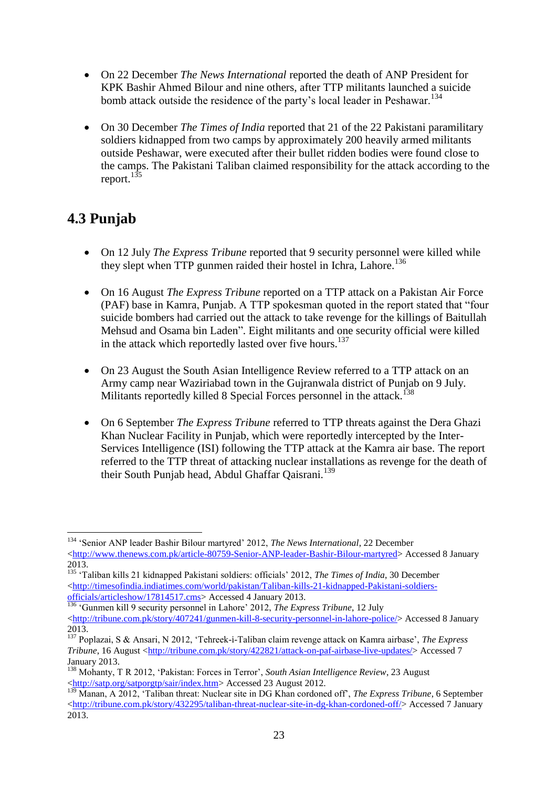- On 22 December *The News International* reported the death of ANP President for KPK Bashir Ahmed Bilour and nine others, after TTP militants launched a suicide bomb attack outside the residence of the party's local leader in Peshawar.<sup>134</sup>
- On 30 December *The Times of India* reported that 21 of the 22 Pakistani paramilitary soldiers kidnapped from two camps by approximately 200 heavily armed militants outside Peshawar, were executed after their bullet ridden bodies were found close to the camps. The Pakistani Taliban claimed responsibility for the attack according to the report. $135$

# <span id="page-22-0"></span>**4.3 Punjab**

1

- On 12 July *The Express Tribune* reported that 9 security personnel were killed while they slept when TTP gunmen raided their hostel in Ichra, Lahore.<sup>136</sup>
- On 16 August *The Express Tribune* reported on a TTP attack on a Pakistan Air Force (PAF) base in Kamra, Punjab. A TTP spokesman quoted in the report stated that "four suicide bombers had carried out the attack to take revenge for the killings of Baitullah Mehsud and Osama bin Laden". Eight militants and one security official were killed in the attack which reportedly lasted over five hours.<sup>137</sup>
- On 23 August the South Asian Intelligence Review referred to a TTP attack on an Army camp near Waziriabad town in the Gujranwala district of Punjab on 9 July. Militants reportedly killed 8 Special Forces personnel in the attack.<sup>138</sup>
- On 6 September *The Express Tribune* referred to TTP threats against the Dera Ghazi Khan Nuclear Facility in Punjab, which were reportedly intercepted by the Inter-Services Intelligence (ISI) following the TTP attack at the Kamra air base. The report referred to the TTP threat of attacking nuclear installations as revenge for the death of their South Punjab head, Abdul Ghaffar Qaisrani.<sup>139</sup>

<sup>&</sup>lt;sup>134</sup> 'Senior ANP leader Bashir Bilour martyred' 2012, *The News International*, 22 December [<http://www.thenews.com.pk/article-80759-Senior-ANP-leader-Bashir-Bilour-martyred>](http://www.thenews.com.pk/article-80759-Senior-ANP-leader-Bashir-Bilour-martyred) Accessed 8 January 2013.

<sup>135</sup> "Taliban kills 21 kidnapped Pakistani soldiers: officials" 2012, *The Times of India*, 30 December  $\langle$ http://timesofindia.indiatimes.com/world/pakistan/Taliban-kills-21-kidnapped-Pakistani-soldiers[officials/articleshow/17814517.cms>](http://timesofindia.indiatimes.com/world/pakistan/Taliban-kills-21-kidnapped-Pakistani-soldiers-officials/articleshow/17814517.cms) Accessed 4 January 2013.

<sup>&</sup>lt;sup>136</sup> 'Gunmen kill 9 security personnel in Lahore' 2012, *The Express Tribune*, 12 July [<http://tribune.com.pk/story/407241/gunmen-kill-8-security-personnel-in-lahore-police/>](http://tribune.com.pk/story/407241/gunmen-kill-8-security-personnel-in-lahore-police/) Accessed 8 January 2013.

<sup>137</sup> Poplazai, S & Ansari, N 2012, "Tehreek-i-Taliban claim revenge attack on Kamra airbase", *The Express Tribune*, 16 August [<http://tribune.com.pk/story/422821/attack-on-paf-airbase-live-updates/>](http://tribune.com.pk/story/422821/attack-on-paf-airbase-live-updates/) Accessed 7 January 2013.

<sup>&</sup>lt;sup>138</sup> Mohanty, T R 2012, 'Pakistan: Forces in Terror', *South Asian Intelligence Review*, 23 August [<http://satp.org/satporgtp/sair/index.htm>](http://satp.org/satporgtp/sair/index.htm) Accessed 23 August 2012.

<sup>139</sup> Manan, A 2012, "Taliban threat: Nuclear site in DG Khan cordoned off", *The Express Tribune*, 6 September [<http://tribune.com.pk/story/432295/taliban-threat-nuclear-site-in-dg-khan-cordoned-off/>](http://tribune.com.pk/story/432295/taliban-threat-nuclear-site-in-dg-khan-cordoned-off/) Accessed 7 January 2013.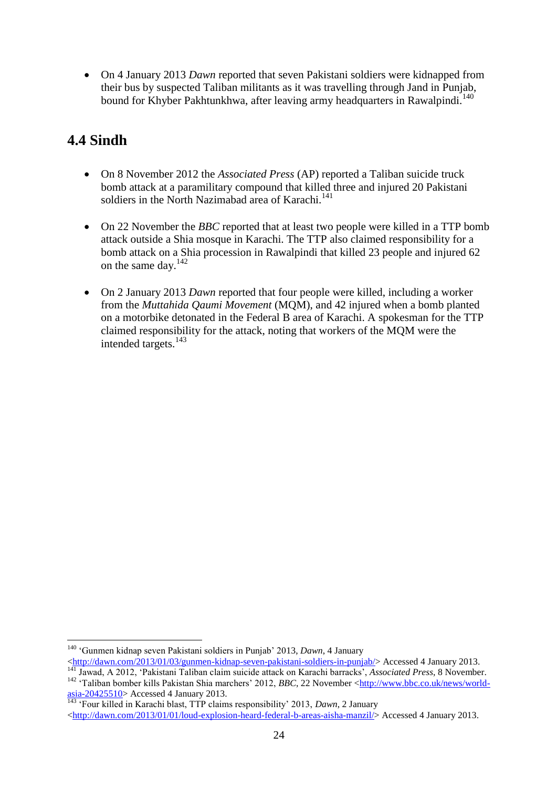On 4 January 2013 *Dawn* reported that seven Pakistani soldiers were kidnapped from their bus by suspected Taliban militants as it was travelling through Jand in Punjab, bound for Khyber Pakhtunkhwa, after leaving army headquarters in Rawalpindi.<sup>140</sup>

# <span id="page-23-0"></span>**4.4 Sindh**

1

- On 8 November 2012 the *Associated Press* (AP) reported a Taliban suicide truck bomb attack at a paramilitary compound that killed three and injured 20 Pakistani soldiers in the North Nazimabad area of Karachi.<sup>141</sup>
- On 22 November the *BBC* reported that at least two people were killed in a TTP bomb attack outside a Shia mosque in Karachi. The TTP also claimed responsibility for a bomb attack on a Shia procession in Rawalpindi that killed 23 people and injured 62 on the same day.<sup>142</sup>
- On 2 January 2013 *Dawn* reported that four people were killed, including a worker from the *Muttahida Qaumi Movement* (MQM), and 42 injured when a bomb planted on a motorbike detonated in the Federal B area of Karachi. A spokesman for the TTP claimed responsibility for the attack, noting that workers of the MQM were the intended targets.<sup>143</sup>

<sup>140</sup> "Gunmen kidnap seven Pakistani soldiers in Punjab" 2013, *Dawn*, 4 January

 $\langle \frac{\text{http://dawn.com/2013/01/03/gunmen-kidnap-seven-pakistani-soldiers-in-punjab}}{\rangle}$  Accessed 4 January 2013. <sup>141</sup> Jawad, A 2012, "Pakistani Taliban claim suicide attack on Karachi barracks", *Associated Press*, 8 November.

<sup>&</sup>lt;sup>142</sup> Taliban bomber kills Pakistan Shia marchers' 2012, *BBC*, 22 November [<http://www.bbc.co.uk/news/world](http://www.bbc.co.uk/news/world-asia-20425510)[asia-20425510>](http://www.bbc.co.uk/news/world-asia-20425510) Accessed 4 January 2013.

 $\frac{481a^220423310}{143}$  Four killed in Karachi blast, TTP claims responsibility' 2013, *Dawn*, 2 January  $\lt$ http://dawn.com/2013/01/01/loud-explosion-heard-federal-b-areas-aisha-manzil/> Accessed 4 January 2013.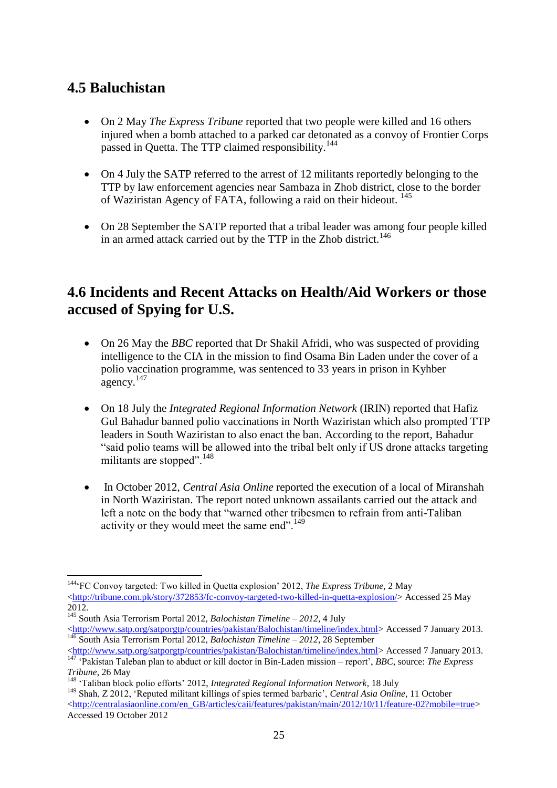# <span id="page-24-0"></span>**4.5 Baluchistan**

1

- On 2 May *The Express Tribune* reported that two people were killed and 16 others injured when a bomb attached to a parked car detonated as a convoy of Frontier Corps passed in Quetta. The TTP claimed responsibility.<sup>144</sup>
- On 4 July the SATP referred to the arrest of 12 militants reportedly belonging to the TTP by law enforcement agencies near Sambaza in Zhob district, close to the border of Waziristan Agency of FATA, following a raid on their hideout. <sup>145</sup>
- On 28 September the SATP reported that a tribal leader was among four people killed in an armed attack carried out by the TTP in the Zhob district.<sup>146</sup>

# <span id="page-24-1"></span>**4.6 Incidents and Recent Attacks on Health/Aid Workers or those accused of Spying for U.S.**

- On 26 May the *BBC* reported that Dr Shakil Afridi, who was suspected of providing intelligence to the CIA in the mission to find Osama Bin Laden under the cover of a polio vaccination programme, was sentenced to 33 years in prison in Kyhber agency.<sup>147</sup>
- On 18 July the *Integrated Regional Information Network* (IRIN) reported that Hafiz Gul Bahadur banned polio vaccinations in North Waziristan which also prompted TTP leaders in South Waziristan to also enact the ban. According to the report, Bahadur "said polio teams will be allowed into the tribal belt only if US drone attacks targeting militants are stopped".<sup>148</sup>
- In October 2012, *Central Asia Online* reported the execution of a local of Miranshah in North Waziristan. The report noted unknown assailants carried out the attack and left a note on the body that "warned other tribesmen to refrain from anti-Taliban activity or they would meet the same end".<sup>149</sup>

<sup>145</sup> South Asia Terrorism Portal 2012, *Balochistan Timeline – 2012*, 4 July [<http://www.satp.org/satporgtp/countries/pakistan/Balochistan/timeline/index.html>](http://www.satp.org/satporgtp/countries/pakistan/Balochistan/timeline/index.html) Accessed 7 January 2013.

<sup>&</sup>lt;sup>144</sup> FC Convoy targeted: Two killed in Quetta explosion' 2012, *The Express Tribune*, 2 May  $\langle$ http://tribune.com.pk/story/372853/fc-convoy-targeted-two-killed-in-quetta-explosion/> Accessed 25 May 2012.

<sup>146</sup> South Asia Terrorism Portal 2012, *Balochistan Timeline – 2012*, 28 September [<http://www.satp.org/satporgtp/countries/pakistan/Balochistan/timeline/index.html>](http://www.satp.org/satporgtp/countries/pakistan/Balochistan/timeline/index.html) Accessed 7 January 2013.

<sup>147</sup> "Pakistan Taleban plan to abduct or kill doctor in Bin-Laden mission – report", *BBC*, source: *The Express Tribune*, 26 May

<sup>148</sup> "Taliban block polio efforts" 2012, *Integrated Regional Information Network*, 18 July

<sup>149</sup> Shah, Z 2012, "Reputed militant killings of spies termed barbaric", *Central Asia Online*, 11 October [<http://centralasiaonline.com/en\\_GB/articles/caii/features/pakistan/main/2012/10/11/feature-02?mobile=true>](http://centralasiaonline.com/en_GB/articles/caii/features/pakistan/main/2012/10/11/feature-02?mobile=true) Accessed 19 October 2012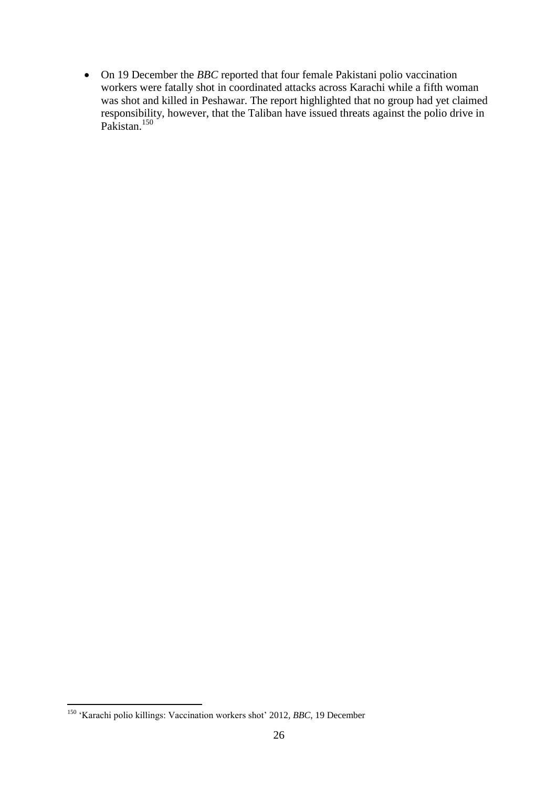On 19 December the *BBC* reported that four female Pakistani polio vaccination workers were fatally shot in coordinated attacks across Karachi while a fifth woman was shot and killed in Peshawar. The report highlighted that no group had yet claimed responsibility, however, that the Taliban have issued threats against the polio drive in Pakistan.<sup>150</sup>

1

<sup>&</sup>lt;sup>150</sup> 'Karachi polio killings: Vaccination workers shot' 2012, *BBC*, 19 December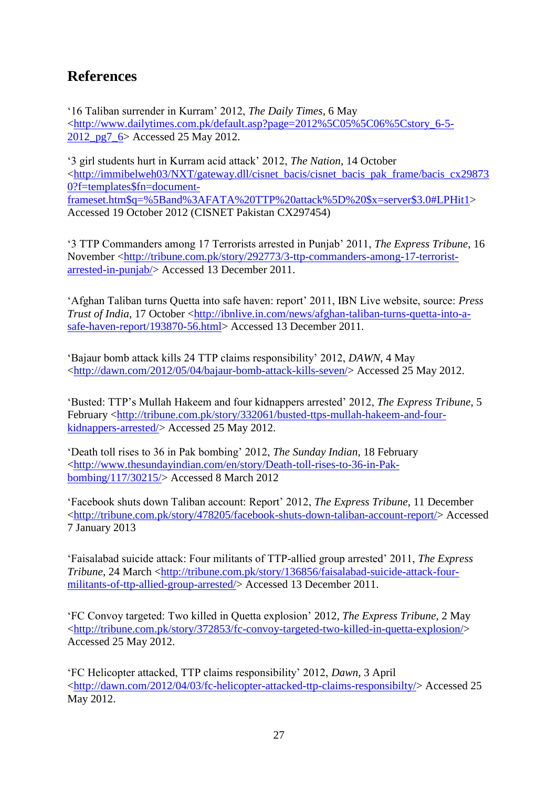# <span id="page-26-0"></span>**References**

"16 Taliban surrender in Kurram" 2012, *The Daily Times*, 6 May [<http://www.dailytimes.com.pk/default.asp?page=2012%5C05%5C06%5Cstory\\_6-5-](http://www.dailytimes.com.pk/default.asp?page=2012%5C05%5C06%5Cstory_6-5-2012_pg7_6) [2012\\_pg7\\_6>](http://www.dailytimes.com.pk/default.asp?page=2012%5C05%5C06%5Cstory_6-5-2012_pg7_6) Accessed 25 May 2012.

"3 girl students hurt in Kurram acid attack" 2012, *The Nation*, 14 October [<http://immibelweh03/NXT/gateway.dll/cisnet\\_bacis/cisnet\\_bacis\\_pak\\_frame/bacis\\_cx29873](http://immibelweh03/NXT/gateway.dll/cisnet_bacis/cisnet_bacis_pak_frame/bacis_cx298730?f=templates$fn=document-frameset.htm$q=%5Band%3AFATA%20TTP%20attack%5D%20$x=server$3.0#LPHit1) [0?f=templates\\$fn=document](http://immibelweh03/NXT/gateway.dll/cisnet_bacis/cisnet_bacis_pak_frame/bacis_cx298730?f=templates$fn=document-frameset.htm$q=%5Band%3AFATA%20TTP%20attack%5D%20$x=server$3.0#LPHit1)[frameset.htm\\$q=%5Band%3AFATA%20TTP%20attack%5D%20\\$x=server\\$3.0#LPHit1>](http://immibelweh03/NXT/gateway.dll/cisnet_bacis/cisnet_bacis_pak_frame/bacis_cx298730?f=templates$fn=document-frameset.htm$q=%5Band%3AFATA%20TTP%20attack%5D%20$x=server$3.0#LPHit1) Accessed 19 October 2012 (CISNET Pakistan CX297454)

"3 TTP Commanders among 17 Terrorists arrested in Punjab" 2011, *The Express Tribune*, 16 November [<http://tribune.com.pk/story/292773/3-ttp-commanders-among-17-terrorist](http://tribune.com.pk/story/292773/3-ttp-commanders-among-17-terrorist-arrested-in-punjab/)[arrested-in-punjab/>](http://tribune.com.pk/story/292773/3-ttp-commanders-among-17-terrorist-arrested-in-punjab/) Accessed 13 December 2011.

"Afghan Taliban turns Quetta into safe haven: report" 2011, IBN Live website, source: *Press Trust of India*, 17 October [<http://ibnlive.in.com/news/afghan-taliban-turns-quetta-into-a](http://ibnlive.in.com/news/afghan-taliban-turns-quetta-into-a-safe-haven-report/193870-56.html)[safe-haven-report/193870-56.html>](http://ibnlive.in.com/news/afghan-taliban-turns-quetta-into-a-safe-haven-report/193870-56.html) Accessed 13 December 2011.

"Bajaur bomb attack kills 24 TTP claims responsibility" 2012, *DAWN*, 4 May [<http://dawn.com/2012/05/04/bajaur-bomb-attack-kills-seven/>](http://dawn.com/2012/05/04/bajaur-bomb-attack-kills-seven/) Accessed 25 May 2012.

"Busted: TTP"s Mullah Hakeem and four kidnappers arrested" 2012, *The Express Tribune*, 5 February [<http://tribune.com.pk/story/332061/busted-ttps-mullah-hakeem-and-four](http://tribune.com.pk/story/332061/busted-ttps-mullah-hakeem-and-four-kidnappers-arrested/)[kidnappers-arrested/>](http://tribune.com.pk/story/332061/busted-ttps-mullah-hakeem-and-four-kidnappers-arrested/) Accessed 25 May 2012.

"Death toll rises to 36 in Pak bombing" 2012, *The Sunday Indian*, 18 February [<http://www.thesundayindian.com/en/story/Death-toll-rises-to-36-in-Pak](http://www.thesundayindian.com/en/story/Death-toll-rises-to-36-in-Pak-bombing/117/30215/)[bombing/117/30215/>](http://www.thesundayindian.com/en/story/Death-toll-rises-to-36-in-Pak-bombing/117/30215/) Accessed 8 March 2012

"Facebook shuts down Taliban account: Report" 2012, *The Express Tribune*, 11 December [<http://tribune.com.pk/story/478205/facebook-shuts-down-taliban-account-report/>](http://tribune.com.pk/story/478205/facebook-shuts-down-taliban-account-report/) Accessed 7 January 2013

"Faisalabad suicide attack: Four militants of TTP-allied group arrested" 2011, *The Express Tribune*, 24 March [<http://tribune.com.pk/story/136856/faisalabad-suicide-attack-four](http://tribune.com.pk/story/136856/faisalabad-suicide-attack-four-militants-of-ttp-allied-group-arrested/)[militants-of-ttp-allied-group-arrested/>](http://tribune.com.pk/story/136856/faisalabad-suicide-attack-four-militants-of-ttp-allied-group-arrested/) Accessed 13 December 2011.

"FC Convoy targeted: Two killed in Quetta explosion" 2012, *The Express Tribune*, 2 May [<http://tribune.com.pk/story/372853/fc-convoy-targeted-two-killed-in-quetta-explosion/>](http://tribune.com.pk/story/372853/fc-convoy-targeted-two-killed-in-quetta-explosion/) Accessed 25 May 2012.

"FC Helicopter attacked, TTP claims responsibility" 2012, *Dawn*, 3 April [<http://dawn.com/2012/04/03/fc-helicopter-attacked-ttp-claims-responsibilty/>](http://dawn.com/2012/04/03/fc-helicopter-attacked-ttp-claims-responsibilty/) Accessed 25 May 2012.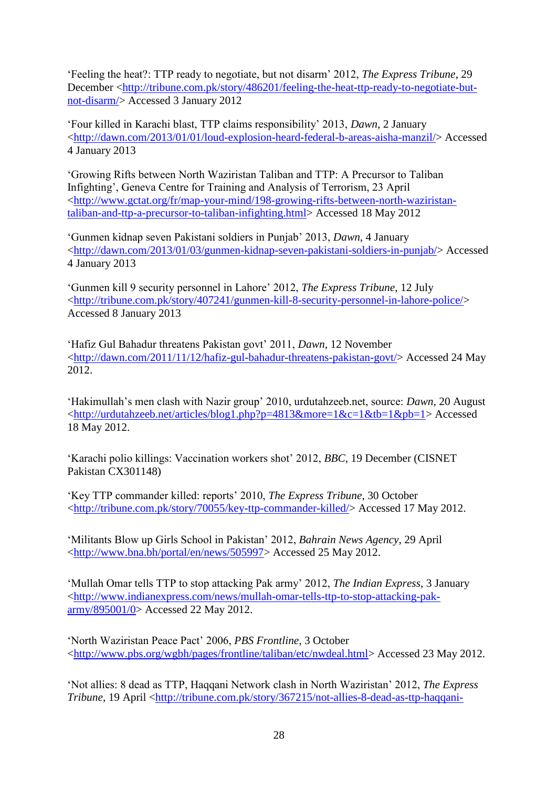"Feeling the heat?: TTP ready to negotiate, but not disarm" 2012, *The Express Tribune*, 29 December [<http://tribune.com.pk/story/486201/feeling-the-heat-ttp-ready-to-negotiate-but](http://tribune.com.pk/story/486201/feeling-the-heat-ttp-ready-to-negotiate-but-not-disarm/)[not-disarm/>](http://tribune.com.pk/story/486201/feeling-the-heat-ttp-ready-to-negotiate-but-not-disarm/) Accessed 3 January 2012

"Four killed in Karachi blast, TTP claims responsibility" 2013, *Dawn*, 2 January [<http://dawn.com/2013/01/01/loud-explosion-heard-federal-b-areas-aisha-manzil/>](http://dawn.com/2013/01/01/loud-explosion-heard-federal-b-areas-aisha-manzil/) Accessed 4 January 2013

"Growing Rifts between North Waziristan Taliban and TTP: A Precursor to Taliban Infighting", Geneva Centre for Training and Analysis of Terrorism, 23 April [<http://www.gctat.org/fr/map-your-mind/198-growing-rifts-between-north-waziristan](http://www.gctat.org/fr/map-your-mind/198-growing-rifts-between-north-waziristan-taliban-and-ttp-a-precursor-to-taliban-infighting.html)[taliban-and-ttp-a-precursor-to-taliban-infighting.html>](http://www.gctat.org/fr/map-your-mind/198-growing-rifts-between-north-waziristan-taliban-and-ttp-a-precursor-to-taliban-infighting.html) Accessed 18 May 2012

"Gunmen kidnap seven Pakistani soldiers in Punjab" 2013, *Dawn*, 4 January [<http://dawn.com/2013/01/03/gunmen-kidnap-seven-pakistani-soldiers-in-punjab/>](http://dawn.com/2013/01/03/gunmen-kidnap-seven-pakistani-soldiers-in-punjab/) Accessed 4 January 2013

"Gunmen kill 9 security personnel in Lahore" 2012, *The Express Tribune*, 12 July [<http://tribune.com.pk/story/407241/gunmen-kill-8-security-personnel-in-lahore-police/>](http://tribune.com.pk/story/407241/gunmen-kill-8-security-personnel-in-lahore-police/) Accessed 8 January 2013

"Hafiz Gul Bahadur threatens Pakistan govt" 2011, *Dawn*, 12 November [<http://dawn.com/2011/11/12/hafiz-gul-bahadur-threatens-pakistan-govt/>](http://dawn.com/2011/11/12/hafiz-gul-bahadur-threatens-pakistan-govt/) Accessed 24 May 2012.

"Hakimullah"s men clash with Nazir group" 2010, urdutahzeeb.net, source: *Dawn*, 20 August [<http://urdutahzeeb.net/articles/blog1.php?p=4813&more=1&c=1&tb=1&pb=1>](http://urdutahzeeb.net/articles/blog1.php?p=4813&more=1&c=1&tb=1&pb=1) Accessed 18 May 2012.

"Karachi polio killings: Vaccination workers shot" 2012, *BBC*, 19 December (CISNET Pakistan CX301148)

"Key TTP commander killed: reports" 2010, *The Express Tribune*, 30 October [<http://tribune.com.pk/story/70055/key-ttp-commander-killed/>](http://tribune.com.pk/story/70055/key-ttp-commander-killed/) Accessed 17 May 2012.

"Militants Blow up Girls School in Pakistan" 2012, *Bahrain News Agency*, 29 April [<http://www.bna.bh/portal/en/news/505997>](http://www.bna.bh/portal/en/news/505997) Accessed 25 May 2012.

"Mullah Omar tells TTP to stop attacking Pak army" 2012, *The Indian Express*, 3 January [<http://www.indianexpress.com/news/mullah-omar-tells-ttp-to-stop-attacking-pak](http://www.indianexpress.com/news/mullah-omar-tells-ttp-to-stop-attacking-pak-army/895001/0)[army/895001/0>](http://www.indianexpress.com/news/mullah-omar-tells-ttp-to-stop-attacking-pak-army/895001/0) Accessed 22 May 2012.

"North Waziristan Peace Pact" 2006, *PBS Frontline*, 3 October [<http://www.pbs.org/wgbh/pages/frontline/taliban/etc/nwdeal.html>](http://www.pbs.org/wgbh/pages/frontline/taliban/etc/nwdeal.html) Accessed 23 May 2012.

"Not allies: 8 dead as TTP, Haqqani Network clash in North Waziristan" 2012, *The Express Tribune*, 19 April [<http://tribune.com.pk/story/367215/not-allies-8-dead-as-ttp-haqqani-](http://tribune.com.pk/story/367215/not-allies-8-dead-as-ttp-haqqani-network-clash-in-north-waziristan/)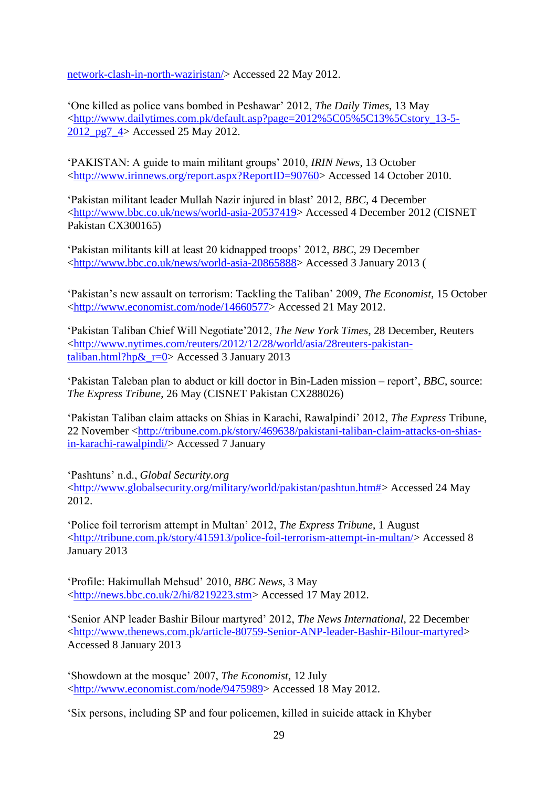[network-clash-in-north-waziristan/>](http://tribune.com.pk/story/367215/not-allies-8-dead-as-ttp-haqqani-network-clash-in-north-waziristan/) Accessed 22 May 2012.

"One killed as police vans bombed in Peshawar" 2012, *The Daily Times*, 13 May [<http://www.dailytimes.com.pk/default.asp?page=2012%5C05%5C13%5Cstory\\_13-5-](http://www.dailytimes.com.pk/default.asp?page=2012%5C05%5C13%5Cstory_13-5-2012_pg7_4) [2012\\_pg7\\_4>](http://www.dailytimes.com.pk/default.asp?page=2012%5C05%5C13%5Cstory_13-5-2012_pg7_4) Accessed 25 May 2012.

"PAKISTAN: A guide to main militant groups" 2010, *IRIN News*, 13 October [<http://www.irinnews.org/report.aspx?ReportID=90760>](http://www.irinnews.org/report.aspx?ReportID=90760) Accessed 14 October 2010.

"Pakistan militant leader Mullah Nazir injured in blast" 2012, *BBC*, 4 December [<http://www.bbc.co.uk/news/world-asia-20537419>](http://www.bbc.co.uk/news/world-asia-20537419) Accessed 4 December 2012 (CISNET Pakistan CX300165)

"Pakistan militants kill at least 20 kidnapped troops" 2012, *BBC*, 29 December [<http://www.bbc.co.uk/news/world-asia-20865888>](http://www.bbc.co.uk/news/world-asia-20865888) Accessed 3 January 2013 (

"Pakistan"s new assault on terrorism: Tackling the Taliban" 2009, *The Economist*, 15 October [<http://www.economist.com/node/14660577>](http://www.economist.com/node/14660577) Accessed 21 May 2012.

"Pakistan Taliban Chief Will Negotiate"2012, *The New York Times*, 28 December, Reuters [<http://www.nytimes.com/reuters/2012/12/28/world/asia/28reuters-pakistan](http://www.nytimes.com/reuters/2012/12/28/world/asia/28reuters-pakistan-taliban.html?hp&_r=0)[taliban.html?hp&\\_r=0>](http://www.nytimes.com/reuters/2012/12/28/world/asia/28reuters-pakistan-taliban.html?hp&_r=0) Accessed 3 January 2013

"Pakistan Taleban plan to abduct or kill doctor in Bin-Laden mission – report", *BBC*, source: *The Express Tribune*, 26 May (CISNET Pakistan CX288026)

"Pakistan Taliban claim attacks on Shias in Karachi, Rawalpindi" 2012, *The Express* Tribune, 22 November [<http://tribune.com.pk/story/469638/pakistani-taliban-claim-attacks-on-shias](http://tribune.com.pk/story/469638/pakistani-taliban-claim-attacks-on-shias-in-karachi-rawalpindi/)[in-karachi-rawalpindi/>](http://tribune.com.pk/story/469638/pakistani-taliban-claim-attacks-on-shias-in-karachi-rawalpindi/) Accessed 7 January

"Pashtuns" n.d., *Global Security.org*

[<http://www.globalsecurity.org/military/world/pakistan/pashtun.htm#>](http://www.globalsecurity.org/military/world/pakistan/pashtun.htm) Accessed 24 May 2012.

"Police foil terrorism attempt in Multan" 2012, *The Express Tribune*, 1 August [<http://tribune.com.pk/story/415913/police-foil-terrorism-attempt-in-multan/>](http://tribune.com.pk/story/415913/police-foil-terrorism-attempt-in-multan/) Accessed 8 January 2013

"Profile: Hakimullah Mehsud" 2010, *BBC News*, 3 May [<http://news.bbc.co.uk/2/hi/8219223.stm>](http://news.bbc.co.uk/2/hi/8219223.stm) Accessed 17 May 2012.

"Senior ANP leader Bashir Bilour martyred" 2012, *The News International*, 22 December [<http://www.thenews.com.pk/article-80759-Senior-ANP-leader-Bashir-Bilour-martyred>](http://www.thenews.com.pk/article-80759-Senior-ANP-leader-Bashir-Bilour-martyred) Accessed 8 January 2013

"Showdown at the mosque" 2007, *The Economist*, 12 July [<http://www.economist.com/node/9475989>](http://www.economist.com/node/9475989) Accessed 18 May 2012.

"Six persons, including SP and four policemen, killed in suicide attack in Khyber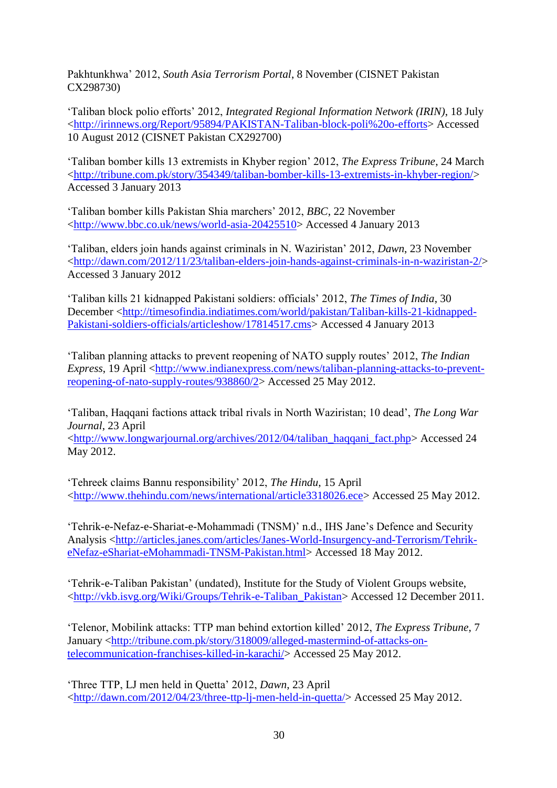Pakhtunkhwa" 2012, *South Asia Terrorism Portal*, 8 November (CISNET Pakistan CX298730)

"Taliban block polio efforts" 2012, *Integrated Regional Information Network (IRIN)*, 18 July [<http://irinnews.org/Report/95894/PAKISTAN-Taliban-block-poli%20o-efforts>](http://irinnews.org/Report/95894/PAKISTAN-Taliban-block-poli%20o-efforts) Accessed 10 August 2012 (CISNET Pakistan CX292700)

"Taliban bomber kills 13 extremists in Khyber region" 2012, *The Express Tribune*, 24 March [<http://tribune.com.pk/story/354349/taliban-bomber-kills-13-extremists-in-khyber-region/>](http://tribune.com.pk/story/354349/taliban-bomber-kills-13-extremists-in-khyber-region/) Accessed 3 January 2013

"Taliban bomber kills Pakistan Shia marchers" 2012, *BBC*, 22 November [<http://www.bbc.co.uk/news/world-asia-20425510>](http://www.bbc.co.uk/news/world-asia-20425510) Accessed 4 January 2013

"Taliban, elders join hands against criminals in N. Waziristan" 2012, *Dawn*, 23 November [<http://dawn.com/2012/11/23/taliban-elders-join-hands-against-criminals-in-n-waziristan-2/>](http://dawn.com/2012/11/23/taliban-elders-join-hands-against-criminals-in-n-waziristan-2/) Accessed 3 January 2012

"Taliban kills 21 kidnapped Pakistani soldiers: officials" 2012, *The Times of India*, 30 December [<http://timesofindia.indiatimes.com/world/pakistan/Taliban-kills-21-kidnapped-](http://timesofindia.indiatimes.com/world/pakistan/Taliban-kills-21-kidnapped-Pakistani-soldiers-officials/articleshow/17814517.cms)[Pakistani-soldiers-officials/articleshow/17814517.cms>](http://timesofindia.indiatimes.com/world/pakistan/Taliban-kills-21-kidnapped-Pakistani-soldiers-officials/articleshow/17814517.cms) Accessed 4 January 2013

"Taliban planning attacks to prevent reopening of NATO supply routes" 2012, *The Indian Express*, 19 April [<http://www.indianexpress.com/news/taliban-planning-attacks-to-prevent](http://www.indianexpress.com/news/taliban-planning-attacks-to-prevent-reopening-of-nato-supply-routes/938860/2)[reopening-of-nato-supply-routes/938860/2>](http://www.indianexpress.com/news/taliban-planning-attacks-to-prevent-reopening-of-nato-supply-routes/938860/2) Accessed 25 May 2012.

"Taliban, Haqqani factions attack tribal rivals in North Waziristan; 10 dead", *The Long War Journal*, 23 April

[<http://www.longwarjournal.org/archives/2012/04/taliban\\_haqqani\\_fact.php>](http://www.longwarjournal.org/archives/2012/04/taliban_haqqani_fact.php) Accessed 24 May 2012.

"Tehreek claims Bannu responsibility" 2012, *The Hindu*, 15 April [<http://www.thehindu.com/news/international/article3318026.ece>](http://www.thehindu.com/news/international/article3318026.ece) Accessed 25 May 2012.

"Tehrik-e-Nefaz-e-Shariat-e-Mohammadi (TNSM)" n.d., IHS Jane"s Defence and Security Analysis [<http://articles.janes.com/articles/Janes-World-Insurgency-and-Terrorism/Tehrik](http://articles.janes.com/articles/Janes-World-Insurgency-and-Terrorism/Tehrik-eNefaz-eShariat-eMohammadi-TNSM-Pakistan.html)[eNefaz-eShariat-eMohammadi-TNSM-Pakistan.html>](http://articles.janes.com/articles/Janes-World-Insurgency-and-Terrorism/Tehrik-eNefaz-eShariat-eMohammadi-TNSM-Pakistan.html) Accessed 18 May 2012.

"Tehrik-e-Taliban Pakistan" (undated), Institute for the Study of Violent Groups website, [<http://vkb.isvg.org/Wiki/Groups/Tehrik-e-Taliban\\_Pakistan>](http://vkb.isvg.org/Wiki/Groups/Tehrik-e-Taliban_Pakistan) Accessed 12 December 2011.

"Telenor, Mobilink attacks: TTP man behind extortion killed" 2012, *The Express Tribune*, 7 January [<http://tribune.com.pk/story/318009/alleged-mastermind-of-attacks-on](http://tribune.com.pk/story/318009/alleged-mastermind-of-attacks-on-telecommunication-franchises-killed-in-karachi/)[telecommunication-franchises-killed-in-karachi/>](http://tribune.com.pk/story/318009/alleged-mastermind-of-attacks-on-telecommunication-franchises-killed-in-karachi/) Accessed 25 May 2012.

"Three TTP, LJ men held in Quetta" 2012, *Dawn*, 23 April [<http://dawn.com/2012/04/23/three-ttp-lj-men-held-in-quetta/>](http://dawn.com/2012/04/23/three-ttp-lj-men-held-in-quetta/) Accessed 25 May 2012.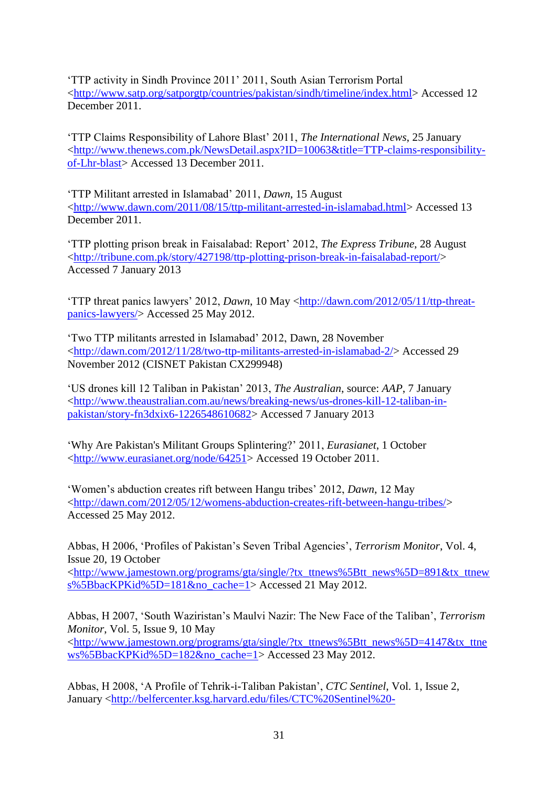"TTP activity in Sindh Province 2011" 2011, South Asian Terrorism Portal [<http://www.satp.org/satporgtp/countries/pakistan/sindh/timeline/index.html>](http://www.satp.org/satporgtp/countries/pakistan/sindh/timeline/index.html) Accessed 12 December 2011.

"TTP Claims Responsibility of Lahore Blast" 2011, *The International News*, 25 January [<http://www.thenews.com.pk/NewsDetail.aspx?ID=10063&title=TTP-claims-responsibility](http://www.thenews.com.pk/NewsDetail.aspx?ID=10063&title=TTP-claims-responsibility-of-Lhr-blast)[of-Lhr-blast>](http://www.thenews.com.pk/NewsDetail.aspx?ID=10063&title=TTP-claims-responsibility-of-Lhr-blast) Accessed 13 December 2011.

"TTP Militant arrested in Islamabad" 2011, *Dawn*, 15 August [<http://www.dawn.com/2011/08/15/ttp-militant-arrested-in-islamabad.html>](http://www.dawn.com/2011/08/15/ttp-militant-arrested-in-islamabad.html) Accessed 13 December 2011.

"TTP plotting prison break in Faisalabad: Report" 2012, *The Express Tribune*, 28 August [<http://tribune.com.pk/story/427198/ttp-plotting-prison-break-in-faisalabad-report/>](http://tribune.com.pk/story/427198/ttp-plotting-prison-break-in-faisalabad-report/) Accessed 7 January 2013

"TTP threat panics lawyers" 2012, *Dawn*, 10 May [<http://dawn.com/2012/05/11/ttp-threat](http://dawn.com/2012/05/11/ttp-threat-panics-lawyers/)[panics-lawyers/>](http://dawn.com/2012/05/11/ttp-threat-panics-lawyers/) Accessed 25 May 2012.

"Two TTP militants arrested in Islamabad" 2012, Dawn, 28 November [<http://dawn.com/2012/11/28/two-ttp-militants-arrested-in-islamabad-2/>](http://dawn.com/2012/11/28/two-ttp-militants-arrested-in-islamabad-2/) Accessed 29 November 2012 (CISNET Pakistan CX299948)

"US drones kill 12 Taliban in Pakistan" 2013, *The Australian*, source: *AAP*, 7 January [<http://www.theaustralian.com.au/news/breaking-news/us-drones-kill-12-taliban-in](http://www.theaustralian.com.au/news/breaking-news/us-drones-kill-12-taliban-in-pakistan/story-fn3dxix6-1226548610682)[pakistan/story-fn3dxix6-1226548610682>](http://www.theaustralian.com.au/news/breaking-news/us-drones-kill-12-taliban-in-pakistan/story-fn3dxix6-1226548610682) Accessed 7 January 2013

"Why Are Pakistan's Militant Groups Splintering?" 2011, *Eurasianet*, 1 October [<http://www.eurasianet.org/node/64251>](http://www.eurasianet.org/node/64251) Accessed 19 October 2011.

"Women"s abduction creates rift between Hangu tribes" 2012, *Dawn*, 12 May [<http://dawn.com/2012/05/12/womens-abduction-creates-rift-between-hangu-tribes/>](http://dawn.com/2012/05/12/womens-abduction-creates-rift-between-hangu-tribes/) Accessed 25 May 2012.

Abbas, H 2006, "Profiles of Pakistan"s Seven Tribal Agencies", *Terrorism Monitor*, Vol. 4, Issue 20, 19 October [<http://www.jamestown.org/programs/gta/single/?tx\\_ttnews%5Btt\\_news%5D=891&tx\\_ttnew](http://www.jamestown.org/programs/gta/single/?tx_ttnews%5Btt_news%5D=891&tx_ttnews%5BbackPid%5D=181&no_cache=1) [s%5BbacKPKid%5D=181&no\\_cache=1>](http://www.jamestown.org/programs/gta/single/?tx_ttnews%5Btt_news%5D=891&tx_ttnews%5BbackPid%5D=181&no_cache=1) Accessed 21 May 2012.

Abbas, H 2007, "South Waziristan"s Maulvi Nazir: The New Face of the Taliban", *Terrorism Monitor*, Vol. 5, Issue 9, 10 May [<http://www.jamestown.org/programs/gta/single/?tx\\_ttnews%5Btt\\_news%5D=4147&tx\\_ttne](http://www.jamestown.org/programs/gta/single/?tx_ttnews%5Btt_news%5D=4147&tx_ttnews%5BbackPid%5D=182&no_cache=1) [ws%5BbacKPKid%5D=182&no\\_cache=1>](http://www.jamestown.org/programs/gta/single/?tx_ttnews%5Btt_news%5D=4147&tx_ttnews%5BbackPid%5D=182&no_cache=1) Accessed 23 May 2012.

Abbas, H 2008, "A Profile of Tehrik-i-Taliban Pakistan", *CTC Sentinel*, Vol. 1, Issue 2, January [<http://belfercenter.ksg.harvard.edu/files/CTC%20Sentinel%20-](http://belfercenter.ksg.harvard.edu/files/CTC%20Sentinel%20-%20Profile%20of%20Tehrik-i-Taliban%20Pakistan.pdf)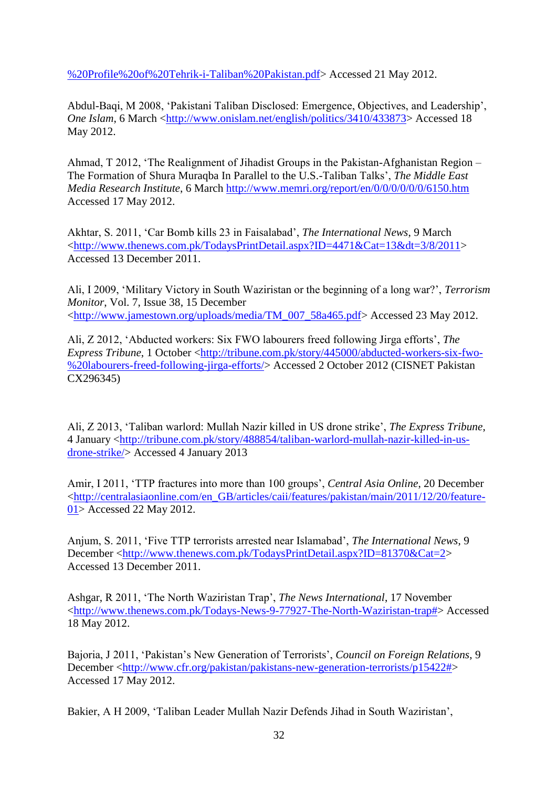[%20Profile%20of%20Tehrik-i-Taliban%20Pakistan.pdf>](http://belfercenter.ksg.harvard.edu/files/CTC%20Sentinel%20-%20Profile%20of%20Tehrik-i-Taliban%20Pakistan.pdf) Accessed 21 May 2012.

Abdul-Baqi, M 2008, "Pakistani Taliban Disclosed: Emergence, Objectives, and Leadership", *One Islam*, 6 March [<http://www.onislam.net/english/politics/3410/433873>](http://www.onislam.net/english/politics/3410/433873) Accessed 18 May 2012.

Ahmad, T 2012, "The Realignment of Jihadist Groups in the Pakistan-Afghanistan Region – The Formation of Shura Muraqba In Parallel to the U.S.-Taliban Talks", *The Middle East Media Research Institute*, 6 March<http://www.memri.org/report/en/0/0/0/0/0/0/6150.htm> Accessed 17 May 2012.

Akhtar, S. 2011, "Car Bomb kills 23 in Faisalabad", *The International News*, 9 March [<http://www.thenews.com.pk/TodaysPrintDetail.aspx?ID=4471&Cat=13&dt=3/8/2011>](http://www.thenews.com.pk/TodaysPrintDetail.aspx?ID=4471&Cat=13&dt=3/8/2011) Accessed 13 December 2011.

Ali, I 2009, "Military Victory in South Waziristan or the beginning of a long war?", *Terrorism Monitor*, Vol. 7, Issue 38, 15 December [<http://www.jamestown.org/uploads/media/TM\\_007\\_58a465.pdf>](http://www.jamestown.org/uploads/media/TM_007_58a465.pdf) Accessed 23 May 2012.

Ali, Z 2012, "Abducted workers: Six FWO labourers freed following Jirga efforts", *The Express Tribune*, 1 October [<http://tribune.com.pk/story/445000/abducted-workers-six-fwo-](http://tribune.com.pk/story/445000/abducted-workers-six-fwo-%20labourers-freed-following-jirga-efforts/) [%20labourers-freed-following-jirga-efforts/>](http://tribune.com.pk/story/445000/abducted-workers-six-fwo-%20labourers-freed-following-jirga-efforts/) Accessed 2 October 2012 (CISNET Pakistan CX296345)

Ali, Z 2013, "Taliban warlord: Mullah Nazir killed in US drone strike", *The Express Tribune*, 4 January [<http://tribune.com.pk/story/488854/taliban-warlord-mullah-nazir-killed-in-us](http://tribune.com.pk/story/488854/taliban-warlord-mullah-nazir-killed-in-us-drone-strike/)[drone-strike/>](http://tribune.com.pk/story/488854/taliban-warlord-mullah-nazir-killed-in-us-drone-strike/) Accessed 4 January 2013

Amir, I 2011, "TTP fractures into more than 100 groups", *Central Asia Online*, 20 December [<http://centralasiaonline.com/en\\_GB/articles/caii/features/pakistan/main/2011/12/20/feature-](http://centralasiaonline.com/en_GB/articles/caii/features/pakistan/main/2011/12/20/feature-01)[01>](http://centralasiaonline.com/en_GB/articles/caii/features/pakistan/main/2011/12/20/feature-01) Accessed 22 May 2012.

Anjum, S. 2011, "Five TTP terrorists arrested near Islamabad", *The International News*, 9 December [<http://www.thenews.com.pk/TodaysPrintDetail.aspx?ID=81370&Cat=2>](http://www.thenews.com.pk/TodaysPrintDetail.aspx?ID=81370&Cat=2) Accessed 13 December 2011.

Ashgar, R 2011, "The North Waziristan Trap", *The News International*, 17 November [<http://www.thenews.com.pk/Todays-News-9-77927-The-North-Waziristan-trap#>](http://www.thenews.com.pk/Todays-News-9-77927-The-North-Waziristan-trap) Accessed 18 May 2012.

Bajoria, J 2011, "Pakistan"s New Generation of Terrorists", *Council on Foreign Relations*, 9 December [<http://www.cfr.org/pakistan/pakistans-new-generation-terrorists/p15422#>](http://www.cfr.org/pakistan/pakistans-new-generation-terrorists/p15422) Accessed 17 May 2012.

Bakier, A H 2009, "Taliban Leader Mullah Nazir Defends Jihad in South Waziristan",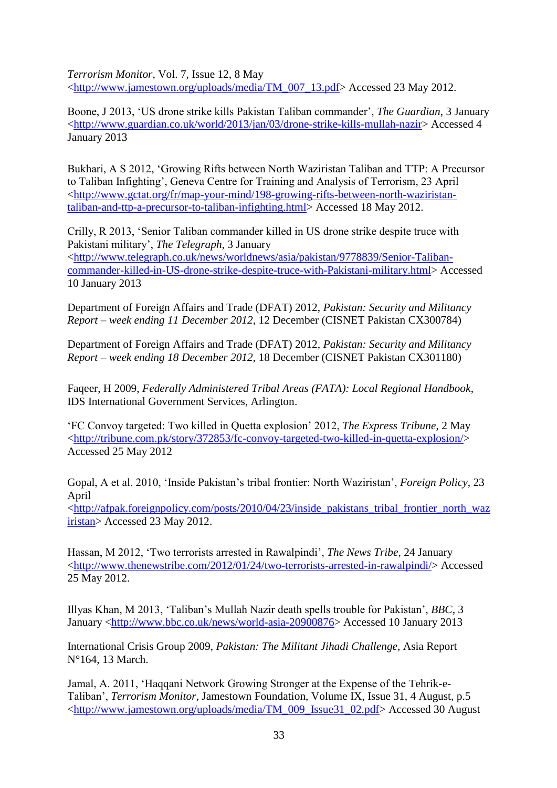*Terrorism Monitor*, Vol. 7, Issue 12, 8 May [<http://www.jamestown.org/uploads/media/TM\\_007\\_13.pdf>](http://www.jamestown.org/uploads/media/TM_007_13.pdf) Accessed 23 May 2012.

Boone, J 2013, "US drone strike kills Pakistan Taliban commander", *The Guardian*, 3 January [<http://www.guardian.co.uk/world/2013/jan/03/drone-strike-kills-mullah-nazir>](http://www.guardian.co.uk/world/2013/jan/03/drone-strike-kills-mullah-nazir) Accessed 4 January 2013

Bukhari, A S 2012, "Growing Rifts between North Waziristan Taliban and TTP: A Precursor to Taliban Infighting", Geneva Centre for Training and Analysis of Terrorism, 23 April [<http://www.gctat.org/fr/map-your-mind/198-growing-rifts-between-north-waziristan](http://www.gctat.org/fr/map-your-mind/198-growing-rifts-between-north-waziristan-taliban-and-ttp-a-precursor-to-taliban-infighting.html)[taliban-and-ttp-a-precursor-to-taliban-infighting.html>](http://www.gctat.org/fr/map-your-mind/198-growing-rifts-between-north-waziristan-taliban-and-ttp-a-precursor-to-taliban-infighting.html) Accessed 18 May 2012.

Crilly, R 2013, "Senior Taliban commander killed in US drone strike despite truce with Pakistani military", *The Telegraph*, 3 January [<http://www.telegraph.co.uk/news/worldnews/asia/pakistan/9778839/Senior-Taliban](http://www.telegraph.co.uk/news/worldnews/asia/pakistan/9778839/Senior-Taliban-commander-killed-in-US-drone-strike-despite-truce-with-Pakistani-military.html)[commander-killed-in-US-drone-strike-despite-truce-with-Pakistani-military.html>](http://www.telegraph.co.uk/news/worldnews/asia/pakistan/9778839/Senior-Taliban-commander-killed-in-US-drone-strike-despite-truce-with-Pakistani-military.html) Accessed 10 January 2013

Department of Foreign Affairs and Trade (DFAT) 2012, *Pakistan: Security and Militancy Report – week ending 11 December 2012*, 12 December (CISNET Pakistan CX300784)

Department of Foreign Affairs and Trade (DFAT) 2012, *Pakistan: Security and Militancy Report – week ending 18 December 2012*, 18 December (CISNET Pakistan CX301180)

Faqeer, H 2009, *Federally Administered Tribal Areas (FATA): Local Regional Handbook*, IDS International Government Services, Arlington.

"FC Convoy targeted: Two killed in Quetta explosion" 2012, *The Express Tribune*, 2 May [<http://tribune.com.pk/story/372853/fc-convoy-targeted-two-killed-in-quetta-explosion/>](http://tribune.com.pk/story/372853/fc-convoy-targeted-two-killed-in-quetta-explosion/) Accessed 25 May 2012

Gopal, A et al. 2010, "Inside Pakistan"s tribal frontier: North Waziristan", *Foreign Policy*, 23 April

[<http://afpak.foreignpolicy.com/posts/2010/04/23/inside\\_pakistans\\_tribal\\_frontier\\_north\\_waz](http://afpak.foreignpolicy.com/posts/2010/04/23/inside_pakistans_tribal_frontier_north_waziristan) [iristan>](http://afpak.foreignpolicy.com/posts/2010/04/23/inside_pakistans_tribal_frontier_north_waziristan) Accessed 23 May 2012.

Hassan, M 2012, "Two terrorists arrested in Rawalpindi", *The News Tribe*, 24 January [<http://www.thenewstribe.com/2012/01/24/two-terrorists-arrested-in-rawalpindi/>](http://www.thenewstribe.com/2012/01/24/two-terrorists-arrested-in-rawalpindi/) Accessed 25 May 2012.

Illyas Khan, M 2013, "Taliban"s Mullah Nazir death spells trouble for Pakistan", *BBC*, 3 January [<http://www.bbc.co.uk/news/world-asia-20900876>](http://www.bbc.co.uk/news/world-asia-20900876) Accessed 10 January 2013

International Crisis Group 2009, *Pakistan: The Militant Jihadi Challenge*, Asia Report N°164, 13 March.

Jamal, A. 2011, "Haqqani Network Growing Stronger at the Expense of the Tehrik-e-Taliban", *Terrorism Monitor*, Jamestown Foundation, Volume IX, Issue 31, 4 August, p.5 [<http://www.jamestown.org/uploads/media/TM\\_009\\_Issue31\\_02.pdf>](http://www.jamestown.org/uploads/media/TM_009_Issue31_02.pdf) Accessed 30 August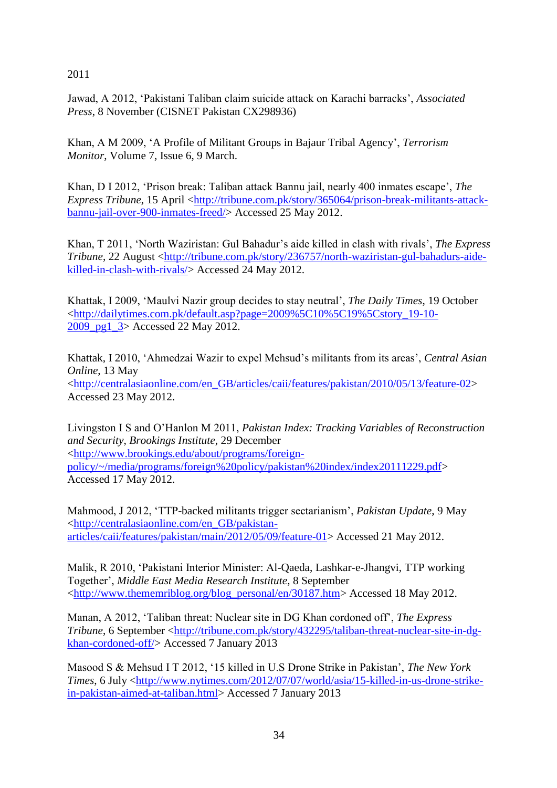2011

Jawad, A 2012, "Pakistani Taliban claim suicide attack on Karachi barracks", *Associated Press*, 8 November (CISNET Pakistan CX298936)

Khan, A M 2009, "A Profile of Militant Groups in Bajaur Tribal Agency", *Terrorism Monitor*, Volume 7, Issue 6, 9 March.

Khan, D I 2012, "Prison break: Taliban attack Bannu jail, nearly 400 inmates escape", *The Express Tribune*, 15 April [<http://tribune.com.pk/story/365064/prison-break-militants-attack](http://tribune.com.pk/story/365064/prison-break-militants-attack-bannu-jail-over-900-inmates-freed/)[bannu-jail-over-900-inmates-freed/>](http://tribune.com.pk/story/365064/prison-break-militants-attack-bannu-jail-over-900-inmates-freed/) Accessed 25 May 2012.

Khan, T 2011, "North Waziristan: Gul Bahadur"s aide killed in clash with rivals", *The Express Tribune*, 22 August [<http://tribune.com.pk/story/236757/north-waziristan-gul-bahadurs-aide](http://tribune.com.pk/story/236757/north-waziristan-gul-bahadurs-aide-killed-in-clash-with-rivals/)[killed-in-clash-with-rivals/>](http://tribune.com.pk/story/236757/north-waziristan-gul-bahadurs-aide-killed-in-clash-with-rivals/) Accessed 24 May 2012.

Khattak, I 2009, "Maulvi Nazir group decides to stay neutral", *The Daily Times*, 19 October [<http://dailytimes.com.pk/default.asp?page=2009%5C10%5C19%5Cstory\\_19-10-](http://dailytimes.com.pk/default.asp?page=2009%5C10%5C19%5Cstory_19-10-2009_pg1_3) [2009\\_pg1\\_3>](http://dailytimes.com.pk/default.asp?page=2009%5C10%5C19%5Cstory_19-10-2009_pg1_3) Accessed 22 May 2012.

Khattak, I 2010, "Ahmedzai Wazir to expel Mehsud"s militants from its areas", *Central Asian Online*, 13 May [<http://centralasiaonline.com/en\\_GB/articles/caii/features/pakistan/2010/05/13/feature-02>](http://centralasiaonline.com/en_GB/articles/caii/features/pakistan/2010/05/13/feature-02) Accessed 23 May 2012.

Livingston I S and O"Hanlon M 2011, *Pakistan Index: Tracking Variables of Reconstruction and Security*, *Brookings Institute*, 29 December [<http://www.brookings.edu/about/programs/foreign](http://www.brookings.edu/about/programs/foreign-policy/~/media/programs/foreign%20policy/pakistan%20index/index20111229.pdf)[policy/~/media/programs/foreign%20policy/pakistan%20index/index20111229.pdf>](http://www.brookings.edu/about/programs/foreign-policy/~/media/programs/foreign%20policy/pakistan%20index/index20111229.pdf) Accessed 17 May 2012.

Mahmood, J 2012, "TTP-backed militants trigger sectarianism", *Pakistan Update*, 9 May [<http://centralasiaonline.com/en\\_GB/pakistan](http://centralasiaonline.com/en_GB/pakistan-articles/caii/features/pakistan/main/2012/05/09/feature-01)[articles/caii/features/pakistan/main/2012/05/09/feature-01>](http://centralasiaonline.com/en_GB/pakistan-articles/caii/features/pakistan/main/2012/05/09/feature-01) Accessed 21 May 2012.

Malik, R 2010, "Pakistani Interior Minister: Al-Qaeda, Lashkar-e-Jhangvi, TTP working Together", *Middle East Media Research Institute*, 8 September [<http://www.thememriblog.org/blog\\_personal/en/30187.htm>](http://www.thememriblog.org/blog_personal/en/30187.htm) Accessed 18 May 2012.

Manan, A 2012, "Taliban threat: Nuclear site in DG Khan cordoned off", *The Express Tribune*, 6 September [<http://tribune.com.pk/story/432295/taliban-threat-nuclear-site-in-dg](http://tribune.com.pk/story/432295/taliban-threat-nuclear-site-in-dg-khan-cordoned-off/)[khan-cordoned-off/>](http://tribune.com.pk/story/432295/taliban-threat-nuclear-site-in-dg-khan-cordoned-off/) Accessed 7 January 2013

Masood S & Mehsud I T 2012, "15 killed in U.S Drone Strike in Pakistan", *The New York Times*, 6 July [<http://www.nytimes.com/2012/07/07/world/asia/15-killed-in-us-drone-strike](http://www.nytimes.com/2012/07/07/world/asia/15-killed-in-us-drone-strike-in-pakistan-aimed-at-taliban.html)[in-pakistan-aimed-at-taliban.html>](http://www.nytimes.com/2012/07/07/world/asia/15-killed-in-us-drone-strike-in-pakistan-aimed-at-taliban.html) Accessed 7 January 2013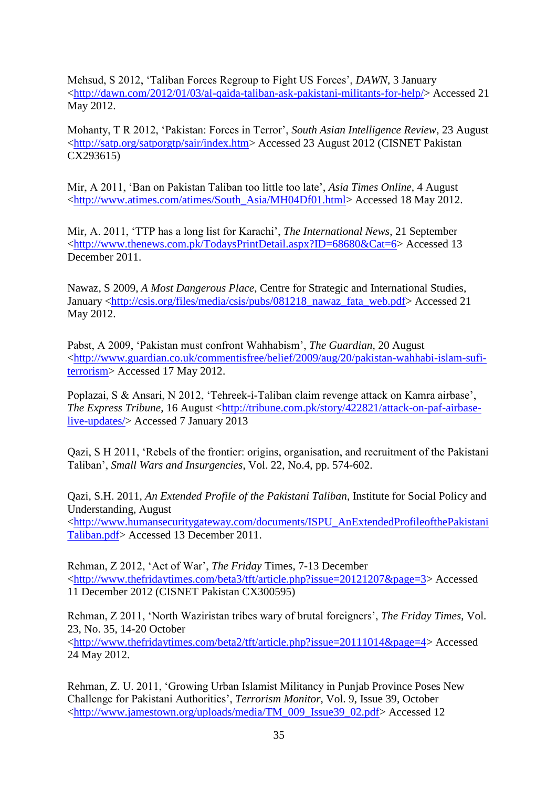Mehsud, S 2012, "Taliban Forces Regroup to Fight US Forces", *DAWN*, 3 January [<http://dawn.com/2012/01/03/al-qaida-taliban-ask-pakistani-militants-for-help/>](http://dawn.com/2012/01/03/al-qaida-taliban-ask-pakistani-militants-for-help/) Accessed 21 May 2012.

Mohanty, T R 2012, "Pakistan: Forces in Terror", *South Asian Intelligence Review*, 23 August [<http://satp.org/satporgtp/sair/index.htm>](http://satp.org/satporgtp/sair/index.htm) Accessed 23 August 2012 (CISNET Pakistan CX293615)

Mir, A 2011, "Ban on Pakistan Taliban too little too late", *Asia Times Online*, 4 August [<http://www.atimes.com/atimes/South\\_Asia/MH04Df01.html>](http://www.atimes.com/atimes/South_Asia/MH04Df01.html) Accessed 18 May 2012.

Mir, A. 2011, "TTP has a long list for Karachi", *The International News*, 21 September [<http://www.thenews.com.pk/TodaysPrintDetail.aspx?ID=68680&Cat=6>](http://www.thenews.com.pk/TodaysPrintDetail.aspx?ID=68680&Cat=6) Accessed 13 December 2011.

Nawaz, S 2009, *A Most Dangerous Place*, Centre for Strategic and International Studies, January [<http://csis.org/files/media/csis/pubs/081218\\_nawaz\\_fata\\_web.pdf>](http://csis.org/files/media/csis/pubs/081218_nawaz_fata_web.pdf) Accessed 21 May 2012.

Pabst, A 2009, "Pakistan must confront Wahhabism", *The Guardian*, 20 August [<http://www.guardian.co.uk/commentisfree/belief/2009/aug/20/pakistan-wahhabi-islam-sufi](http://www.guardian.co.uk/commentisfree/belief/2009/aug/20/pakistan-wahhabi-islam-sufi-terrorism)[terrorism>](http://www.guardian.co.uk/commentisfree/belief/2009/aug/20/pakistan-wahhabi-islam-sufi-terrorism) Accessed 17 May 2012.

Poplazai, S & Ansari, N 2012, "Tehreek-i-Taliban claim revenge attack on Kamra airbase", *The Express Tribune*, 16 August [<http://tribune.com.pk/story/422821/attack-on-paf-airbase](http://tribune.com.pk/story/422821/attack-on-paf-airbase-live-updates/)[live-updates/>](http://tribune.com.pk/story/422821/attack-on-paf-airbase-live-updates/) Accessed 7 January 2013

Qazi, S H 2011, "Rebels of the frontier: origins, organisation, and recruitment of the Pakistani Taliban", *Small Wars and Insurgencies*, Vol. 22, No.4, pp. 574-602.

Qazi, S.H. 2011, *An Extended Profile of the Pakistani Taliban*, Institute for Social Policy and Understanding, August [<http://www.humansecuritygateway.com/documents/ISPU\\_AnExtendedProfileofthePakistani](http://www.humansecuritygateway.com/documents/ISPU_AnExtendedProfileofthePakistaniTaliban.pdf) [Taliban.pdf>](http://www.humansecuritygateway.com/documents/ISPU_AnExtendedProfileofthePakistaniTaliban.pdf) Accessed 13 December 2011.

Rehman, Z 2012, "Act of War", *The Friday* Times, 7-13 December [<http://www.thefridaytimes.com/beta3/tft/article.php?issue=20121207&page=3>](http://www.thefridaytimes.com/beta3/tft/article.php?issue=20121207&page=3) Accessed 11 December 2012 (CISNET Pakistan CX300595)

Rehman, Z 2011, "North Waziristan tribes wary of brutal foreigners", *The Friday Times*, Vol. 23, No. 35, 14-20 October [<http://www.thefridaytimes.com/beta2/tft/article.php?issue=20111014&page=4>](http://www.thefridaytimes.com/beta2/tft/article.php?issue=20111014&page=4) Accessed

24 May 2012.

Rehman, Z. U. 2011, "Growing Urban Islamist Militancy in Punjab Province Poses New Challenge for Pakistani Authorities", *Terrorism Monitor*, Vol. 9, Issue 39, October [<http://www.jamestown.org/uploads/media/TM\\_009\\_Issue39\\_02.pdf>](http://www.jamestown.org/uploads/media/TM_009_Issue39_02.pdf) Accessed 12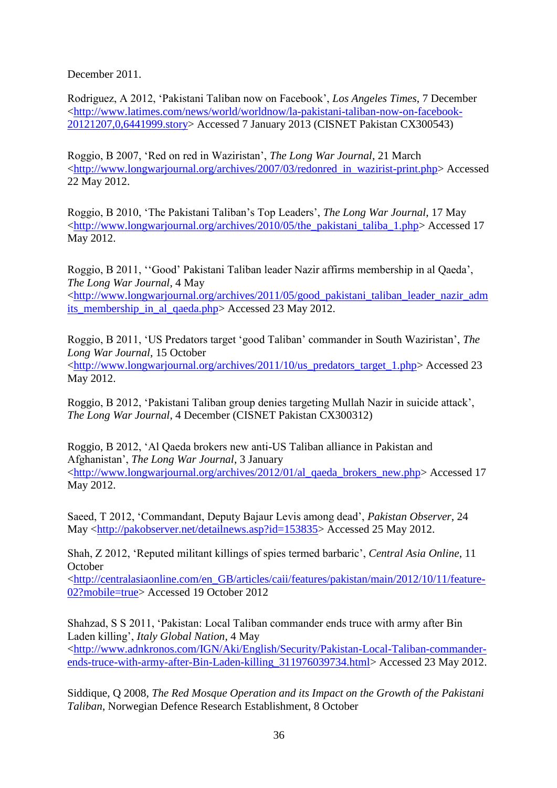December 2011.

Rodriguez, A 2012, "Pakistani Taliban now on Facebook", *Los Angeles Times*, 7 December [<http://www.latimes.com/news/world/worldnow/la-pakistani-taliban-now-on-facebook-](http://www.latimes.com/news/world/worldnow/la-pakistani-taliban-now-on-facebook-20121207,0,6441999.story)[20121207,0,6441999.story>](http://www.latimes.com/news/world/worldnow/la-pakistani-taliban-now-on-facebook-20121207,0,6441999.story) Accessed 7 January 2013 (CISNET Pakistan CX300543)

Roggio, B 2007, "Red on red in Waziristan", *The Long War Journal*, 21 March [<http://www.longwarjournal.org/archives/2007/03/redonred\\_in\\_wazirist-print.php>](http://www.longwarjournal.org/archives/2007/03/redonred_in_wazirist-print.php) Accessed 22 May 2012.

Roggio, B 2010, "The Pakistani Taliban"s Top Leaders", *The Long War Journal*, 17 May [<http://www.longwarjournal.org/archives/2010/05/the\\_pakistani\\_taliba\\_1.php>](http://www.longwarjournal.org/archives/2010/05/the_pakistani_taliba_1.php) Accessed 17 May 2012.

Roggio, B 2011, "Good" Pakistani Taliban leader Nazir affirms membership in al Qaeda", *The Long War Journal*, 4 May [<http://www.longwarjournal.org/archives/2011/05/good\\_pakistani\\_taliban\\_leader\\_nazir\\_adm](http://www.longwarjournal.org/archives/2011/05/good_pakistani_taliban_leader_nazir_admits_membership_in_al_qaeda.php) [its\\_membership\\_in\\_al\\_qaeda.php>](http://www.longwarjournal.org/archives/2011/05/good_pakistani_taliban_leader_nazir_admits_membership_in_al_qaeda.php) Accessed 23 May 2012.

Roggio, B 2011, "US Predators target "good Taliban" commander in South Waziristan", *The Long War Journal*, 15 October [<http://www.longwarjournal.org/archives/2011/10/us\\_predators\\_target\\_1.php>](http://www.longwarjournal.org/archives/2011/10/us_predators_target_1.php) Accessed 23 May 2012.

Roggio, B 2012, "Pakistani Taliban group denies targeting Mullah Nazir in suicide attack", *The Long War Journal*, 4 December (CISNET Pakistan CX300312)

Roggio, B 2012, "Al Qaeda brokers new anti-US Taliban alliance in Pakistan and Afghanistan", *The Long War Journal*, 3 January [<http://www.longwarjournal.org/archives/2012/01/al\\_qaeda\\_brokers\\_new.php>](http://www.longwarjournal.org/archives/2012/01/al_qaeda_brokers_new.php) Accessed 17 May 2012.

Saeed, T 2012, "Commandant, Deputy Bajaur Levis among dead", *Pakistan Observer*, 24 May [<http://pakobserver.net/detailnews.asp?id=153835>](http://pakobserver.net/detailnews.asp?id=153835) Accessed 25 May 2012.

Shah, Z 2012, "Reputed militant killings of spies termed barbaric", *Central Asia Online*, 11 **October** 

[<http://centralasiaonline.com/en\\_GB/articles/caii/features/pakistan/main/2012/10/11/feature-](http://centralasiaonline.com/en_GB/articles/caii/features/pakistan/main/2012/10/11/feature-02?mobile=true)[02?mobile=true>](http://centralasiaonline.com/en_GB/articles/caii/features/pakistan/main/2012/10/11/feature-02?mobile=true) Accessed 19 October 2012

Shahzad, S S 2011, "Pakistan: Local Taliban commander ends truce with army after Bin Laden killing", *Italy Global Nation*, 4 May [<http://www.adnkronos.com/IGN/Aki/English/Security/Pakistan-Local-Taliban-commander](http://www.adnkronos.com/IGN/Aki/English/Security/Pakistan-Local-Taliban-commander-ends-truce-with-army-after-Bin-Laden-killing_311976039734.html)[ends-truce-with-army-after-Bin-Laden-killing\\_311976039734.html>](http://www.adnkronos.com/IGN/Aki/English/Security/Pakistan-Local-Taliban-commander-ends-truce-with-army-after-Bin-Laden-killing_311976039734.html) Accessed 23 May 2012.

Siddique, Q 2008, *The Red Mosque Operation and its Impact on the Growth of the Pakistani Taliban*, Norwegian Defence Research Establishment, 8 October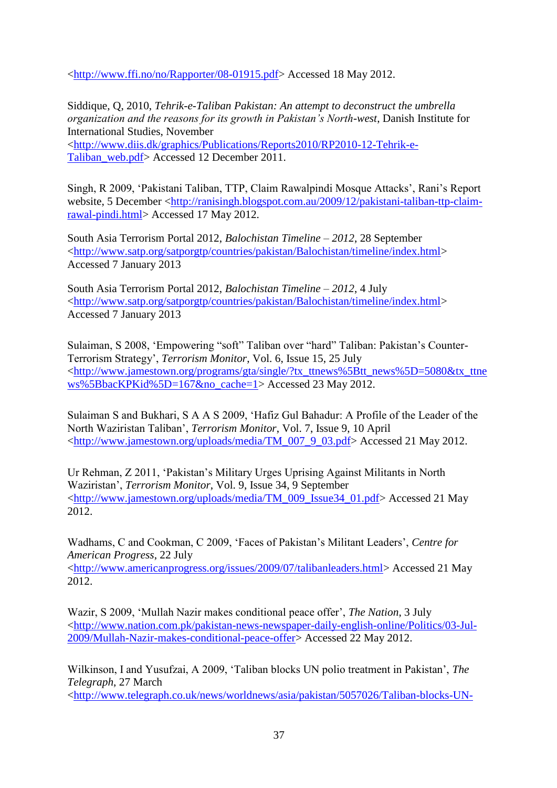[<http://www.ffi.no/no/Rapporter/08-01915.pdf>](http://www.ffi.no/no/Rapporter/08-01915.pdf) Accessed 18 May 2012.

Siddique, Q, 2010, *Tehrik-e-Taliban Pakistan: An attempt to deconstruct the umbrella organization and the reasons for its growth in Pakistan's North-west*, Danish Institute for International Studies, November [<http://www.diis.dk/graphics/Publications/Reports2010/RP2010-12-Tehrik-e-](http://www.diis.dk/graphics/Publications/Reports2010/RP2010-12-Tehrik-e-Taliban_web.pdf)[Taliban\\_web.pdf>](http://www.diis.dk/graphics/Publications/Reports2010/RP2010-12-Tehrik-e-Taliban_web.pdf) Accessed 12 December 2011.

Singh, R 2009, "Pakistani Taliban, TTP, Claim Rawalpindi Mosque Attacks", Rani"s Report website, 5 December [<http://ranisingh.blogspot.com.au/2009/12/pakistani-taliban-ttp-claim](http://ranisingh.blogspot.com.au/2009/12/pakistani-taliban-ttp-claim-rawal-pindi.html)[rawal-pindi.html>](http://ranisingh.blogspot.com.au/2009/12/pakistani-taliban-ttp-claim-rawal-pindi.html) Accessed 17 May 2012.

South Asia Terrorism Portal 2012, *Balochistan Timeline – 2012*, 28 September [<http://www.satp.org/satporgtp/countries/pakistan/Balochistan/timeline/index.html>](http://www.satp.org/satporgtp/countries/pakistan/Balochistan/timeline/index.html) Accessed 7 January 2013

South Asia Terrorism Portal 2012, *Balochistan Timeline – 2012*, 4 July [<http://www.satp.org/satporgtp/countries/pakistan/Balochistan/timeline/index.html>](http://www.satp.org/satporgtp/countries/pakistan/Balochistan/timeline/index.html) Accessed 7 January 2013

Sulaiman, S 2008, "Empowering "soft" Taliban over "hard" Taliban: Pakistan"s Counter-Terrorism Strategy", *Terrorism Monitor*, Vol. 6, Issue 15, 25 July [<http://www.jamestown.org/programs/gta/single/?tx\\_ttnews%5Btt\\_news%5D=5080&tx\\_ttne](http://www.jamestown.org/programs/gta/single/?tx_ttnews%5Btt_news%5D=5080&tx_ttnews%5BbackPid%5D=167&no_cache=1) [ws%5BbacKPKid%5D=167&no\\_cache=1>](http://www.jamestown.org/programs/gta/single/?tx_ttnews%5Btt_news%5D=5080&tx_ttnews%5BbackPid%5D=167&no_cache=1) Accessed 23 May 2012.

Sulaiman S and Bukhari, S A A S 2009, "Hafiz Gul Bahadur: A Profile of the Leader of the North Waziristan Taliban", *Terrorism Monitor*, Vol. 7, Issue 9, 10 April [<http://www.jamestown.org/uploads/media/TM\\_007\\_9\\_03.pdf>](http://www.jamestown.org/uploads/media/TM_007_9_03.pdf) Accessed 21 May 2012.

Ur Rehman, Z 2011, "Pakistan"s Military Urges Uprising Against Militants in North Waziristan", *Terrorism Monitor*, Vol. 9, Issue 34, 9 September [<http://www.jamestown.org/uploads/media/TM\\_009\\_Issue34\\_01.pdf>](http://www.jamestown.org/uploads/media/TM_009_Issue34_01.pdf) Accessed 21 May 2012.

Wadhams, C and Cookman, C 2009, "Faces of Pakistan"s Militant Leaders", *Centre for American Progress*, 22 July

[<http://www.americanprogress.org/issues/2009/07/talibanleaders.html>](http://www.americanprogress.org/issues/2009/07/talibanleaders.html) Accessed 21 May 2012.

Wazir, S 2009, "Mullah Nazir makes conditional peace offer", *The Nation*, 3 July [<http://www.nation.com.pk/pakistan-news-newspaper-daily-english-online/Politics/03-Jul-](http://www.nation.com.pk/pakistan-news-newspaper-daily-english-online/Politics/03-Jul-2009/Mullah-Nazir-makes-conditional-peace-offer)[2009/Mullah-Nazir-makes-conditional-peace-offer>](http://www.nation.com.pk/pakistan-news-newspaper-daily-english-online/Politics/03-Jul-2009/Mullah-Nazir-makes-conditional-peace-offer) Accessed 22 May 2012.

Wilkinson, I and Yusufzai, A 2009, "Taliban blocks UN polio treatment in Pakistan", *The Telegraph*, 27 March

[<http://www.telegraph.co.uk/news/worldnews/asia/pakistan/5057026/Taliban-blocks-UN-](http://www.telegraph.co.uk/news/worldnews/asia/pakistan/5057026/Taliban-blocks-UN-polio-treatment-in-Pakistan.html)